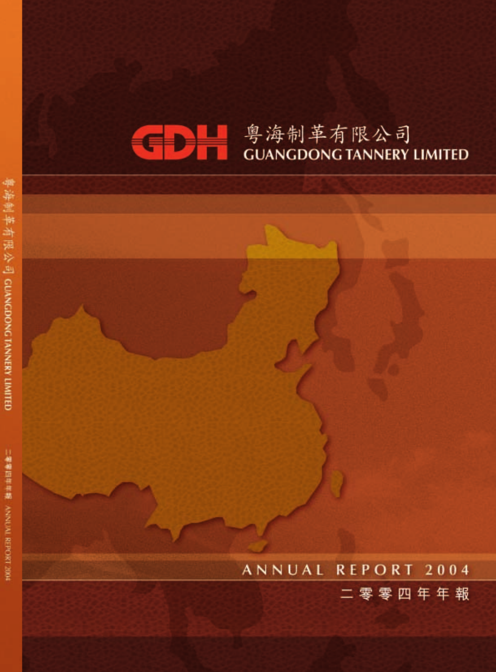# (TDH 粤海制革有限公司<br>GUANGDONG TANNERY LIMITED

ANNUAL REPORT 2004 二零零四年年報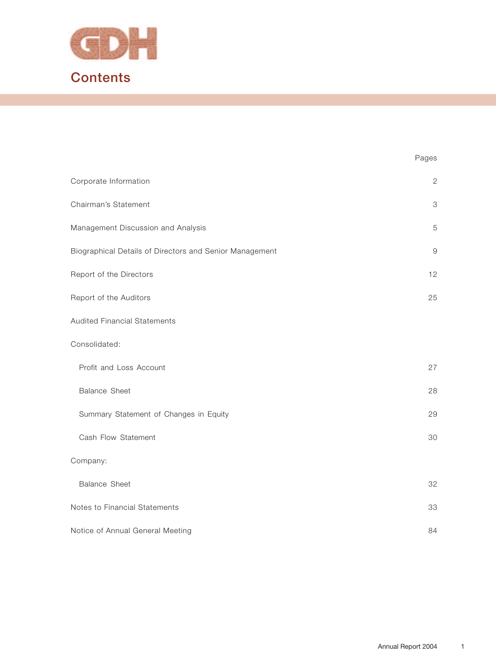

|                                                         | Pages                     |
|---------------------------------------------------------|---------------------------|
| Corporate Information                                   | $\overline{2}$            |
| Chairman's Statement                                    | $\ensuremath{\mathsf{3}}$ |
| Management Discussion and Analysis                      | 5                         |
| Biographical Details of Directors and Senior Management | 9                         |
| Report of the Directors                                 | 12                        |
| Report of the Auditors                                  | 25                        |
| <b>Audited Financial Statements</b>                     |                           |
| Consolidated:                                           |                           |
| Profit and Loss Account                                 | 27                        |
| <b>Balance Sheet</b>                                    | 28                        |
| Summary Statement of Changes in Equity                  | 29                        |
| Cash Flow Statement                                     | 30                        |
| Company:                                                |                           |
| <b>Balance Sheet</b>                                    | 32                        |
| Notes to Financial Statements                           | 33                        |
| Notice of Annual General Meeting                        | 84                        |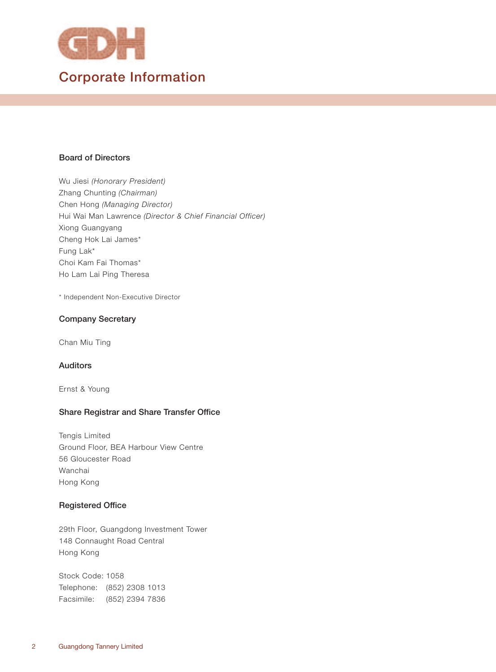

### **Corporate Information**

#### **Board of Directors**

Wu Jiesi *(Honorary President)* Zhang Chunting *(Chairman)* Chen Hong *(Managing Director)* Hui Wai Man Lawrence *(Director & Chief Financial Officer)* Xiong Guangyang Cheng Hok Lai James\* Fung Lak\* Choi Kam Fai Thomas\* Ho Lam Lai Ping Theresa

\* Independent Non-Executive Director

#### **Company Secretary**

Chan Miu Ting

#### **Auditors**

Ernst & Young

#### **Share Registrar and Share Transfer Office**

Tengis Limited Ground Floor, BEA Harbour View Centre 56 Gloucester Road Wanchai Hong Kong

#### **Registered Office**

29th Floor, Guangdong Investment Tower 148 Connaught Road Central Hong Kong

Stock Code: 1058 Telephone: (852) 2308 1013 Facsimile: (852) 2394 7836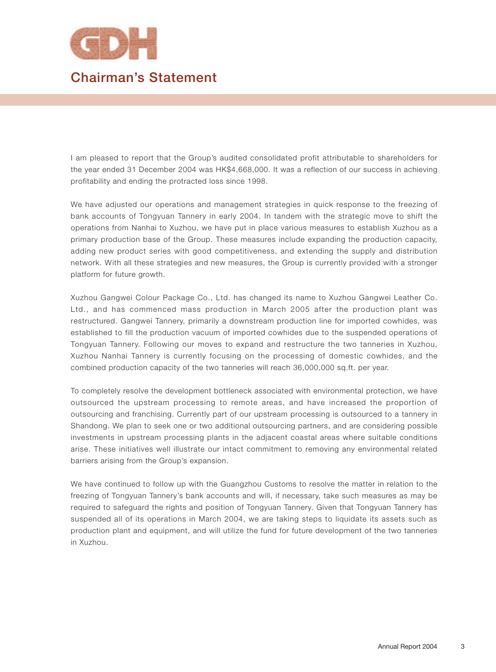

### **Chairman's Statement**

I am pleased to report that the Group's audited consolidated profit attributable to shareholders for the year ended 31 December 2004 was HK\$4,668,000. It was a reflection of our success in achieving profitability and ending the protracted loss since 1998.

We have adjusted our operations and management strategies in quick response to the freezing of bank accounts of Tongyuan Tannery in early 2004. In tandem with the strategic move to shift the operations from Nanhai to Xuzhou, we have put in place various measures to establish Xuzhou as a primary production base of the Group. These measures include expanding the production capacity, adding new product series with good competitiveness, and extending the supply and distribution network. With all these strategies and new measures, the Group is currently provided with a stronger platform for future growth.

Xuzhou Gangwei Colour Package Co., Ltd. has changed its name to Xuzhou Gangwei Leather Co. Ltd., and has commenced mass production in March 2005 after the production plant was restructured. Gangwei Tannery, primarily a downstream production line for imported cowhides, was established to fill the production vacuum of imported cowhides due to the suspended operations of Tongyuan Tannery. Following our moves to expand and restructure the two tanneries in Xuzhou, Xuzhou Nanhai Tannery is currently focusing on the processing of domestic cowhides, and the combined production capacity of the two tanneries will reach 36,000,000 sq.ft. per year.

To completely resolve the development bottleneck associated with environmental protection, we have outsourced the upstream processing to remote areas, and have increased the proportion of outsourcing and franchising. Currently part of our upstream processing is outsourced to a tannery in Shandong. We plan to seek one or two additional outsourcing partners, and are considering possible investments in upstream processing plants in the adjacent coastal areas where suitable conditions arise. These initiatives well illustrate our intact commitment to removing any environmental related barriers arising from the Group's expansion.

We have continued to follow up with the Guangzhou Customs to resolve the matter in relation to the freezing of Tongyuan Tannery's bank accounts and will, if necessary, take such measures as may be required to safeguard the rights and position of Tongyuan Tannery. Given that Tongyuan Tannery has suspended all of its operations in March 2004, we are taking steps to liquidate its assets such as production plant and equipment, and will utilize the fund for future development of the two tanneries in Xuzhou.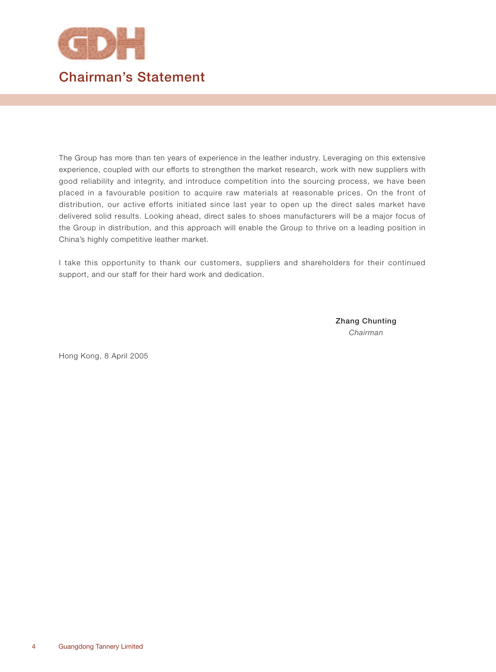

### **Chairman's Statement**

The Group has more than ten years of experience in the leather industry. Leveraging on this extensive experience, coupled with our efforts to strengthen the market research, work with new suppliers with good reliability and integrity, and introduce competition into the sourcing process, we have been placed in a favourable position to acquire raw materials at reasonable prices. On the front of distribution, our active efforts initiated since last year to open up the direct sales market have delivered solid results. Looking ahead, direct sales to shoes manufacturers will be a major focus of the Group in distribution, and this approach will enable the Group to thrive on a leading position in China's highly competitive leather market.

I take this opportunity to thank our customers, suppliers and shareholders for their continued support, and our staff for their hard work and dedication.

> **Zhang Chunting** *Chairman*

Hong Kong, 8 April 2005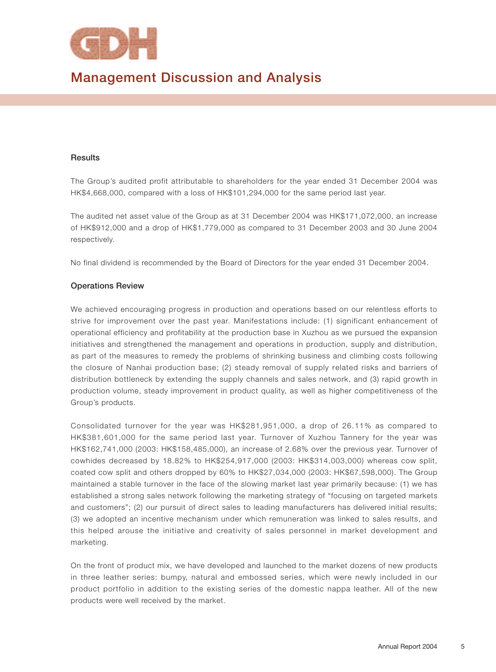

#### **Results**

The Group's audited profit attributable to shareholders for the year ended 31 December 2004 was HK\$4,668,000, compared with a loss of HK\$101,294,000 for the same period last year.

The audited net asset value of the Group as at 31 December 2004 was HK\$171,072,000, an increase of HK\$912,000 and a drop of HK\$1,779,000 as compared to 31 December 2003 and 30 June 2004 respectively.

No final dividend is recommended by the Board of Directors for the year ended 31 December 2004.

#### **Operations Review**

We achieved encouraging progress in production and operations based on our relentless efforts to strive for improvement over the past year. Manifestations include: (1) significant enhancement of operational efficiency and profitability at the production base in Xuzhou as we pursued the expansion initiatives and strengthened the management and operations in production, supply and distribution, as part of the measures to remedy the problems of shrinking business and climbing costs following the closure of Nanhai production base; (2) steady removal of supply related risks and barriers of distribution bottleneck by extending the supply channels and sales network, and (3) rapid growth in production volume, steady improvement in product quality, as well as higher competitiveness of the Group's products.

Consolidated turnover for the year was HK\$281,951,000, a drop of 26.11% as compared to HK\$381,601,000 for the same period last year. Turnover of Xuzhou Tannery for the year was HK\$162,741,000 (2003: HK\$158,485,000), an increase of 2.68% over the previous year. Turnover of cowhides decreased by 18.82% to HK\$254,917,000 (2003: HK\$314,003,000) whereas cow split, coated cow split and others dropped by 60% to HK\$27,034,000 (2003: HK\$67,598,000). The Group maintained a stable turnover in the face of the slowing market last year primarily because: (1) we has established a strong sales network following the marketing strategy of "focusing on targeted markets and customers"; (2) our pursuit of direct sales to leading manufacturers has delivered initial results; (3) we adopted an incentive mechanism under which remuneration was linked to sales results, and this helped arouse the initiative and creativity of sales personnel in market development and marketing.

On the front of product mix, we have developed and launched to the market dozens of new products in three leather series: bumpy, natural and embossed series, which were newly included in our product portfolio in addition to the existing series of the domestic nappa leather. All of the new products were well received by the market.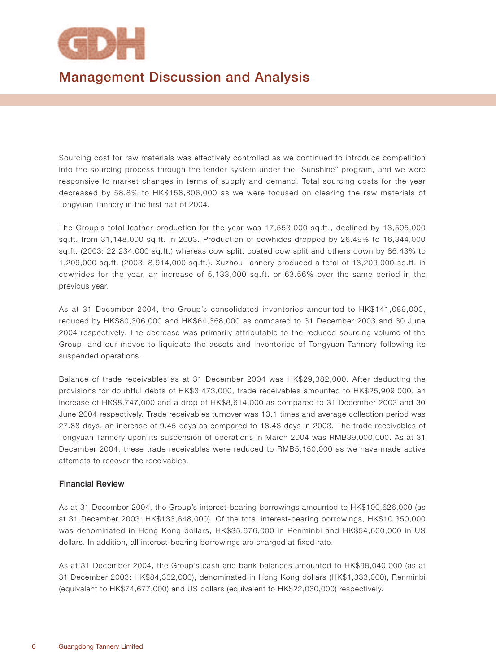

Sourcing cost for raw materials was effectively controlled as we continued to introduce competition into the sourcing process through the tender system under the "Sunshine" program, and we were responsive to market changes in terms of supply and demand. Total sourcing costs for the year decreased by 58.8% to HK\$158,806,000 as we were focused on clearing the raw materials of Tongyuan Tannery in the first half of 2004.

The Group's total leather production for the year was 17,553,000 sq.ft., declined by 13,595,000 sq.ft. from 31,148,000 sq.ft. in 2003. Production of cowhides dropped by 26.49% to 16,344,000 sq.ft. (2003: 22,234,000 sq.ft.) whereas cow split, coated cow split and others down by 86.43% to 1,209,000 sq.ft. (2003: 8,914,000 sq.ft.). Xuzhou Tannery produced a total of 13,209,000 sq.ft. in cowhides for the year, an increase of 5,133,000 sq.ft. or 63.56% over the same period in the previous year.

As at 31 December 2004, the Group's consolidated inventories amounted to HK\$141,089,000, reduced by HK\$80,306,000 and HK\$64,368,000 as compared to 31 December 2003 and 30 June 2004 respectively. The decrease was primarily attributable to the reduced sourcing volume of the Group, and our moves to liquidate the assets and inventories of Tongyuan Tannery following its suspended operations.

Balance of trade receivables as at 31 December 2004 was HK\$29,382,000. After deducting the provisions for doubtful debts of HK\$3,473,000, trade receivables amounted to HK\$25,909,000, an increase of HK\$8,747,000 and a drop of HK\$8,614,000 as compared to 31 December 2003 and 30 June 2004 respectively. Trade receivables turnover was 13.1 times and average collection period was 27.88 days, an increase of 9.45 days as compared to 18.43 days in 2003. The trade receivables of Tongyuan Tannery upon its suspension of operations in March 2004 was RMB39,000,000. As at 31 December 2004, these trade receivables were reduced to RMB5,150,000 as we have made active attempts to recover the receivables.

#### **Financial Review**

As at 31 December 2004, the Group's interest-bearing borrowings amounted to HK\$100,626,000 (as at 31 December 2003: HK\$133,648,000). Of the total interest-bearing borrowings, HK\$10,350,000 was denominated in Hong Kong dollars, HK\$35,676,000 in Renminbi and HK\$54,600,000 in US dollars. In addition, all interest-bearing borrowings are charged at fixed rate.

As at 31 December 2004, the Group's cash and bank balances amounted to HK\$98,040,000 (as at 31 December 2003: HK\$84,332,000), denominated in Hong Kong dollars (HK\$1,333,000), Renminbi (equivalent to HK\$74,677,000) and US dollars (equivalent to HK\$22,030,000) respectively.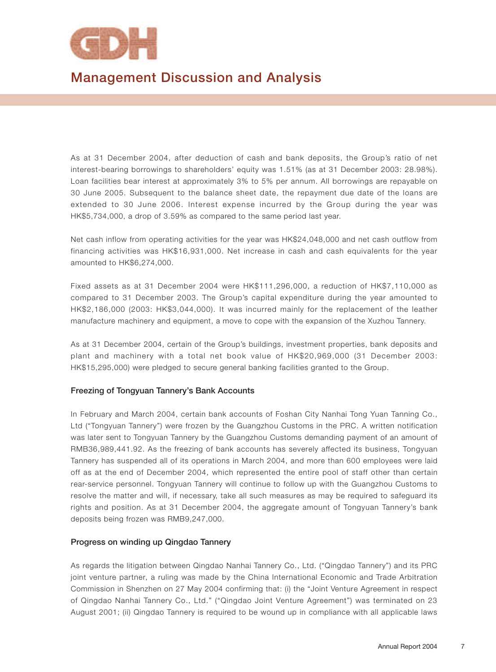

As at 31 December 2004, after deduction of cash and bank deposits, the Group's ratio of net interest-bearing borrowings to shareholders' equity was 1.51% (as at 31 December 2003: 28.98%). Loan facilities bear interest at approximately 3% to 5% per annum. All borrowings are repayable on 30 June 2005. Subsequent to the balance sheet date, the repayment due date of the loans are extended to 30 June 2006. Interest expense incurred by the Group during the year was HK\$5,734,000, a drop of 3.59% as compared to the same period last year.

Net cash inflow from operating activities for the year was HK\$24,048,000 and net cash outflow from financing activities was HK\$16,931,000. Net increase in cash and cash equivalents for the year amounted to HK\$6,274,000.

Fixed assets as at 31 December 2004 were HK\$111,296,000, a reduction of HK\$7,110,000 as compared to 31 December 2003. The Group's capital expenditure during the year amounted to HK\$2,186,000 (2003: HK\$3,044,000). It was incurred mainly for the replacement of the leather manufacture machinery and equipment, a move to cope with the expansion of the Xuzhou Tannery.

As at 31 December 2004, certain of the Group's buildings, investment properties, bank deposits and plant and machinery with a total net book value of HK\$20,969,000 (31 December 2003: HK\$15,295,000) were pledged to secure general banking facilities granted to the Group.

#### **Freezing of Tongyuan Tannery's Bank Accounts**

In February and March 2004, certain bank accounts of Foshan City Nanhai Tong Yuan Tanning Co., Ltd ("Tongyuan Tannery") were frozen by the Guangzhou Customs in the PRC. A written notification was later sent to Tongyuan Tannery by the Guangzhou Customs demanding payment of an amount of RMB36,989,441.92. As the freezing of bank accounts has severely affected its business, Tongyuan Tannery has suspended all of its operations in March 2004, and more than 600 employees were laid off as at the end of December 2004, which represented the entire pool of staff other than certain rear-service personnel. Tongyuan Tannery will continue to follow up with the Guangzhou Customs to resolve the matter and will, if necessary, take all such measures as may be required to safeguard its rights and position. As at 31 December 2004, the aggregate amount of Tongyuan Tannery's bank deposits being frozen was RMB9,247,000.

#### **Progress on winding up Qingdao Tannery**

As regards the litigation between Qingdao Nanhai Tannery Co., Ltd. ("Qingdao Tannery") and its PRC joint venture partner, a ruling was made by the China International Economic and Trade Arbitration Commission in Shenzhen on 27 May 2004 confirming that: (i) the "Joint Venture Agreement in respect of Qingdao Nanhai Tannery Co., Ltd." ("Qingdao Joint Venture Agreement") was terminated on 23 August 2001; (ii) Qingdao Tannery is required to be wound up in compliance with all applicable laws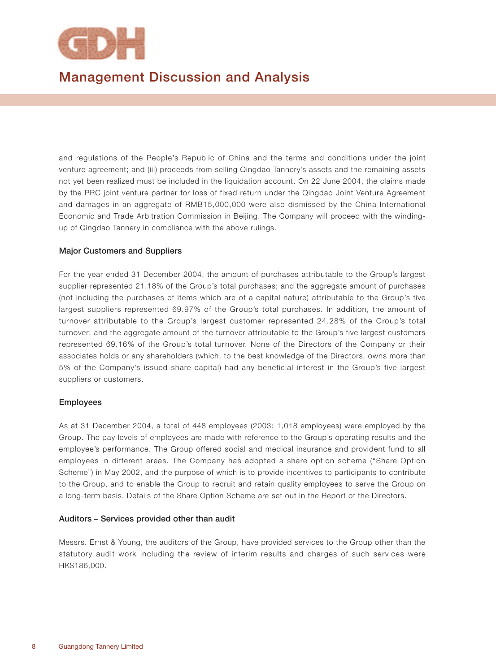

and regulations of the People's Republic of China and the terms and conditions under the joint venture agreement; and (iii) proceeds from selling Qingdao Tannery's assets and the remaining assets not yet been realized must be included in the liquidation account. On 22 June 2004, the claims made by the PRC joint venture partner for loss of fixed return under the Qingdao Joint Venture Agreement and damages in an aggregate of RMB15,000,000 were also dismissed by the China International Economic and Trade Arbitration Commission in Beijing. The Company will proceed with the windingup of Qingdao Tannery in compliance with the above rulings.

#### **Major Customers and Suppliers**

For the year ended 31 December 2004, the amount of purchases attributable to the Group's largest supplier represented 21.18% of the Group's total purchases; and the aggregate amount of purchases (not including the purchases of items which are of a capital nature) attributable to the Group's five largest suppliers represented 69.97% of the Group's total purchases. In addition, the amount of turnover attributable to the Group's largest customer represented 24.28% of the Group's total turnover; and the aggregate amount of the turnover attributable to the Group's five largest customers represented 69.16% of the Group's total turnover. None of the Directors of the Company or their associates holds or any shareholders (which, to the best knowledge of the Directors, owns more than 5% of the Company's issued share capital) had any beneficial interest in the Group's five largest suppliers or customers.

#### **Employees**

As at 31 December 2004, a total of 448 employees (2003: 1,018 employees) were employed by the Group. The pay levels of employees are made with reference to the Group's operating results and the employee's performance. The Group offered social and medical insurance and provident fund to all employees in different areas. The Company has adopted a share option scheme ("Share Option Scheme") in May 2002, and the purpose of which is to provide incentives to participants to contribute to the Group, and to enable the Group to recruit and retain quality employees to serve the Group on a long-term basis. Details of the Share Option Scheme are set out in the Report of the Directors.

#### **Auditors – Services provided other than audit**

Messrs. Ernst & Young, the auditors of the Group, have provided services to the Group other than the statutory audit work including the review of interim results and charges of such services were HK\$186,000.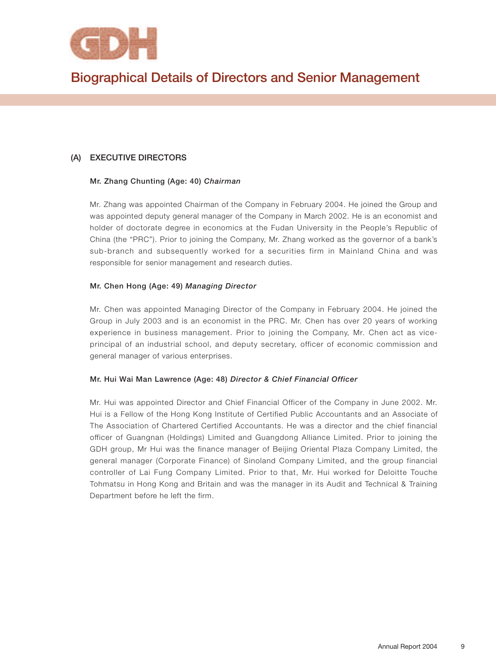

### **Biographical Details of Directors and Senior Management**

#### **(A) EXECUTIVE DIRECTORS**

#### **Mr. Zhang Chunting (Age: 40)** *Chairman*

Mr. Zhang was appointed Chairman of the Company in February 2004. He joined the Group and was appointed deputy general manager of the Company in March 2002. He is an economist and holder of doctorate degree in economics at the Fudan University in the People's Republic of China (the "PRC"). Prior to joining the Company, Mr. Zhang worked as the governor of a bank's sub-branch and subsequently worked for a securities firm in Mainland China and was responsible for senior management and research duties.

#### **Mr. Chen Hong (Age: 49)** *Managing Director*

Mr. Chen was appointed Managing Director of the Company in February 2004. He joined the Group in July 2003 and is an economist in the PRC. Mr. Chen has over 20 years of working experience in business management. Prior to joining the Company, Mr. Chen act as viceprincipal of an industrial school, and deputy secretary, officer of economic commission and general manager of various enterprises.

#### **Mr. Hui Wai Man Lawrence (Age: 48)** *Director & Chief Financial Officer*

Mr. Hui was appointed Director and Chief Financial Officer of the Company in June 2002. Mr. Hui is a Fellow of the Hong Kong Institute of Certified Public Accountants and an Associate of The Association of Chartered Certified Accountants. He was a director and the chief financial officer of Guangnan (Holdings) Limited and Guangdong Alliance Limited. Prior to joining the GDH group, Mr Hui was the finance manager of Beijing Oriental Plaza Company Limited, the general manager (Corporate Finance) of Sinoland Company Limited, and the group financial controller of Lai Fung Company Limited. Prior to that, Mr. Hui worked for Deloitte Touche Tohmatsu in Hong Kong and Britain and was the manager in its Audit and Technical & Training Department before he left the firm.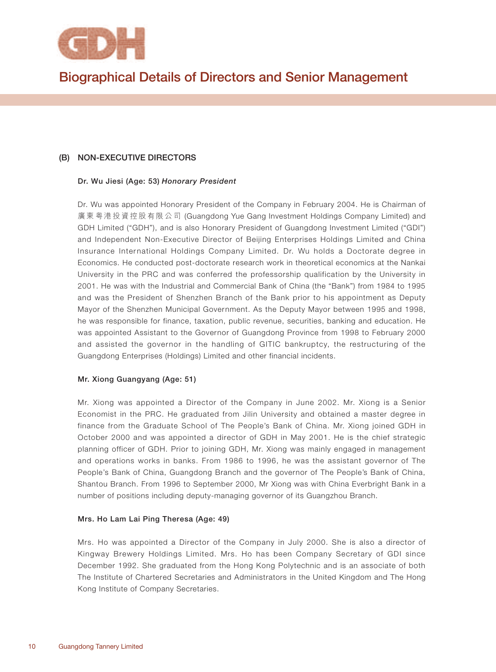

### **Biographical Details of Directors and Senior Management**

#### **(B) NON-EXECUTIVE DIRECTORS**

#### **Dr. Wu Jiesi (Age: 53)** *Honorary President*

Dr. Wu was appointed Honorary President of the Company in February 2004. He is Chairman of 廣東 粵 港投資控股有限公司 (Guangdong Yue Gang Investment Holdings Company Limited) and GDH Limited ("GDH"), and is also Honorary President of Guangdong Investment Limited ("GDI") and Independent Non-Executive Director of Beijing Enterprises Holdings Limited and China Insurance International Holdings Company Limited. Dr. Wu holds a Doctorate degree in Economics. He conducted post-doctorate research work in theoretical economics at the Nankai University in the PRC and was conferred the professorship qualification by the University in 2001. He was with the Industrial and Commercial Bank of China (the "Bank") from 1984 to 1995 and was the President of Shenzhen Branch of the Bank prior to his appointment as Deputy Mayor of the Shenzhen Municipal Government. As the Deputy Mayor between 1995 and 1998, he was responsible for finance, taxation, public revenue, securities, banking and education. He was appointed Assistant to the Governor of Guangdong Province from 1998 to February 2000 and assisted the governor in the handling of GITIC bankruptcy, the restructuring of the Guangdong Enterprises (Holdings) Limited and other financial incidents.

#### **Mr. Xiong Guangyang (Age: 51)**

Mr. Xiong was appointed a Director of the Company in June 2002. Mr. Xiong is a Senior Economist in the PRC. He graduated from Jilin University and obtained a master degree in finance from the Graduate School of The People's Bank of China. Mr. Xiong joined GDH in October 2000 and was appointed a director of GDH in May 2001. He is the chief strategic planning officer of GDH. Prior to joining GDH, Mr. Xiong was mainly engaged in management and operations works in banks. From 1986 to 1996, he was the assistant governor of The People's Bank of China, Guangdong Branch and the governor of The People's Bank of China, Shantou Branch. From 1996 to September 2000, Mr Xiong was with China Everbright Bank in a number of positions including deputy-managing governor of its Guangzhou Branch.

#### **Mrs. Ho Lam Lai Ping Theresa (Age: 49)**

Mrs. Ho was appointed a Director of the Company in July 2000. She is also a director of Kingway Brewery Holdings Limited. Mrs. Ho has been Company Secretary of GDI since December 1992. She graduated from the Hong Kong Polytechnic and is an associate of both The Institute of Chartered Secretaries and Administrators in the United Kingdom and The Hong Kong Institute of Company Secretaries.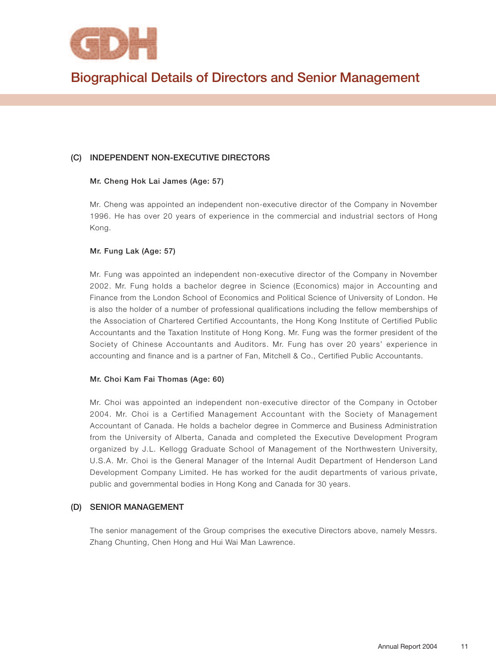

### **Biographical Details of Directors and Senior Management**

#### **(C) INDEPENDENT NON-EXECUTIVE DIRECTORS**

#### **Mr. Cheng Hok Lai James (Age: 57)**

Mr. Cheng was appointed an independent non-executive director of the Company in November 1996. He has over 20 years of experience in the commercial and industrial sectors of Hong Kong.

#### **Mr. Fung Lak (Age: 57)**

Mr. Fung was appointed an independent non-executive director of the Company in November 2002. Mr. Fung holds a bachelor degree in Science (Economics) major in Accounting and Finance from the London School of Economics and Political Science of University of London. He is also the holder of a number of professional qualifications including the fellow memberships of the Association of Chartered Certified Accountants, the Hong Kong Institute of Certified Public Accountants and the Taxation Institute of Hong Kong. Mr. Fung was the former president of the Society of Chinese Accountants and Auditors. Mr. Fung has over 20 years' experience in accounting and finance and is a partner of Fan, Mitchell & Co., Certified Public Accountants.

#### **Mr. Choi Kam Fai Thomas (Age: 60)**

Mr. Choi was appointed an independent non-executive director of the Company in October 2004. Mr. Choi is a Certified Management Accountant with the Society of Management Accountant of Canada. He holds a bachelor degree in Commerce and Business Administration from the University of Alberta, Canada and completed the Executive Development Program organized by J.L. Kellogg Graduate School of Management of the Northwestern University, U.S.A. Mr. Choi is the General Manager of the Internal Audit Department of Henderson Land Development Company Limited. He has worked for the audit departments of various private, public and governmental bodies in Hong Kong and Canada for 30 years.

#### **(D) SENIOR MANAGEMENT**

The senior management of the Group comprises the executive Directors above, namely Messrs. Zhang Chunting, Chen Hong and Hui Wai Man Lawrence.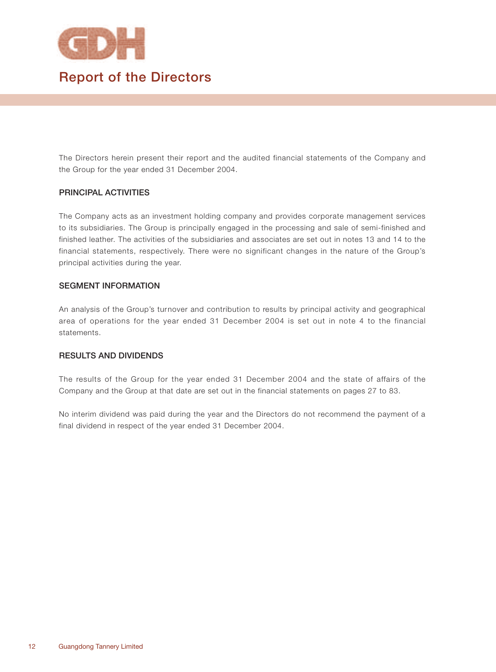

The Directors herein present their report and the audited financial statements of the Company and the Group for the year ended 31 December 2004.

#### **PRINCIPAL ACTIVITIES**

The Company acts as an investment holding company and provides corporate management services to its subsidiaries. The Group is principally engaged in the processing and sale of semi-finished and finished leather. The activities of the subsidiaries and associates are set out in notes 13 and 14 to the financial statements, respectively. There were no significant changes in the nature of the Group's principal activities during the year.

#### **SEGMENT INFORMATION**

An analysis of the Group's turnover and contribution to results by principal activity and geographical area of operations for the year ended 31 December 2004 is set out in note 4 to the financial statements.

#### **RESULTS AND DIVIDENDS**

The results of the Group for the year ended 31 December 2004 and the state of affairs of the Company and the Group at that date are set out in the financial statements on pages 27 to 83.

No interim dividend was paid during the year and the Directors do not recommend the payment of a final dividend in respect of the year ended 31 December 2004.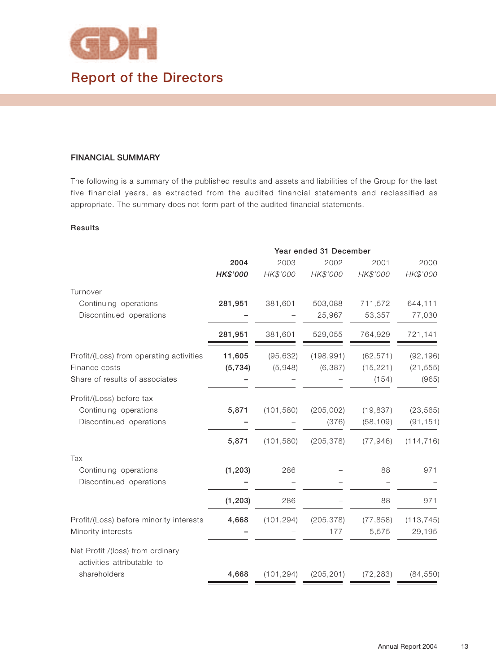

#### **FINANCIAL SUMMARY**

The following is a summary of the published results and assets and liabilities of the Group for the last five financial years, as extracted from the audited financial statements and reclassified as appropriate. The summary does not form part of the audited financial statements.

#### **Results**

|                                                                |          |            | Year ended 31 December |           |            |
|----------------------------------------------------------------|----------|------------|------------------------|-----------|------------|
|                                                                | 2004     | 2003       | 2002                   | 2001      | 2000       |
|                                                                | HK\$'000 | HK\$'000   | HK\$'000               | HK\$'000  | HK\$'000   |
| Turnover                                                       |          |            |                        |           |            |
| Continuing operations                                          | 281,951  | 381,601    | 503,088                | 711,572   | 644,111    |
| Discontinued operations                                        |          |            | 25,967                 | 53,357    | 77,030     |
|                                                                | 281,951  | 381,601    | 529,055                | 764,929   | 721,141    |
| Profit/(Loss) from operating activities                        | 11,605   | (95, 632)  | (198, 991)             | (62, 571) | (92, 196)  |
| Finance costs                                                  | (5,734)  | (5,948)    | (6, 387)               | (15, 221) | (21, 555)  |
| Share of results of associates                                 |          |            |                        | (154)     | (965)      |
| Profit/(Loss) before tax                                       |          |            |                        |           |            |
| Continuing operations                                          | 5,871    | (101, 580) | (205,002)              | (19, 837) | (23, 565)  |
| Discontinued operations                                        |          |            | (376)                  | (58, 109) | (91, 151)  |
|                                                                | 5,871    | (101, 580) | (205, 378)             | (77, 946) | (114, 716) |
| Tax                                                            |          |            |                        |           |            |
| Continuing operations                                          | (1, 203) | 286        |                        | 88        | 971        |
| Discontinued operations                                        |          |            |                        |           |            |
|                                                                | (1, 203) | 286        |                        | 88        | 971        |
| Profit/(Loss) before minority interests                        | 4,668    | (101, 294) | (205, 378)             | (77, 858) | (113, 745) |
| Minority interests                                             |          |            | 177                    | 5,575     | 29,195     |
| Net Profit /(loss) from ordinary<br>activities attributable to |          |            |                        |           |            |
| shareholders                                                   | 4,668    | (101, 294) | (205, 201)             | (72, 283) | (84, 550)  |
|                                                                |          |            |                        |           |            |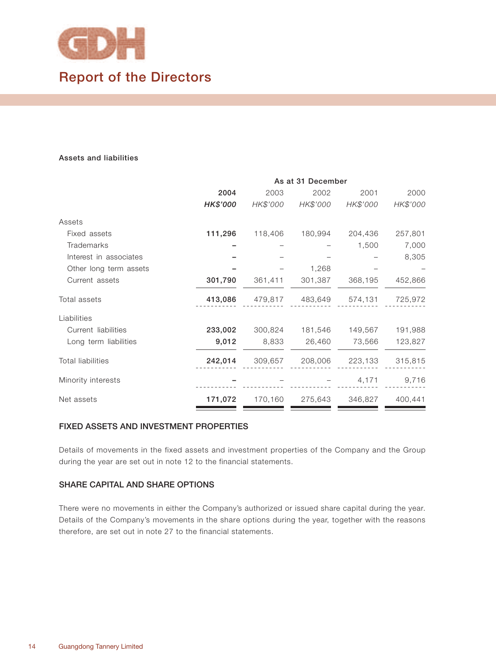

#### **Assets and liabilities**

| As at 31 December |          |          |          |          |  |  |
|-------------------|----------|----------|----------|----------|--|--|
| 2004              | 2003     | 2002     | 2001     | 2000     |  |  |
| HK\$'000          | HK\$'000 | HK\$'000 | HK\$'000 | HK\$'000 |  |  |
|                   |          |          |          |          |  |  |
| 111,296           | 118,406  | 180,994  | 204,436  | 257,801  |  |  |
|                   |          |          | 1,500    | 7,000    |  |  |
|                   |          |          |          | 8,305    |  |  |
|                   |          | 1,268    |          |          |  |  |
| 301,790           | 361,411  | 301,387  | 368,195  | 452,866  |  |  |
| 413,086           | 479,817  | 483,649  | 574,131  | 725,972  |  |  |
|                   |          |          |          |          |  |  |
| 233,002           | 300,824  | 181,546  | 149,567  | 191,988  |  |  |
| 9,012             | 8,833    | 26,460   | 73,566   | 123,827  |  |  |
| 242,014           | 309,657  | 208,006  | 223,133  | 315,815  |  |  |
|                   |          |          | 4,171    | 9,716    |  |  |
| 171,072           | 170,160  | 275,643  | 346,827  | 400,441  |  |  |
|                   |          |          |          |          |  |  |

#### **FIXED ASSETS AND INVESTMENT PROPERTIES**

Details of movements in the fixed assets and investment properties of the Company and the Group during the year are set out in note 12 to the financial statements.

#### **SHARE CAPITAL AND SHARE OPTIONS**

There were no movements in either the Company's authorized or issued share capital during the year. Details of the Company's movements in the share options during the year, together with the reasons therefore, are set out in note 27 to the financial statements.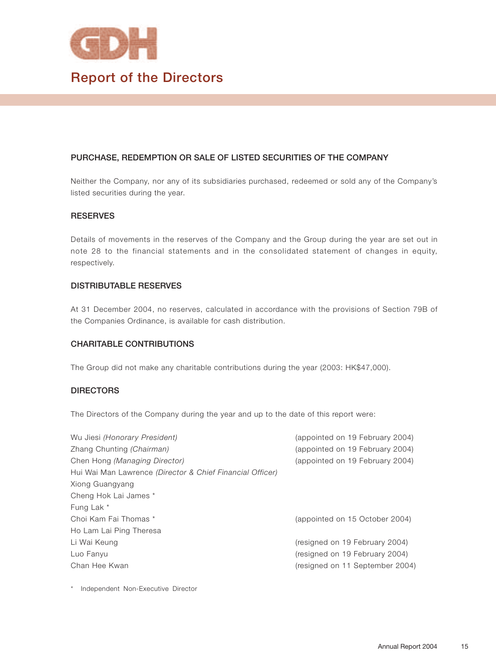

#### **PURCHASE, REDEMPTION OR SALE OF LISTED SECURITIES OF THE COMPANY**

Neither the Company, nor any of its subsidiaries purchased, redeemed or sold any of the Company's listed securities during the year.

#### **RESERVES**

Details of movements in the reserves of the Company and the Group during the year are set out in note 28 to the financial statements and in the consolidated statement of changes in equity, respectively.

#### **DISTRIBUTABLE RESERVES**

At 31 December 2004, no reserves, calculated in accordance with the provisions of Section 79B of the Companies Ordinance, is available for cash distribution.

#### **CHARITABLE CONTRIBUTIONS**

The Group did not make any charitable contributions during the year (2003: HK\$47,000).

#### **DIRECTORS**

The Directors of the Company during the year and up to the date of this report were:

| Wu Jiesi (Honorary President)                             | (appointed on 19 February 2004) |
|-----------------------------------------------------------|---------------------------------|
| Zhang Chunting (Chairman)                                 | (appointed on 19 February 2004) |
| Chen Hong (Managing Director)                             | (appointed on 19 February 2004) |
| Hui Wai Man Lawrence (Director & Chief Financial Officer) |                                 |
| Xiong Guangyang                                           |                                 |
| Cheng Hok Lai James *                                     |                                 |
| Fung Lak *                                                |                                 |
| Choi Kam Fai Thomas *                                     | (appointed on 15 October 2004)  |
| Ho Lam Lai Ping Theresa                                   |                                 |
| Li Wai Keung                                              | (resigned on 19 February 2004)  |
| Luo Fanyu                                                 | (resigned on 19 February 2004)  |
| Chan Hee Kwan                                             | (resigned on 11 September 2004) |

Independent Non-Executive Director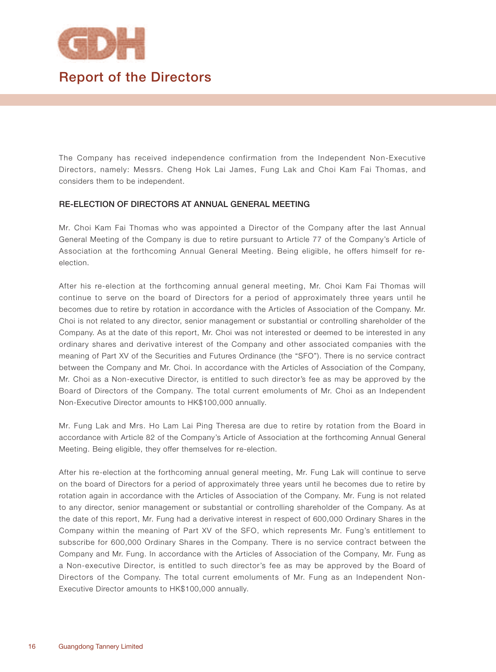

The Company has received independence confirmation from the Independent Non-Executive Directors, namely: Messrs. Cheng Hok Lai James, Fung Lak and Choi Kam Fai Thomas, and considers them to be independent.

#### **RE-ELECTION OF DIRECTORS AT ANNUAL GENERAL MEETING**

Mr. Choi Kam Fai Thomas who was appointed a Director of the Company after the last Annual General Meeting of the Company is due to retire pursuant to Article 77 of the Company's Article of Association at the forthcoming Annual General Meeting. Being eligible, he offers himself for reelection.

After his re-election at the forthcoming annual general meeting, Mr. Choi Kam Fai Thomas will continue to serve on the board of Directors for a period of approximately three years until he becomes due to retire by rotation in accordance with the Articles of Association of the Company. Mr. Choi is not related to any director, senior management or substantial or controlling shareholder of the Company. As at the date of this report, Mr. Choi was not interested or deemed to be interested in any ordinary shares and derivative interest of the Company and other associated companies with the meaning of Part XV of the Securities and Futures Ordinance (the "SFO"). There is no service contract between the Company and Mr. Choi. In accordance with the Articles of Association of the Company, Mr. Choi as a Non-executive Director, is entitled to such director's fee as may be approved by the Board of Directors of the Company. The total current emoluments of Mr. Choi as an Independent Non-Executive Director amounts to HK\$100,000 annually.

Mr. Fung Lak and Mrs. Ho Lam Lai Ping Theresa are due to retire by rotation from the Board in accordance with Article 82 of the Company's Article of Association at the forthcoming Annual General Meeting. Being eligible, they offer themselves for re-election.

After his re-election at the forthcoming annual general meeting, Mr. Fung Lak will continue to serve on the board of Directors for a period of approximately three years until he becomes due to retire by rotation again in accordance with the Articles of Association of the Company. Mr. Fung is not related to any director, senior management or substantial or controlling shareholder of the Company. As at the date of this report, Mr. Fung had a derivative interest in respect of 600,000 Ordinary Shares in the Company within the meaning of Part XV of the SFO, which represents Mr. Fung's entitlement to subscribe for 600,000 Ordinary Shares in the Company. There is no service contract between the Company and Mr. Fung. In accordance with the Articles of Association of the Company, Mr. Fung as a Non-executive Director, is entitled to such director's fee as may be approved by the Board of Directors of the Company. The total current emoluments of Mr. Fung as an Independent Non-Executive Director amounts to HK\$100,000 annually.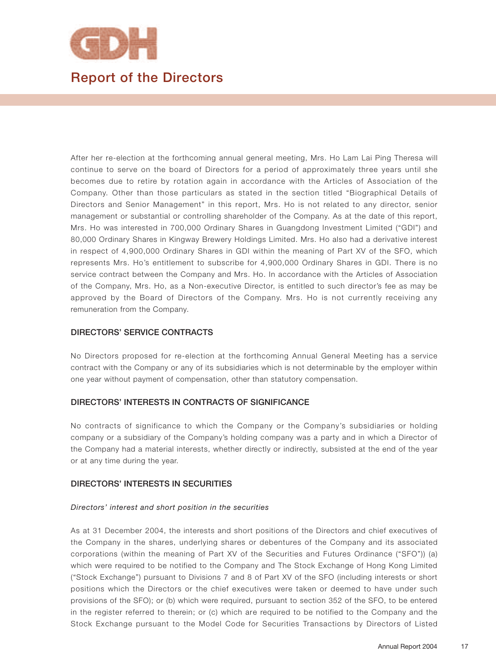

After her re-election at the forthcoming annual general meeting, Mrs. Ho Lam Lai Ping Theresa will continue to serve on the board of Directors for a period of approximately three years until she becomes due to retire by rotation again in accordance with the Articles of Association of the Company. Other than those particulars as stated in the section titled "Biographical Details of Directors and Senior Management" in this report, Mrs. Ho is not related to any director, senior management or substantial or controlling shareholder of the Company. As at the date of this report, Mrs. Ho was interested in 700,000 Ordinary Shares in Guangdong Investment Limited ("GDI") and 80,000 Ordinary Shares in Kingway Brewery Holdings Limited. Mrs. Ho also had a derivative interest in respect of 4,900,000 Ordinary Shares in GDI within the meaning of Part XV of the SFO, which represents Mrs. Ho's entitlement to subscribe for 4,900,000 Ordinary Shares in GDI. There is no service contract between the Company and Mrs. Ho. In accordance with the Articles of Association of the Company, Mrs. Ho, as a Non-executive Director, is entitled to such director's fee as may be approved by the Board of Directors of the Company. Mrs. Ho is not currently receiving any remuneration from the Company.

#### **DIRECTORS' SERVICE CONTRACTS**

No Directors proposed for re-election at the forthcoming Annual General Meeting has a service contract with the Company or any of its subsidiaries which is not determinable by the employer within one year without payment of compensation, other than statutory compensation.

#### **DIRECTORS' INTERESTS IN CONTRACTS OF SIGNIFICANCE**

No contracts of significance to which the Company or the Company's subsidiaries or holding company or a subsidiary of the Company's holding company was a party and in which a Director of the Company had a material interests, whether directly or indirectly, subsisted at the end of the year or at any time during the year.

#### **DIRECTORS' INTERESTS IN SECURITIES**

#### *Directors' interest and short position in the securities*

As at 31 December 2004, the interests and short positions of the Directors and chief executives of the Company in the shares, underlying shares or debentures of the Company and its associated corporations (within the meaning of Part XV of the Securities and Futures Ordinance ("SFO")) (a) which were required to be notified to the Company and The Stock Exchange of Hong Kong Limited ("Stock Exchange") pursuant to Divisions 7 and 8 of Part XV of the SFO (including interests or short positions which the Directors or the chief executives were taken or deemed to have under such provisions of the SFO); or (b) which were required, pursuant to section 352 of the SFO, to be entered in the register referred to therein; or (c) which are required to be notified to the Company and the Stock Exchange pursuant to the Model Code for Securities Transactions by Directors of Listed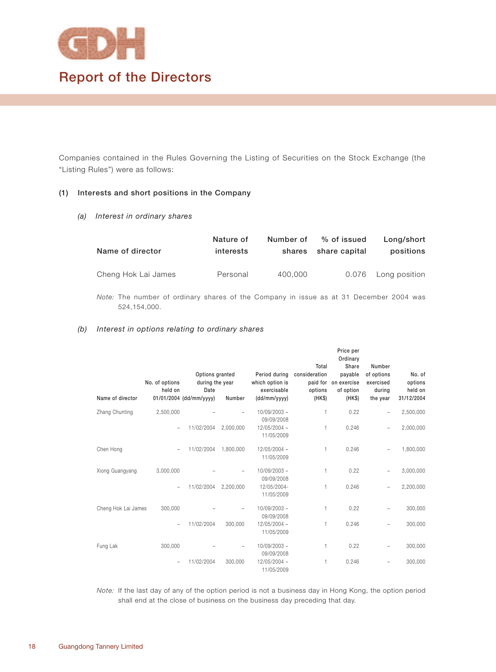

Companies contained in the Rules Governing the Listing of Securities on the Stock Exchange (the "Listing Rules") were as follows:

#### **(1) Interests and short positions in the Company**

#### *(a) Interest in ordinary shares*

| Name of director    | Nature of | Number of | % of issued   | Long/short          |
|---------------------|-----------|-----------|---------------|---------------------|
|                     | interests | shares    | share capital | positions           |
| Cheng Hok Lai James | Personal  | 400,000   |               | 0.076 Long position |

*Note:* The number of ordinary shares of the Company in issue as at 31 December 2004 was 524,154,000.

#### *(b) Interest in options relating to ordinary shares*

| Name of director    | No. of options<br>held on | Options granted<br>during the year<br>Date<br>01/01/2004 (dd/mm/yyyy) | Number    | Period during<br>which option is<br>exercisable<br>(dd/mm/yyyy) | Total<br>consideration<br>options<br>(HKS) | Price per<br>Ordinary<br>Share<br>payable<br>paid for on exercise<br>of option<br>(HKS) | Number<br>of options<br>exercised<br>during<br>the year | No. of<br>options<br>held on<br>31/12/2004 |
|---------------------|---------------------------|-----------------------------------------------------------------------|-----------|-----------------------------------------------------------------|--------------------------------------------|-----------------------------------------------------------------------------------------|---------------------------------------------------------|--------------------------------------------|
| Zhang Chunting      | 2,500,000                 |                                                                       |           | $10/09/2003 -$<br>09/09/2008                                    | 1                                          | 0.22                                                                                    | $\overline{\phantom{m}}$                                | 2,500,000                                  |
|                     | $\equiv$                  | 11/02/2004                                                            | 2,000,000 | 12/05/2004 -<br>11/05/2009                                      | 1                                          | 0.246                                                                                   | $\overline{\phantom{m}}$                                | 2,000,000                                  |
| Chen Hong           |                           | 11/02/2004                                                            | 1,800,000 | $12/05/2004 -$<br>11/05/2009                                    | 1                                          | 0.246                                                                                   | $\qquad \qquad -$                                       | 1,800,000                                  |
| Xiong Guangyang     | 3,000,000                 |                                                                       |           | 10/09/2003 -<br>09/09/2008                                      | 1                                          | 0.22                                                                                    | $\overline{\phantom{0}}$                                | 3,000,000                                  |
|                     | $\equiv$                  | 11/02/2004                                                            | 2,200,000 | 12/05/2004-<br>11/05/2009                                       | 1                                          | 0.246                                                                                   | $\qquad \qquad -$                                       | 2,200,000                                  |
| Cheng Hok Lai James | 300,000                   |                                                                       |           | 10/09/2003 -<br>09/09/2008                                      | 1                                          | 0.22                                                                                    |                                                         | 300,000                                    |
|                     | $\qquad \qquad -$         | 11/02/2004                                                            | 300,000   | $12/05/2004 -$<br>11/05/2009                                    | 1                                          | 0.246                                                                                   |                                                         | 300,000                                    |
| Fung Lak            | 300,000                   |                                                                       |           | $10/09/2003 -$<br>09/09/2008                                    | 1                                          | 0.22                                                                                    |                                                         | 300,000                                    |
|                     |                           | 11/02/2004                                                            | 300,000   | $12/05/2004 -$<br>11/05/2009                                    | 1                                          | 0.246                                                                                   |                                                         | 300,000                                    |

*Note:* If the last day of any of the option period is not a business day in Hong Kong, the option period shall end at the close of business on the business day preceding that day.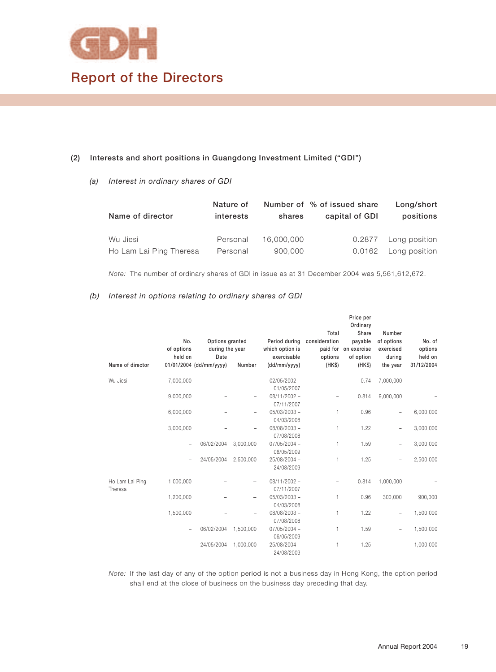

#### **(2) Interests and short positions in Guangdong Investment Limited ("GDI")**

*(a) Interest in ordinary shares of GDI*

| Name of director        | Nature of<br>interests | shares     | Number of % of issued share<br>capital of GDI | Long/short<br>positions |
|-------------------------|------------------------|------------|-----------------------------------------------|-------------------------|
| Wu Jiesi                | Personal               | 16,000,000 |                                               | 0.2877 Long position    |
| Ho Lam Lai Ping Theresa | Personal               | 900,000    |                                               | 0.0162 Long position    |

*Note:* The number of ordinary shares of GDI in issue as at 31 December 2004 was 5,561,612,672.

#### *(b) Interest in options relating to ordinary shares of GDI*

|                            | No.<br>of options<br>held on | Options granted<br>during the year<br>Date |                          | Period during<br>which option is<br>exercisable | Total<br>consideration<br>paid for<br>options | Price per<br>Ordinary<br>Share<br>payable<br>on exercise<br>of option | Number<br>of options<br>exercised<br>during | No. of<br>options<br>held on |
|----------------------------|------------------------------|--------------------------------------------|--------------------------|-------------------------------------------------|-----------------------------------------------|-----------------------------------------------------------------------|---------------------------------------------|------------------------------|
| Name of director           |                              | 01/01/2004 (dd/mm/yyyy)                    | Number                   | (dd/mm/yyyy)                                    | (HKS)                                         | (HK\$)                                                                | the year                                    | 31/12/2004                   |
| Wu Jiesi                   | 7,000,000                    |                                            | $\overline{\phantom{0}}$ | $02/05/2002 -$<br>01/05/2007                    |                                               | 0.74                                                                  | 7,000,000                                   |                              |
|                            | 9,000,000                    |                                            | $\overline{\phantom{0}}$ | $08/11/2002 -$<br>07/11/2007                    | L.                                            | 0.814                                                                 | 9,000,000                                   |                              |
|                            | 6,000,000                    |                                            |                          | $05/03/2003 -$<br>04/03/2008                    | 1                                             | 0.96                                                                  | -                                           | 6,000,000                    |
|                            | 3,000,000                    |                                            |                          | 08/08/2003 -<br>07/08/2008                      | 1                                             | 1.22                                                                  | $\overline{\phantom{0}}$                    | 3,000,000                    |
|                            | $\qquad \qquad -$            | 06/02/2004                                 | 3,000,000                | $07/05/2004 -$<br>06/05/2009                    | 1                                             | 1.59                                                                  | -                                           | 3,000,000                    |
|                            | $\qquad \qquad -$            | 24/05/2004                                 | 2,500,000                | 25/08/2004 -<br>24/08/2009                      | 1                                             | 1.25                                                                  | $\overline{\phantom{0}}$                    | 2,500,000                    |
| Ho Lam Lai Ping<br>Theresa | 1,000,000                    |                                            |                          | $08/11/2002 -$<br>07/11/2007                    |                                               | 0.814                                                                 | 1,000,000                                   |                              |
|                            | 1,200,000                    |                                            |                          | $05/03/2003 -$<br>04/03/2008                    | 1                                             | 0.96                                                                  | 300,000                                     | 900,000                      |
|                            | 1,500,000                    |                                            |                          | $08/08/2003 -$<br>07/08/2008                    | 1                                             | 1.22                                                                  | $\qquad \qquad -$                           | 1,500,000                    |
|                            | $\qquad \qquad -$            | 06/02/2004                                 | 1,500,000                | $07/05/2004 -$<br>06/05/2009                    | 1                                             | 1.59                                                                  | $\overline{\phantom{0}}$                    | 1,500,000                    |
|                            |                              | 24/05/2004                                 | 1,000,000                | 25/08/2004 -<br>24/08/2009                      | 1                                             | 1.25                                                                  | -                                           | 1,000,000                    |

*Note:* If the last day of any of the option period is not a business day in Hong Kong, the option period shall end at the close of business on the business day preceding that day.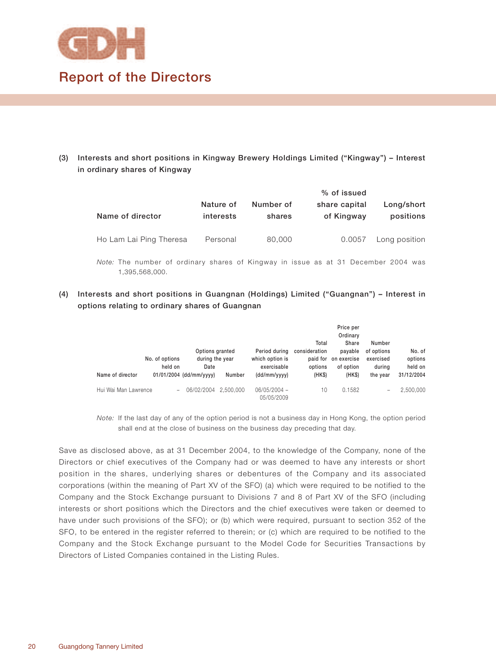

**(3) Interests and short positions in Kingway Brewery Holdings Limited ("Kingway") – Interest in ordinary shares of Kingway**

|                         |                        | % of issued         |                             |                         |
|-------------------------|------------------------|---------------------|-----------------------------|-------------------------|
| Name of director        | Nature of<br>interests | Number of<br>shares | share capital<br>of Kingway | Long/short<br>positions |
| Ho Lam Lai Ping Theresa | Personal               | 80,000              | 0.0057                      | Long position           |

*Note:* The number of ordinary shares of Kingway in issue as at 31 December 2004 was 1,395,568,000.

**(4) Interests and short positions in Guangnan (Holdings) Limited ("Guangnan") – Interest in options relating to ordinary shares of Guangnan**

|                      |                           |                                                                       |           |                                                                 |                                   | Price per<br>Ordinary                                 |                                               |                                            |  |
|----------------------|---------------------------|-----------------------------------------------------------------------|-----------|-----------------------------------------------------------------|-----------------------------------|-------------------------------------------------------|-----------------------------------------------|--------------------------------------------|--|
|                      |                           |                                                                       |           |                                                                 | Total                             | Share                                                 | Number                                        |                                            |  |
| Name of director     | No. of options<br>held on | Options granted<br>during the year<br>Date<br>01/01/2004 (dd/mm/yyyy) | Number    | Period during<br>which option is<br>exercisable<br>(dd/mm/yyyy) | consideration<br>options<br>(HKS) | payable<br>paid for on exercise<br>of option<br>(HKS) | of options<br>exercised<br>durina<br>the year | No. of<br>options<br>held on<br>31/12/2004 |  |
| Hui Wai Man Lawrence | $\overline{\phantom{0}}$  | 06/02/2004                                                            | 2.500.000 | $06/05/2004 -$<br>05/05/2009                                    | 10                                | 0.1582                                                | $\overline{\phantom{0}}$                      | 2,500,000                                  |  |

*Note:* If the last day of any of the option period is not a business day in Hong Kong, the option period shall end at the close of business on the business day preceding that day.

Save as disclosed above, as at 31 December 2004, to the knowledge of the Company, none of the Directors or chief executives of the Company had or was deemed to have any interests or short position in the shares, underlying shares or debentures of the Company and its associated corporations (within the meaning of Part XV of the SFO) (a) which were required to be notified to the Company and the Stock Exchange pursuant to Divisions 7 and 8 of Part XV of the SFO (including interests or short positions which the Directors and the chief executives were taken or deemed to have under such provisions of the SFO); or (b) which were required, pursuant to section 352 of the SFO, to be entered in the register referred to therein; or (c) which are required to be notified to the Company and the Stock Exchange pursuant to the Model Code for Securities Transactions by Directors of Listed Companies contained in the Listing Rules.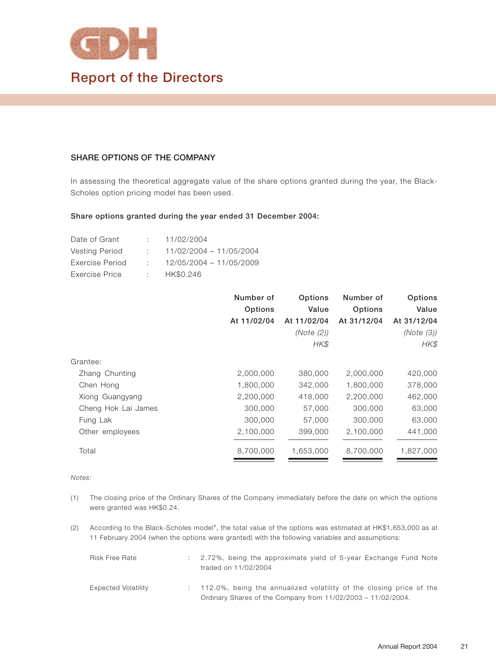

#### **SHARE OPTIONS OF THE COMPANY**

In assessing the theoretical aggregate value of the share options granted during the year, the Black-Scholes option pricing model has been used.

#### **Share options granted during the year ended 31 December 2004:**

| Date of Grant   |       | 11/02/2004              |
|-----------------|-------|-------------------------|
| Vesting Period  |       | 11/02/2004 - 11/05/2004 |
| Exercise Period |       | 12/05/2004 - 11/05/2009 |
| Exercise Price  | diam. | HK\$0.246               |

|                     | Number of   | Options     | Number of   | Options     |
|---------------------|-------------|-------------|-------------|-------------|
|                     | Options     | Value       | Options     | Value       |
|                     | At 11/02/04 | At 11/02/04 | At 31/12/04 | At 31/12/04 |
|                     |             | (Note (2))  |             | (Note (3))  |
|                     |             | HK\$        |             | HK\$        |
| Grantee:            |             |             |             |             |
| Zhang Chunting      | 2,000,000   | 380,000     | 2,000,000   | 420,000     |
| Chen Hong           | 1,800,000   | 342,000     | 1,800,000   | 378,000     |
| Xiong Guangyang     | 2,200,000   | 418,000     | 2,200,000   | 462,000     |
| Cheng Hok Lai James | 300,000     | 57,000      | 300,000     | 63,000      |
| Fung Lak            | 300,000     | 57,000      | 300,000     | 63,000      |
| Other employees     | 2,100,000   | 399,000     | 2,100,000   | 441,000     |
| Total               | 8,700,000   | 1,653,000   | 8,700,000   | 1,827,000   |
|                     |             |             |             |             |

#### *Notes:*

- (1) The closing price of the Ordinary Shares of the Company immediately before the date on which the options were granted was HK\$0.24.
- (2) According to the Black-Scholes model<sup>#</sup>, the total value of the options was estimated at HK\$1,653,000 as at 11 February 2004 (when the options were granted) with the following variables and assumptions:

| Risk Free Rate      | : 2.72%, being the approximate yield of 5-year Exchange Fund Note<br>traded on 11/02/2004                                             |
|---------------------|---------------------------------------------------------------------------------------------------------------------------------------|
| Expected Volatility | : 112.0%, being the annualized volatility of the closing price of the<br>Ordinary Shares of the Company from 11/02/2003 - 11/02/2004. |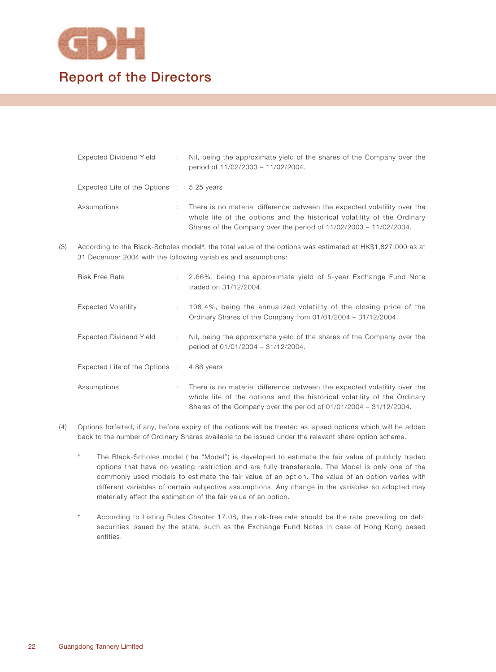

|     | Expected Dividend Yield                                                                                                                                                                   | $\mathcal{L}$             | Nil, being the approximate yield of the shares of the Company over the<br>period of 11/02/2003 - 11/02/2004.                                                                                                                |  |  |  |
|-----|-------------------------------------------------------------------------------------------------------------------------------------------------------------------------------------------|---------------------------|-----------------------------------------------------------------------------------------------------------------------------------------------------------------------------------------------------------------------------|--|--|--|
|     | Expected Life of the Options :                                                                                                                                                            |                           | 5.25 years                                                                                                                                                                                                                  |  |  |  |
|     | Assumptions                                                                                                                                                                               | ÷.                        | There is no material difference between the expected volatility over the<br>whole life of the options and the historical volatility of the Ordinary<br>Shares of the Company over the period of 11/02/2003 - 11/02/2004.    |  |  |  |
| (3) | According to the Black-Scholes model <sup>*</sup> , the total value of the options was estimated at HK\$1,827,000 as at<br>31 December 2004 with the following variables and assumptions: |                           |                                                                                                                                                                                                                             |  |  |  |
|     | <b>Risk Free Rate</b>                                                                                                                                                                     | $\mathbb{R}^{\mathbb{Z}}$ | 2.66%, being the approximate yield of 5-year Exchange Fund Note<br>traded on 31/12/2004.                                                                                                                                    |  |  |  |
|     | <b>Expected Volatility</b>                                                                                                                                                                | $\mathbb{Z}^{\mathbb{Z}}$ | 108.4%, being the annualized volatility of the closing price of the<br>Ordinary Shares of the Company from $01/01/2004 - 31/12/2004$ .                                                                                      |  |  |  |
|     | <b>Expected Dividend Yield</b>                                                                                                                                                            | $\mathcal{L}$             | Nil, being the approximate yield of the shares of the Company over the<br>period of 01/01/2004 - 31/12/2004.                                                                                                                |  |  |  |
|     | Expected Life of the Options :                                                                                                                                                            |                           | 4.86 years                                                                                                                                                                                                                  |  |  |  |
|     | Assumptions                                                                                                                                                                               | ÷                         | There is no material difference between the expected volatility over the<br>whole life of the options and the historical volatility of the Ordinary<br>Shares of the Company over the period of $01/01/2004 - 31/12/2004$ . |  |  |  |

- (4) Options forfeited, if any, before expiry of the options will be treated as lapsed options which will be added back to the number of Ordinary Shares available to be issued under the relevant share option scheme.
	- # The Black-Scholes model (the "Model") is developed to estimate the fair value of publicly traded options that have no vesting restriction and are fully transferable. The Model is only one of the commonly used models to estimate the fair value of an option. The value of an option varies with different variables of certain subjective assumptions. Any change in the variables so adopted may materially affect the estimation of the fair value of an option.
	- According to Listing Rules Chapter 17.08, the risk-free rate should be the rate prevailing on debt securities issued by the state, such as the Exchange Fund Notes in case of Hong Kong based entities.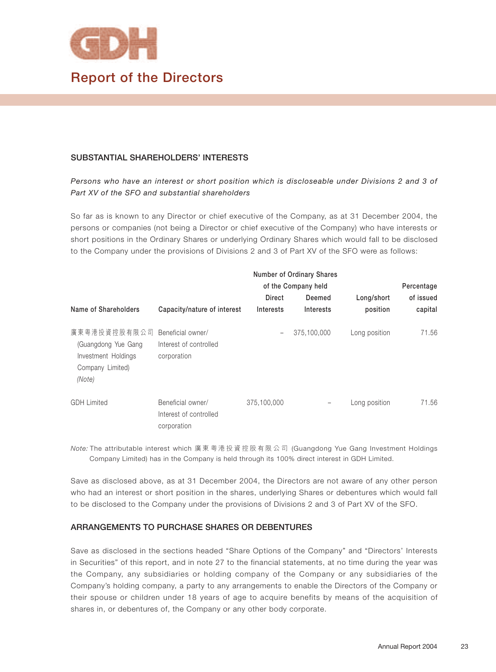

#### **SUBSTANTIAL SHAREHOLDERS' INTERESTS**

*Persons who have an interest or short position which is discloseable under Divisions 2 and 3 of Part XV of the SFO and substantial shareholders*

So far as is known to any Director or chief executive of the Company, as at 31 December 2004, the persons or companies (not being a Director or chief executive of the Company) who have interests or short positions in the Ordinary Shares or underlying Ordinary Shares which would fall to be disclosed to the Company under the provisions of Divisions 2 and 3 of Part XV of the SFO were as follows:

| Number of Ordinary Shares                                                                |                                                            |                     |                   |               |           |
|------------------------------------------------------------------------------------------|------------------------------------------------------------|---------------------|-------------------|---------------|-----------|
|                                                                                          |                                                            | of the Company held |                   |               |           |
|                                                                                          |                                                            | Direct              | Deemed            | Long/short    | of issued |
| Name of Shareholders                                                                     | Capacity/nature of interest                                | Interests           | Interests         | position      | capital   |
| 廣東粤港投資控股有限公司<br>(Guangdong Yue Gang<br>Investment Holdings<br>Company Limited)<br>(Note) | Beneficial owner/<br>Interest of controlled<br>corporation |                     | 375,100,000       | Long position | 71.56     |
| <b>GDH</b> Limited                                                                       | Beneficial owner/<br>Interest of controlled<br>corporation | 375,100,000         | $\qquad \qquad -$ | Long position | 71.56     |

*Note:* The attributable interest which 廣 東 粵 港投資控股有限公司 (Guangdong Yue Gang Investment Holdings Company Limited) has in the Company is held through its 100% direct interest in GDH Limited.

Save as disclosed above, as at 31 December 2004, the Directors are not aware of any other person who had an interest or short position in the shares, underlying Shares or debentures which would fall to be disclosed to the Company under the provisions of Divisions 2 and 3 of Part XV of the SFO.

#### **ARRANGEMENTS TO PURCHASE SHARES OR DEBENTURES**

Save as disclosed in the sections headed "Share Options of the Company" and "Directors' Interests in Securities" of this report, and in note 27 to the financial statements, at no time during the year was the Company, any subsidiaries or holding company of the Company or any subsidiaries of the Company's holding company, a party to any arrangements to enable the Directors of the Company or their spouse or children under 18 years of age to acquire benefits by means of the acquisition of shares in, or debentures of, the Company or any other body corporate.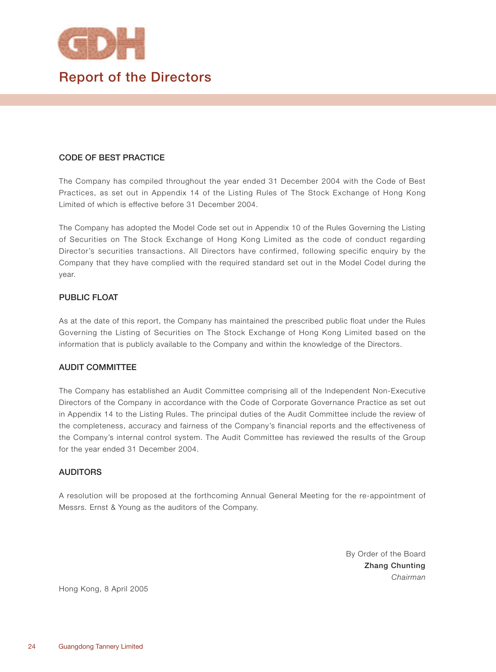

#### **CODE OF BEST PRACTICE**

The Company has compiled throughout the year ended 31 December 2004 with the Code of Best Practices, as set out in Appendix 14 of the Listing Rules of The Stock Exchange of Hong Kong Limited of which is effective before 31 December 2004.

The Company has adopted the Model Code set out in Appendix 10 of the Rules Governing the Listing of Securities on The Stock Exchange of Hong Kong Limited as the code of conduct regarding Director's securities transactions. All Directors have confirmed, following specific enquiry by the Company that they have complied with the required standard set out in the Model Codel during the year.

#### **PUBLIC FLOAT**

As at the date of this report, the Company has maintained the prescribed public float under the Rules Governing the Listing of Securities on The Stock Exchange of Hong Kong Limited based on the information that is publicly available to the Company and within the knowledge of the Directors.

#### **AUDIT COMMITTEE**

The Company has established an Audit Committee comprising all of the Independent Non-Executive Directors of the Company in accordance with the Code of Corporate Governance Practice as set out in Appendix 14 to the Listing Rules. The principal duties of the Audit Committee include the review of the completeness, accuracy and fairness of the Company's financial reports and the effectiveness of the Company's internal control system. The Audit Committee has reviewed the results of the Group for the year ended 31 December 2004.

#### **AUDITORS**

A resolution will be proposed at the forthcoming Annual General Meeting for the re-appointment of Messrs. Ernst & Young as the auditors of the Company.

> By Order of the Board **Zhang Chunting** *Chairman*

Hong Kong, 8 April 2005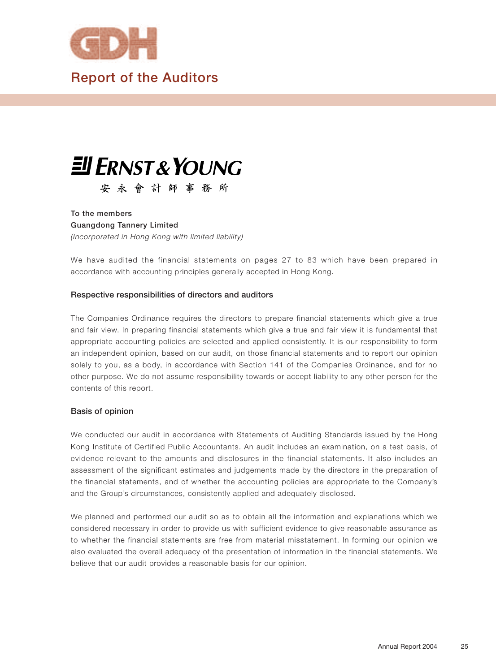

## EII ERNST & YOUNG

安永會計師事務所

#### **To the members**

#### **Guangdong Tannery Limited**

*(Incorporated in Hong Kong with limited liability)*

We have audited the financial statements on pages 27 to 83 which have been prepared in accordance with accounting principles generally accepted in Hong Kong.

#### **Respective responsibilities of directors and auditors**

The Companies Ordinance requires the directors to prepare financial statements which give a true and fair view. In preparing financial statements which give a true and fair view it is fundamental that appropriate accounting policies are selected and applied consistently. It is our responsibility to form an independent opinion, based on our audit, on those financial statements and to report our opinion solely to you, as a body, in accordance with Section 141 of the Companies Ordinance, and for no other purpose. We do not assume responsibility towards or accept liability to any other person for the contents of this report.

#### **Basis of opinion**

We conducted our audit in accordance with Statements of Auditing Standards issued by the Hong Kong Institute of Certified Public Accountants. An audit includes an examination, on a test basis, of evidence relevant to the amounts and disclosures in the financial statements. It also includes an assessment of the significant estimates and judgements made by the directors in the preparation of the financial statements, and of whether the accounting policies are appropriate to the Company's and the Group's circumstances, consistently applied and adequately disclosed.

We planned and performed our audit so as to obtain all the information and explanations which we considered necessary in order to provide us with sufficient evidence to give reasonable assurance as to whether the financial statements are free from material misstatement. In forming our opinion we also evaluated the overall adequacy of the presentation of information in the financial statements. We believe that our audit provides a reasonable basis for our opinion.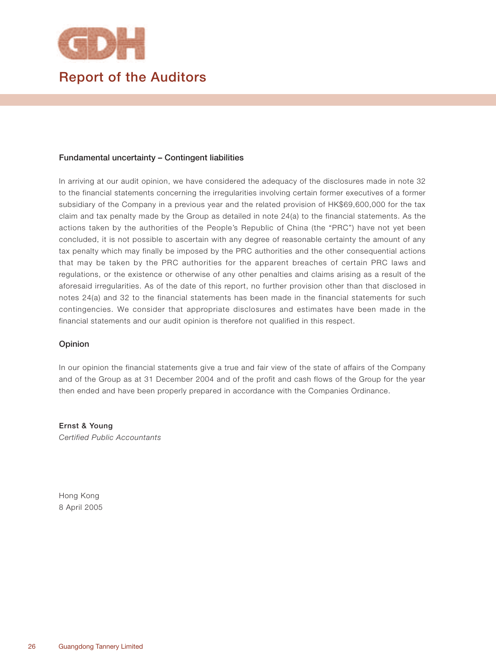

### **Report of the Auditors**

#### **Fundamental uncertainty – Contingent liabilities**

In arriving at our audit opinion, we have considered the adequacy of the disclosures made in note 32 to the financial statements concerning the irregularities involving certain former executives of a former subsidiary of the Company in a previous year and the related provision of HK\$69,600,000 for the tax claim and tax penalty made by the Group as detailed in note 24(a) to the financial statements. As the actions taken by the authorities of the People's Republic of China (the "PRC") have not yet been concluded, it is not possible to ascertain with any degree of reasonable certainty the amount of any tax penalty which may finally be imposed by the PRC authorities and the other consequential actions that may be taken by the PRC authorities for the apparent breaches of certain PRC laws and regulations, or the existence or otherwise of any other penalties and claims arising as a result of the aforesaid irregularities. As of the date of this report, no further provision other than that disclosed in notes 24(a) and 32 to the financial statements has been made in the financial statements for such contingencies. We consider that appropriate disclosures and estimates have been made in the financial statements and our audit opinion is therefore not qualified in this respect.

#### **Opinion**

In our opinion the financial statements give a true and fair view of the state of affairs of the Company and of the Group as at 31 December 2004 and of the profit and cash flows of the Group for the year then ended and have been properly prepared in accordance with the Companies Ordinance.

**Ernst & Young** *Certified Public Accountants*

Hong Kong 8 April 2005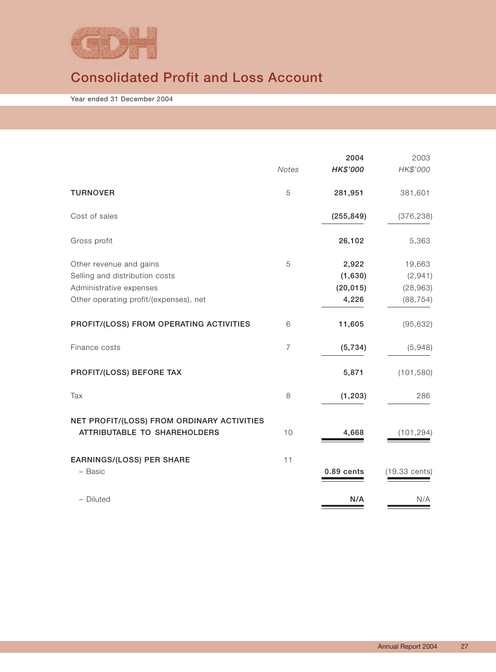

### **Consolidated Profit and Loss Account**

|                                            |                | 2004       | 2003          |
|--------------------------------------------|----------------|------------|---------------|
|                                            | Notes          | HK\$'000   | HK\$'000      |
| <b>TURNOVER</b>                            | $\mathbf 5$    | 281,951    | 381,601       |
| Cost of sales                              |                | (255, 849) | (376, 238)    |
| Gross profit                               |                | 26,102     | 5,363         |
| Other revenue and gains                    | 5              | 2,922      | 19,663        |
| Selling and distribution costs             |                | (1,630)    | (2,941)       |
| Administrative expenses                    |                | (20, 015)  | (28, 963)     |
| Other operating profit/(expenses), net     |                | 4,226      | (88, 754)     |
| PROFIT/(LOSS) FROM OPERATING ACTIVITIES    | 6              | 11,605     | (95, 632)     |
| Finance costs                              | $\overline{7}$ | (5, 734)   | (5,948)       |
| PROFIT/(LOSS) BEFORE TAX                   |                | 5,871      | (101, 580)    |
| Tax                                        | 8              | (1, 203)   | 286           |
| NET PROFIT/(LOSS) FROM ORDINARY ACTIVITIES |                |            |               |
| <b>ATTRIBUTABLE TO SHAREHOLDERS</b>        | 10             | 4,668      | (101, 294)    |
| <b>EARNINGS/(LOSS) PER SHARE</b>           | 11             |            |               |
| - Basic                                    |                | 0.89 cents | (19.33 cents) |
| - Diluted                                  |                | N/A        | N/A           |
|                                            |                |            |               |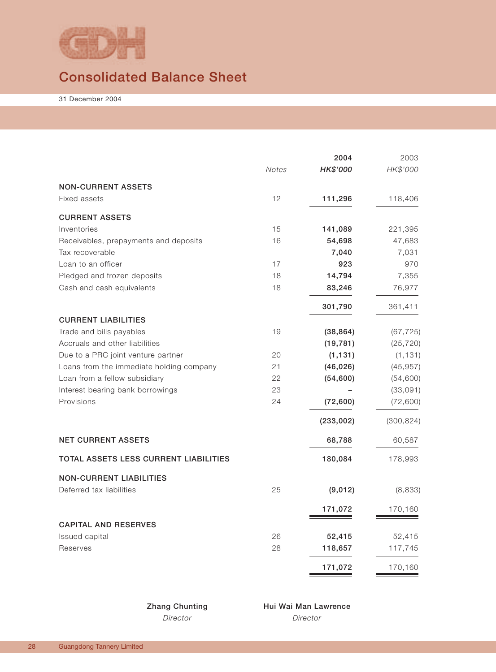

### **Consolidated Balance Sheet**

31 December 2004

|                                          |              | 2004      | 2003       |
|------------------------------------------|--------------|-----------|------------|
|                                          | <b>Notes</b> | HK\$'000  | HK\$'000   |
| <b>NON-CURRENT ASSETS</b>                |              |           |            |
| Fixed assets                             | 12           | 111,296   | 118,406    |
| <b>CURRENT ASSETS</b>                    |              |           |            |
| Inventories                              | 15           | 141,089   | 221,395    |
| Receivables, prepayments and deposits    | 16           | 54,698    | 47,683     |
| Tax recoverable                          |              | 7,040     | 7,031      |
| Loan to an officer                       | 17           | 923       | 970        |
| Pledged and frozen deposits              | 18           | 14,794    | 7,355      |
| Cash and cash equivalents                | 18           | 83,246    | 76,977     |
|                                          |              | 301,790   | 361,411    |
| <b>CURRENT LIABILITIES</b>               |              |           |            |
| Trade and bills payables                 | 19           | (38, 864) | (67, 725)  |
| Accruals and other liabilities           |              | (19, 781) | (25, 720)  |
| Due to a PRC joint venture partner       | 20           | (1, 131)  | (1, 131)   |
| Loans from the immediate holding company | 21           | (46, 026) | (45, 957)  |
| Loan from a fellow subsidiary            | 22           | (54, 600) | (54,600)   |
| Interest bearing bank borrowings         | 23           |           | (33,091)   |
| Provisions                               | 24           | (72,600)  | (72, 600)  |
|                                          |              | (233,002) | (300, 824) |
| <b>NET CURRENT ASSETS</b>                |              | 68,788    | 60,587     |
| TOTAL ASSETS LESS CURRENT LIABILITIES    |              | 180,084   | 178,993    |
| <b>NON-CURRENT LIABILITIES</b>           |              |           |            |
| Deferred tax liabilities                 | 25           | (9,012)   | (8,833)    |
|                                          |              | 171,072   | 170,160    |
| <b>CAPITAL AND RESERVES</b>              |              |           |            |
| Issued capital                           | 26           | 52,415    | 52,415     |
| Reserves                                 | 28           | 118,657   | 117,745    |
|                                          |              | 171,072   | 170,160    |
|                                          |              |           |            |

**Zhang Chunting Hui Wai Man Lawrence** *Director Director*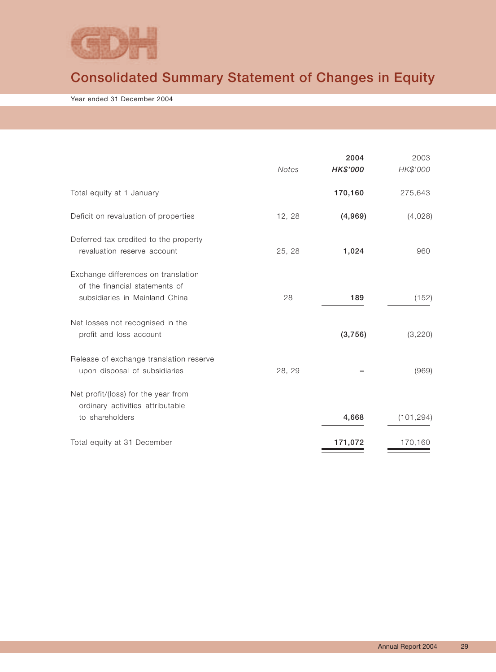

### **Consolidated Summary Statement of Changes in Equity**

|                                                                                                         | <b>Notes</b> | 2004<br>HK\$'000 | 2003<br>HK\$'000 |
|---------------------------------------------------------------------------------------------------------|--------------|------------------|------------------|
| Total equity at 1 January                                                                               |              | 170,160          | 275,643          |
| Deficit on revaluation of properties                                                                    | 12, 28       | (4,969)          | (4,028)          |
| Deferred tax credited to the property<br>revaluation reserve account                                    | 25, 28       | 1,024            | 960              |
| Exchange differences on translation<br>of the financial statements of<br>subsidiaries in Mainland China | 28           | 189              | (152)            |
| Net losses not recognised in the<br>profit and loss account                                             |              | (3,756)          | (3, 220)         |
| Release of exchange translation reserve<br>upon disposal of subsidiaries                                | 28, 29       |                  | (969)            |
| Net profit/(loss) for the year from<br>ordinary activities attributable<br>to shareholders              |              | 4,668            | (101, 294)       |
| Total equity at 31 December                                                                             |              | 171,072          | 170,160          |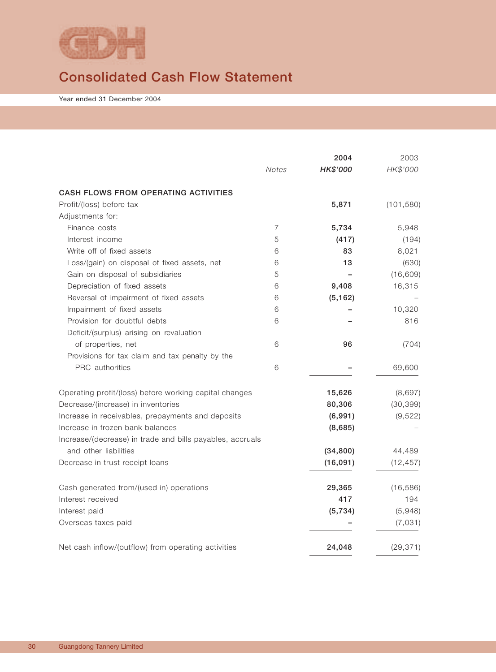

### **Consolidated Cash Flow Statement**

|                                                           |              | 2004      | 2003       |
|-----------------------------------------------------------|--------------|-----------|------------|
|                                                           | <b>Notes</b> | HK\$'000  | HK\$'000   |
| <b>CASH FLOWS FROM OPERATING ACTIVITIES</b>               |              |           |            |
| Profit/(loss) before tax                                  |              | 5,871     | (101, 580) |
| Adjustments for:                                          |              |           |            |
| Finance costs                                             | 7            | 5,734     | 5,948      |
| Interest income                                           | 5            | (417)     | (194)      |
| Write off of fixed assets                                 | 6            | 83        | 8,021      |
| Loss/(gain) on disposal of fixed assets, net              | 6            | 13        | (630)      |
| Gain on disposal of subsidiaries                          | 5            |           | (16, 609)  |
| Depreciation of fixed assets                              | 6            | 9,408     | 16,315     |
| Reversal of impairment of fixed assets                    | 6            | (5, 162)  |            |
| Impairment of fixed assets                                | 6            |           | 10,320     |
| Provision for doubtful debts                              | 6            |           | 816        |
| Deficit/(surplus) arising on revaluation                  |              |           |            |
| of properties, net                                        | 6            | 96        | (704)      |
| Provisions for tax claim and tax penalty by the           |              |           |            |
| <b>PRC</b> authorities                                    | 6            |           | 69,600     |
| Operating profit/(loss) before working capital changes    |              | 15,626    | (8,697)    |
| Decrease/(increase) in inventories                        |              | 80,306    | (30, 399)  |
| Increase in receivables, prepayments and deposits         |              | (6,991)   | (9, 522)   |
| Increase in frozen bank balances                          |              | (8,685)   |            |
| Increase/(decrease) in trade and bills payables, accruals |              |           |            |
| and other liabilities                                     |              | (34, 800) | 44,489     |
| Decrease in trust receipt loans                           |              | (16, 091) | (12, 457)  |
|                                                           |              |           |            |
| Cash generated from/(used in) operations                  |              | 29,365    | (16, 586)  |
| Interest received                                         |              | 417       | 194        |
| Interest paid                                             |              | (5,734)   | (5,948)    |
| Overseas taxes paid                                       |              |           | (7,031)    |
|                                                           |              |           |            |
| Net cash inflow/(outflow) from operating activities       |              | 24,048    | (29, 371)  |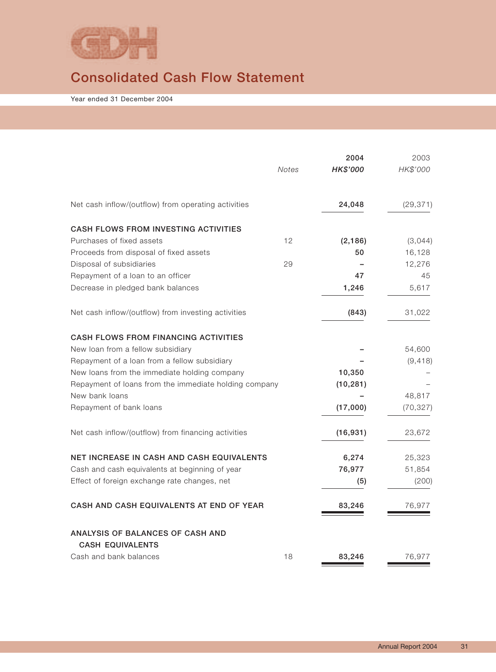

### **Consolidated Cash Flow Statement**

|                                                       | Notes | 2004<br>HK\$'000 | 2003<br>HK\$'000 |
|-------------------------------------------------------|-------|------------------|------------------|
| Net cash inflow/(outflow) from operating activities   |       | 24,048           | (29, 371)        |
| <b>CASH FLOWS FROM INVESTING ACTIVITIES</b>           |       |                  |                  |
| Purchases of fixed assets                             | 12    | (2, 186)         | (3,044)          |
| Proceeds from disposal of fixed assets                |       | 50               | 16,128           |
| Disposal of subsidiaries                              | 29    |                  | 12,276           |
| Repayment of a loan to an officer                     |       | 47               | 45               |
| Decrease in pledged bank balances                     |       | 1,246            | 5,617            |
| Net cash inflow/(outflow) from investing activities   |       | (843)            | 31,022           |
| <b>CASH FLOWS FROM FINANCING ACTIVITIES</b>           |       |                  |                  |
| New loan from a fellow subsidiary                     |       |                  | 54,600           |
| Repayment of a loan from a fellow subsidiary          |       |                  | (9, 418)         |
| New loans from the immediate holding company          |       | 10,350           |                  |
| Repayment of loans from the immediate holding company |       | (10, 281)        |                  |
| New bank loans                                        |       |                  | 48,817           |
| Repayment of bank loans                               |       | (17,000)         | (70, 327)        |
| Net cash inflow/(outflow) from financing activities   |       | (16, 931)        | 23,672           |
| <b>NET INCREASE IN CASH AND CASH EQUIVALENTS</b>      |       | 6,274            | 25,323           |
| Cash and cash equivalents at beginning of year        |       | 76,977           | 51,854           |
| Effect of foreign exchange rate changes, net          |       | (5)              | (200)            |
| CASH AND CASH EQUIVALENTS AT END OF YEAR              |       | 83,246           | 76,977           |
| ANALYSIS OF BALANCES OF CASH AND                      |       |                  |                  |
| <b>CASH EQUIVALENTS</b><br>Cash and bank balances     | 18    | 83,246           | 76,977           |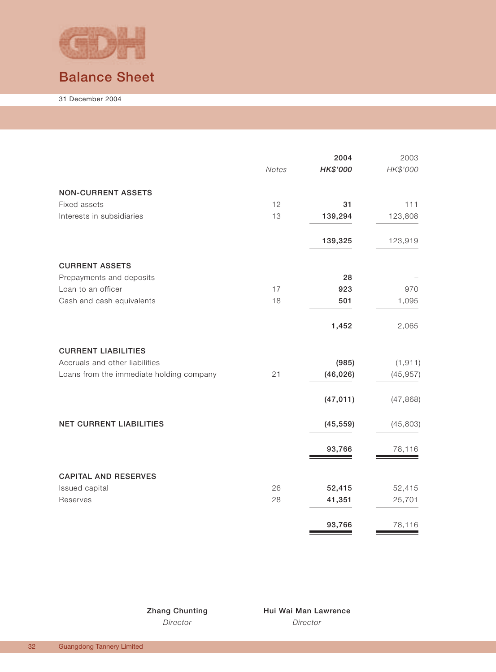

### **Balance Sheet**

31 December 2004

|                                          | Notes | 2004<br>HK\$'000 | 2003<br>HK\$'000 |
|------------------------------------------|-------|------------------|------------------|
| <b>NON-CURRENT ASSETS</b>                |       |                  |                  |
| Fixed assets                             | 12    | 31               | 111              |
| Interests in subsidiaries                | 13    | 139,294          | 123,808          |
|                                          |       | 139,325          | 123,919          |
| <b>CURRENT ASSETS</b>                    |       |                  |                  |
| Prepayments and deposits                 |       | 28               |                  |
| Loan to an officer                       | 17    | 923              | 970              |
| Cash and cash equivalents                | 18    | 501              | 1,095            |
|                                          |       | 1,452            | 2,065            |
| <b>CURRENT LIABILITIES</b>               |       |                  |                  |
| Accruals and other liabilities           |       | (985)            | (1, 911)         |
| Loans from the immediate holding company | 21    | (46, 026)        | (45, 957)        |
|                                          |       | (47, 011)        | (47, 868)        |
| <b>NET CURRENT LIABILITIES</b>           |       | (45, 559)        | (45, 803)        |
|                                          |       | 93,766           | 78,116           |
| <b>CAPITAL AND RESERVES</b>              |       |                  |                  |
| Issued capital                           | 26    | 52,415           | 52,415           |
| Reserves                                 | 28    | 41,351           | 25,701           |
|                                          |       | 93,766           | 78,116           |

**Zhang Chunting Hui Wai Man Lawrence** *Director Director*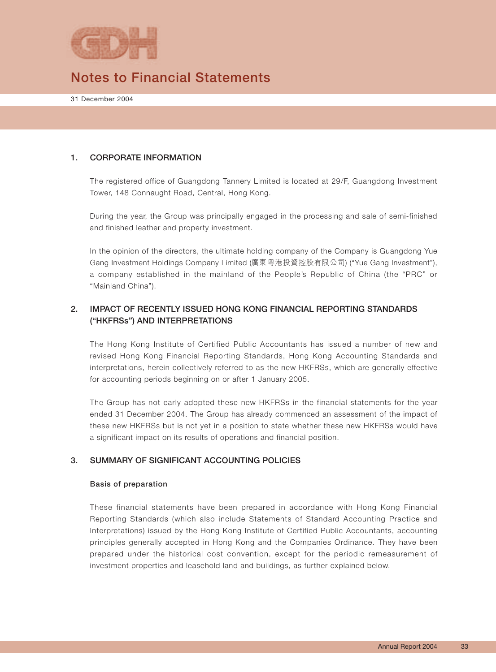

### **Notes to Financial Statements**

31 December 2004

#### **1. CORPORATE INFORMATION**

The registered office of Guangdong Tannery Limited is located at 29/F, Guangdong Investment Tower, 148 Connaught Road, Central, Hong Kong.

During the year, the Group was principally engaged in the processing and sale of semi-finished and finished leather and property investment.

In the opinion of the directors, the ultimate holding company of the Company is Guangdong Yue Gang Investment Holdings Company Limited (廣東粵港投資控股有限公司) ("Yue Gang Investment"), a company established in the mainland of the People's Republic of China (the "PRC" or "Mainland China").

#### **2. IMPACT OF RECENTLY ISSUED HONG KONG FINANCIAL REPORTING STANDARDS ("HKFRSs") AND INTERPRETATIONS**

The Hong Kong Institute of Certified Public Accountants has issued a number of new and revised Hong Kong Financial Reporting Standards, Hong Kong Accounting Standards and interpretations, herein collectively referred to as the new HKFRSs, which are generally effective for accounting periods beginning on or after 1 January 2005.

The Group has not early adopted these new HKFRSs in the financial statements for the year ended 31 December 2004. The Group has already commenced an assessment of the impact of these new HKFRSs but is not yet in a position to state whether these new HKFRSs would have a significant impact on its results of operations and financial position.

#### **3. SUMMARY OF SIGNIFICANT ACCOUNTING POLICIES**

#### **Basis of preparation**

These financial statements have been prepared in accordance with Hong Kong Financial Reporting Standards (which also include Statements of Standard Accounting Practice and Interpretations) issued by the Hong Kong Institute of Certified Public Accountants, accounting principles generally accepted in Hong Kong and the Companies Ordinance. They have been prepared under the historical cost convention, except for the periodic remeasurement of investment properties and leasehold land and buildings, as further explained below.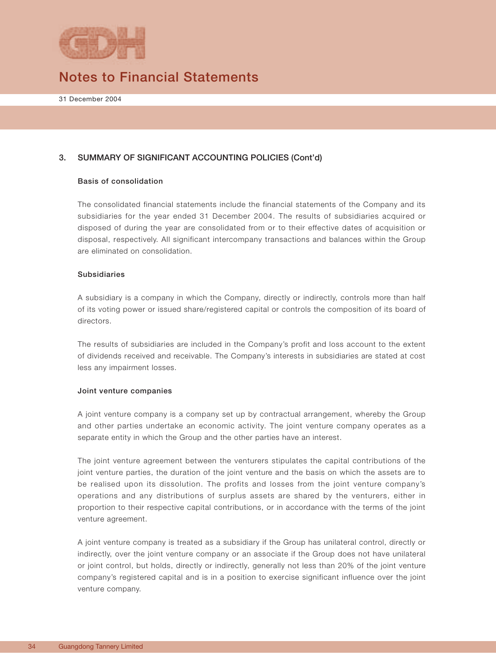

### **Notes to Financial Statements**

31 December 2004

#### **3. SUMMARY OF SIGNIFICANT ACCOUNTING POLICIES (Cont'd)**

#### **Basis of consolidation**

The consolidated financial statements include the financial statements of the Company and its subsidiaries for the year ended 31 December 2004. The results of subsidiaries acquired or disposed of during the year are consolidated from or to their effective dates of acquisition or disposal, respectively. All significant intercompany transactions and balances within the Group are eliminated on consolidation.

#### **Subsidiaries**

A subsidiary is a company in which the Company, directly or indirectly, controls more than half of its voting power or issued share/registered capital or controls the composition of its board of directors.

The results of subsidiaries are included in the Company's profit and loss account to the extent of dividends received and receivable. The Company's interests in subsidiaries are stated at cost less any impairment losses.

#### **Joint venture companies**

A joint venture company is a company set up by contractual arrangement, whereby the Group and other parties undertake an economic activity. The joint venture company operates as a separate entity in which the Group and the other parties have an interest.

The joint venture agreement between the venturers stipulates the capital contributions of the joint venture parties, the duration of the joint venture and the basis on which the assets are to be realised upon its dissolution. The profits and losses from the joint venture company's operations and any distributions of surplus assets are shared by the venturers, either in proportion to their respective capital contributions, or in accordance with the terms of the joint venture agreement.

A joint venture company is treated as a subsidiary if the Group has unilateral control, directly or indirectly, over the joint venture company or an associate if the Group does not have unilateral or joint control, but holds, directly or indirectly, generally not less than 20% of the joint venture company's registered capital and is in a position to exercise significant influence over the joint venture company.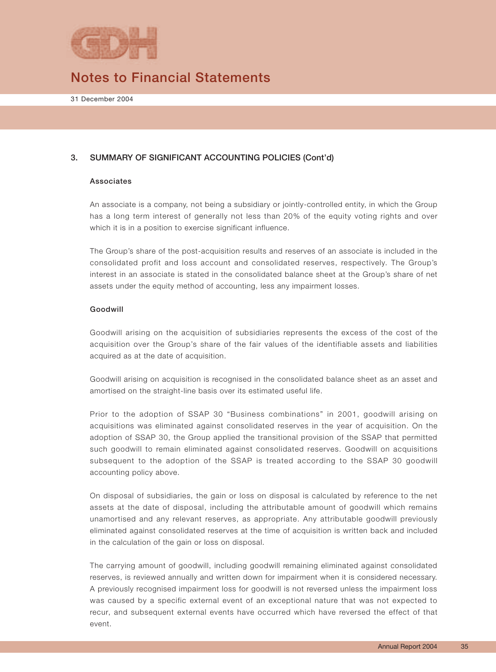

### **Notes to Financial Statements**

31 December 2004

#### **3. SUMMARY OF SIGNIFICANT ACCOUNTING POLICIES (Cont'd)**

#### **Associates**

An associate is a company, not being a subsidiary or jointly-controlled entity, in which the Group has a long term interest of generally not less than 20% of the equity voting rights and over which it is in a position to exercise significant influence.

The Group's share of the post-acquisition results and reserves of an associate is included in the consolidated profit and loss account and consolidated reserves, respectively. The Group's interest in an associate is stated in the consolidated balance sheet at the Group's share of net assets under the equity method of accounting, less any impairment losses.

#### **Goodwill**

Goodwill arising on the acquisition of subsidiaries represents the excess of the cost of the acquisition over the Group's share of the fair values of the identifiable assets and liabilities acquired as at the date of acquisition.

Goodwill arising on acquisition is recognised in the consolidated balance sheet as an asset and amortised on the straight-line basis over its estimated useful life.

Prior to the adoption of SSAP 30 "Business combinations" in 2001, goodwill arising on acquisitions was eliminated against consolidated reserves in the year of acquisition. On the adoption of SSAP 30, the Group applied the transitional provision of the SSAP that permitted such goodwill to remain eliminated against consolidated reserves. Goodwill on acquisitions subsequent to the adoption of the SSAP is treated according to the SSAP 30 goodwill accounting policy above.

On disposal of subsidiaries, the gain or loss on disposal is calculated by reference to the net assets at the date of disposal, including the attributable amount of goodwill which remains unamortised and any relevant reserves, as appropriate. Any attributable goodwill previously eliminated against consolidated reserves at the time of acquisition is written back and included in the calculation of the gain or loss on disposal.

The carrying amount of goodwill, including goodwill remaining eliminated against consolidated reserves, is reviewed annually and written down for impairment when it is considered necessary. A previously recognised impairment loss for goodwill is not reversed unless the impairment loss was caused by a specific external event of an exceptional nature that was not expected to recur, and subsequent external events have occurred which have reversed the effect of that event.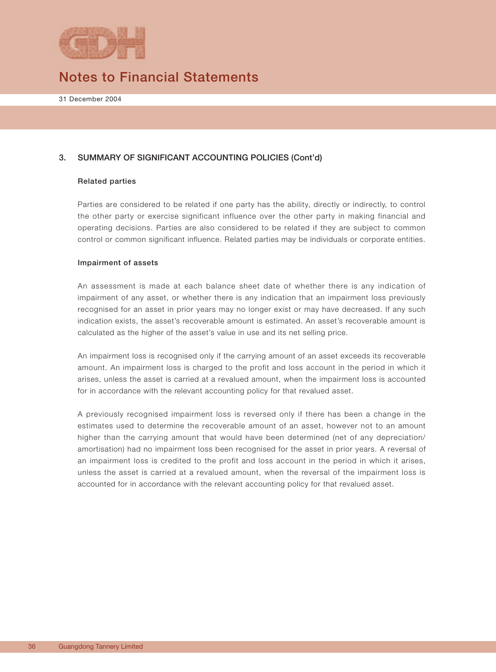

31 December 2004

## **3. SUMMARY OF SIGNIFICANT ACCOUNTING POLICIES (Cont'd)**

#### **Related parties**

Parties are considered to be related if one party has the ability, directly or indirectly, to control the other party or exercise significant influence over the other party in making financial and operating decisions. Parties are also considered to be related if they are subject to common control or common significant influence. Related parties may be individuals or corporate entities.

#### **Impairment of assets**

An assessment is made at each balance sheet date of whether there is any indication of impairment of any asset, or whether there is any indication that an impairment loss previously recognised for an asset in prior years may no longer exist or may have decreased. If any such indication exists, the asset's recoverable amount is estimated. An asset's recoverable amount is calculated as the higher of the asset's value in use and its net selling price.

An impairment loss is recognised only if the carrying amount of an asset exceeds its recoverable amount. An impairment loss is charged to the profit and loss account in the period in which it arises, unless the asset is carried at a revalued amount, when the impairment loss is accounted for in accordance with the relevant accounting policy for that revalued asset.

A previously recognised impairment loss is reversed only if there has been a change in the estimates used to determine the recoverable amount of an asset, however not to an amount higher than the carrying amount that would have been determined (net of any depreciation/ amortisation) had no impairment loss been recognised for the asset in prior years. A reversal of an impairment loss is credited to the profit and loss account in the period in which it arises, unless the asset is carried at a revalued amount, when the reversal of the impairment loss is accounted for in accordance with the relevant accounting policy for that revalued asset.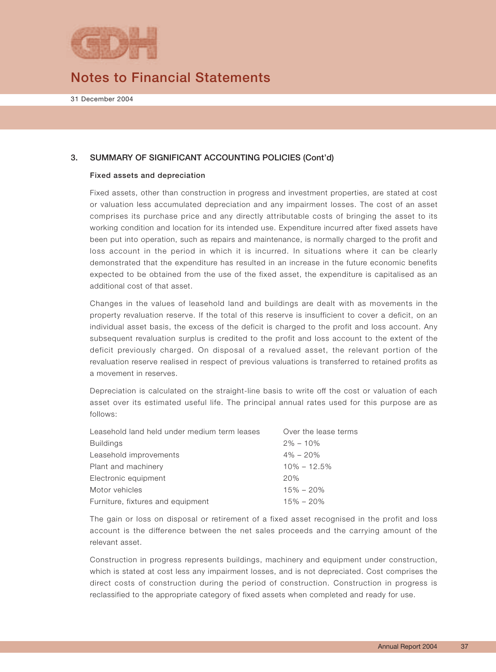

31 December 2004

## **3. SUMMARY OF SIGNIFICANT ACCOUNTING POLICIES (Cont'd)**

#### **Fixed assets and depreciation**

Fixed assets, other than construction in progress and investment properties, are stated at cost or valuation less accumulated depreciation and any impairment losses. The cost of an asset comprises its purchase price and any directly attributable costs of bringing the asset to its working condition and location for its intended use. Expenditure incurred after fixed assets have been put into operation, such as repairs and maintenance, is normally charged to the profit and loss account in the period in which it is incurred. In situations where it can be clearly demonstrated that the expenditure has resulted in an increase in the future economic benefits expected to be obtained from the use of the fixed asset, the expenditure is capitalised as an additional cost of that asset.

Changes in the values of leasehold land and buildings are dealt with as movements in the property revaluation reserve. If the total of this reserve is insufficient to cover a deficit, on an individual asset basis, the excess of the deficit is charged to the profit and loss account. Any subsequent revaluation surplus is credited to the profit and loss account to the extent of the deficit previously charged. On disposal of a revalued asset, the relevant portion of the revaluation reserve realised in respect of previous valuations is transferred to retained profits as a movement in reserves.

Depreciation is calculated on the straight-line basis to write off the cost or valuation of each asset over its estimated useful life. The principal annual rates used for this purpose are as follows:

| Over the lease terms |
|----------------------|
| $2\% - 10\%$         |
| $4\% - 20\%$         |
| $10\% - 12.5\%$      |
| 20%                  |
| $15\% - 20\%$        |
| $15\% - 20\%$        |
|                      |

The gain or loss on disposal or retirement of a fixed asset recognised in the profit and loss account is the difference between the net sales proceeds and the carrying amount of the relevant asset.

Construction in progress represents buildings, machinery and equipment under construction, which is stated at cost less any impairment losses, and is not depreciated. Cost comprises the direct costs of construction during the period of construction. Construction in progress is reclassified to the appropriate category of fixed assets when completed and ready for use.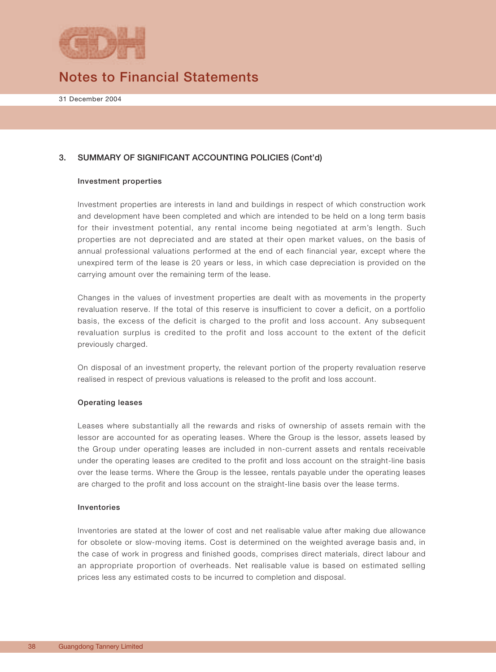

31 December 2004

## **3. SUMMARY OF SIGNIFICANT ACCOUNTING POLICIES (Cont'd)**

#### **Investment properties**

Investment properties are interests in land and buildings in respect of which construction work and development have been completed and which are intended to be held on a long term basis for their investment potential, any rental income being negotiated at arm's length. Such properties are not depreciated and are stated at their open market values, on the basis of annual professional valuations performed at the end of each financial year, except where the unexpired term of the lease is 20 years or less, in which case depreciation is provided on the carrying amount over the remaining term of the lease.

Changes in the values of investment properties are dealt with as movements in the property revaluation reserve. If the total of this reserve is insufficient to cover a deficit, on a portfolio basis, the excess of the deficit is charged to the profit and loss account. Any subsequent revaluation surplus is credited to the profit and loss account to the extent of the deficit previously charged.

On disposal of an investment property, the relevant portion of the property revaluation reserve realised in respect of previous valuations is released to the profit and loss account.

#### **Operating leases**

Leases where substantially all the rewards and risks of ownership of assets remain with the lessor are accounted for as operating leases. Where the Group is the lessor, assets leased by the Group under operating leases are included in non-current assets and rentals receivable under the operating leases are credited to the profit and loss account on the straight-line basis over the lease terms. Where the Group is the lessee, rentals payable under the operating leases are charged to the profit and loss account on the straight-line basis over the lease terms.

#### **Inventories**

Inventories are stated at the lower of cost and net realisable value after making due allowance for obsolete or slow-moving items. Cost is determined on the weighted average basis and, in the case of work in progress and finished goods, comprises direct materials, direct labour and an appropriate proportion of overheads. Net realisable value is based on estimated selling prices less any estimated costs to be incurred to completion and disposal.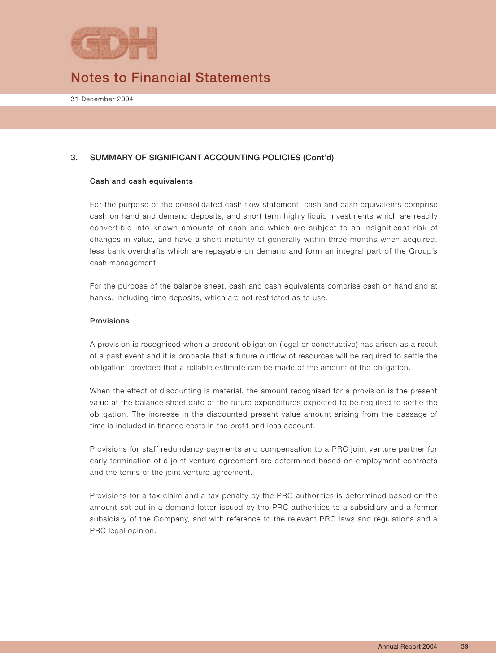

31 December 2004

## **3. SUMMARY OF SIGNIFICANT ACCOUNTING POLICIES (Cont'd)**

#### **Cash and cash equivalents**

For the purpose of the consolidated cash flow statement, cash and cash equivalents comprise cash on hand and demand deposits, and short term highly liquid investments which are readily convertible into known amounts of cash and which are subject to an insignificant risk of changes in value, and have a short maturity of generally within three months when acquired, less bank overdrafts which are repayable on demand and form an integral part of the Group's cash management.

For the purpose of the balance sheet, cash and cash equivalents comprise cash on hand and at banks, including time deposits, which are not restricted as to use.

#### **Provisions**

A provision is recognised when a present obligation (legal or constructive) has arisen as a result of a past event and it is probable that a future outflow of resources will be required to settle the obligation, provided that a reliable estimate can be made of the amount of the obligation.

When the effect of discounting is material, the amount recognised for a provision is the present value at the balance sheet date of the future expenditures expected to be required to settle the obligation. The increase in the discounted present value amount arising from the passage of time is included in finance costs in the profit and loss account.

Provisions for staff redundancy payments and compensation to a PRC joint venture partner for early termination of a joint venture agreement are determined based on employment contracts and the terms of the joint venture agreement.

Provisions for a tax claim and a tax penalty by the PRC authorities is determined based on the amount set out in a demand letter issued by the PRC authorities to a subsidiary and a former subsidiary of the Company, and with reference to the relevant PRC laws and regulations and a PRC legal opinion.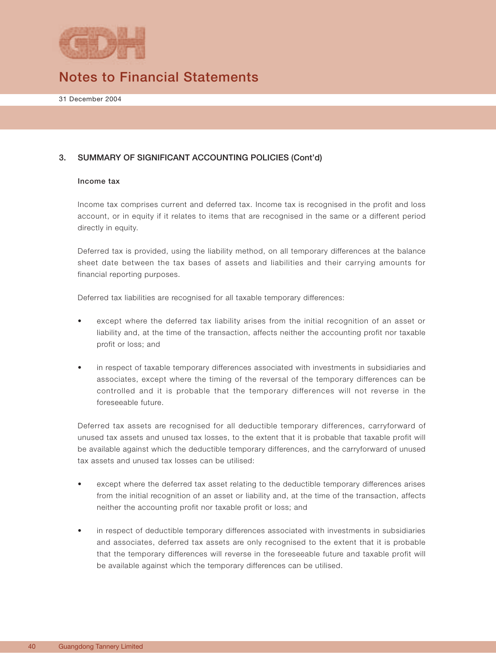

31 December 2004

## **3. SUMMARY OF SIGNIFICANT ACCOUNTING POLICIES (Cont'd)**

#### **Income tax**

Income tax comprises current and deferred tax. Income tax is recognised in the profit and loss account, or in equity if it relates to items that are recognised in the same or a different period directly in equity.

Deferred tax is provided, using the liability method, on all temporary differences at the balance sheet date between the tax bases of assets and liabilities and their carrying amounts for financial reporting purposes.

Deferred tax liabilities are recognised for all taxable temporary differences:

- except where the deferred tax liability arises from the initial recognition of an asset or liability and, at the time of the transaction, affects neither the accounting profit nor taxable profit or loss; and
- in respect of taxable temporary differences associated with investments in subsidiaries and associates, except where the timing of the reversal of the temporary differences can be controlled and it is probable that the temporary differences will not reverse in the foreseeable future.

Deferred tax assets are recognised for all deductible temporary differences, carryforward of unused tax assets and unused tax losses, to the extent that it is probable that taxable profit will be available against which the deductible temporary differences, and the carryforward of unused tax assets and unused tax losses can be utilised:

- except where the deferred tax asset relating to the deductible temporary differences arises from the initial recognition of an asset or liability and, at the time of the transaction, affects neither the accounting profit nor taxable profit or loss; and
- in respect of deductible temporary differences associated with investments in subsidiaries and associates, deferred tax assets are only recognised to the extent that it is probable that the temporary differences will reverse in the foreseeable future and taxable profit will be available against which the temporary differences can be utilised.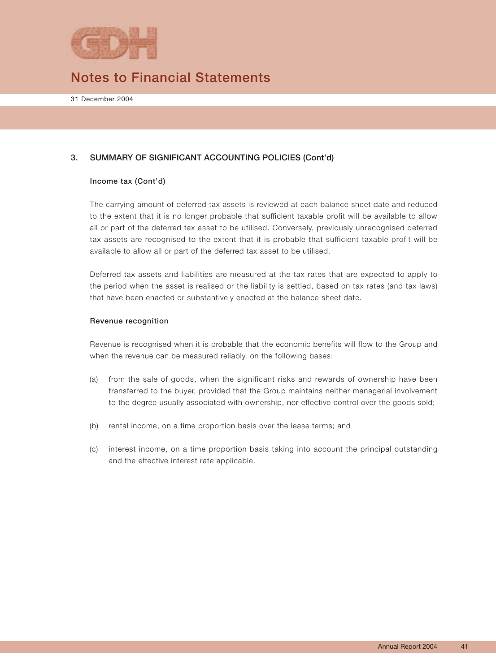

31 December 2004

## **3. SUMMARY OF SIGNIFICANT ACCOUNTING POLICIES (Cont'd)**

#### **Income tax (Cont'd)**

The carrying amount of deferred tax assets is reviewed at each balance sheet date and reduced to the extent that it is no longer probable that sufficient taxable profit will be available to allow all or part of the deferred tax asset to be utilised. Conversely, previously unrecognised deferred tax assets are recognised to the extent that it is probable that sufficient taxable profit will be available to allow all or part of the deferred tax asset to be utilised.

Deferred tax assets and liabilities are measured at the tax rates that are expected to apply to the period when the asset is realised or the liability is settled, based on tax rates (and tax laws) that have been enacted or substantively enacted at the balance sheet date.

#### **Revenue recognition**

Revenue is recognised when it is probable that the economic benefits will flow to the Group and when the revenue can be measured reliably, on the following bases:

- (a) from the sale of goods, when the significant risks and rewards of ownership have been transferred to the buyer, provided that the Group maintains neither managerial involvement to the degree usually associated with ownership, nor effective control over the goods sold;
- (b) rental income, on a time proportion basis over the lease terms; and
- (c) interest income, on a time proportion basis taking into account the principal outstanding and the effective interest rate applicable.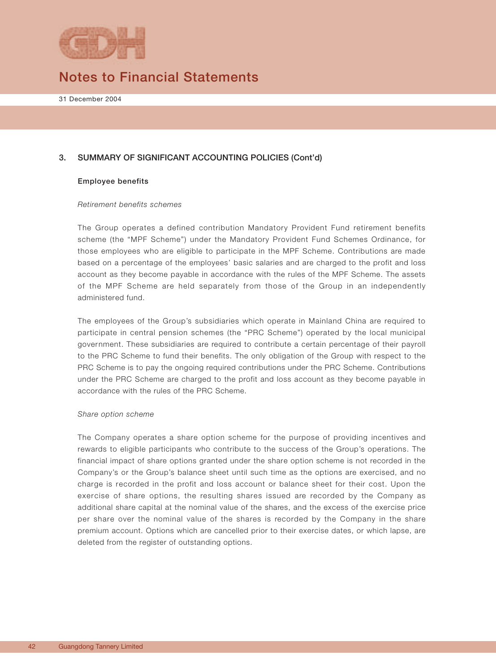

31 December 2004

### **3. SUMMARY OF SIGNIFICANT ACCOUNTING POLICIES (Cont'd)**

#### **Employee benefits**

#### *Retirement benefits schemes*

The Group operates a defined contribution Mandatory Provident Fund retirement benefits scheme (the "MPF Scheme") under the Mandatory Provident Fund Schemes Ordinance, for those employees who are eligible to participate in the MPF Scheme. Contributions are made based on a percentage of the employees' basic salaries and are charged to the profit and loss account as they become payable in accordance with the rules of the MPF Scheme. The assets of the MPF Scheme are held separately from those of the Group in an independently administered fund.

The employees of the Group's subsidiaries which operate in Mainland China are required to participate in central pension schemes (the "PRC Scheme") operated by the local municipal government. These subsidiaries are required to contribute a certain percentage of their payroll to the PRC Scheme to fund their benefits. The only obligation of the Group with respect to the PRC Scheme is to pay the ongoing required contributions under the PRC Scheme. Contributions under the PRC Scheme are charged to the profit and loss account as they become payable in accordance with the rules of the PRC Scheme.

#### *Share option scheme*

The Company operates a share option scheme for the purpose of providing incentives and rewards to eligible participants who contribute to the success of the Group's operations. The financial impact of share options granted under the share option scheme is not recorded in the Company's or the Group's balance sheet until such time as the options are exercised, and no charge is recorded in the profit and loss account or balance sheet for their cost. Upon the exercise of share options, the resulting shares issued are recorded by the Company as additional share capital at the nominal value of the shares, and the excess of the exercise price per share over the nominal value of the shares is recorded by the Company in the share premium account. Options which are cancelled prior to their exercise dates, or which lapse, are deleted from the register of outstanding options.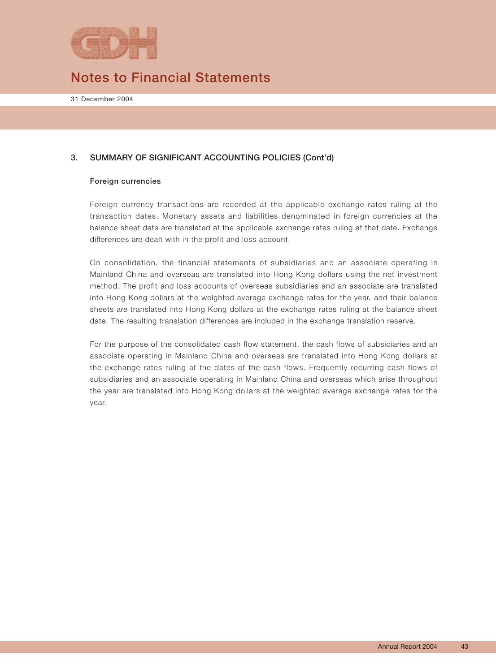

31 December 2004

## **3. SUMMARY OF SIGNIFICANT ACCOUNTING POLICIES (Cont'd)**

#### **Foreign currencies**

Foreign currency transactions are recorded at the applicable exchange rates ruling at the transaction dates. Monetary assets and liabilities denominated in foreign currencies at the balance sheet date are translated at the applicable exchange rates ruling at that date. Exchange differences are dealt with in the profit and loss account.

On consolidation, the financial statements of subsidiaries and an associate operating in Mainland China and overseas are translated into Hong Kong dollars using the net investment method. The profit and loss accounts of overseas subsidiaries and an associate are translated into Hong Kong dollars at the weighted average exchange rates for the year, and their balance sheets are translated into Hong Kong dollars at the exchange rates ruling at the balance sheet date. The resulting translation differences are included in the exchange translation reserve.

For the purpose of the consolidated cash flow statement, the cash flows of subsidiaries and an associate operating in Mainland China and overseas are translated into Hong Kong dollars at the exchange rates ruling at the dates of the cash flows. Frequently recurring cash flows of subsidiaries and an associate operating in Mainland China and overseas which arise throughout the year are translated into Hong Kong dollars at the weighted average exchange rates for the year.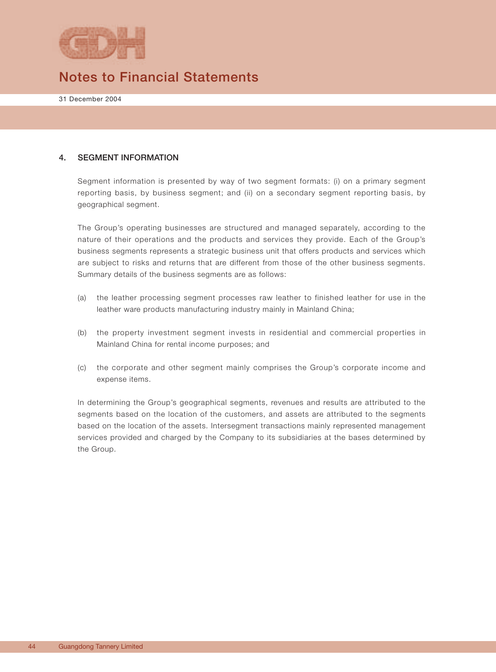

31 December 2004

## **4. SEGMENT INFORMATION**

Segment information is presented by way of two segment formats: (i) on a primary segment reporting basis, by business segment; and (ii) on a secondary segment reporting basis, by geographical segment.

The Group's operating businesses are structured and managed separately, according to the nature of their operations and the products and services they provide. Each of the Group's business segments represents a strategic business unit that offers products and services which are subject to risks and returns that are different from those of the other business segments. Summary details of the business segments are as follows:

- (a) the leather processing segment processes raw leather to finished leather for use in the leather ware products manufacturing industry mainly in Mainland China;
- (b) the property investment segment invests in residential and commercial properties in Mainland China for rental income purposes; and
- (c) the corporate and other segment mainly comprises the Group's corporate income and expense items.

In determining the Group's geographical segments, revenues and results are attributed to the segments based on the location of the customers, and assets are attributed to the segments based on the location of the assets. Intersegment transactions mainly represented management services provided and charged by the Company to its subsidiaries at the bases determined by the Group.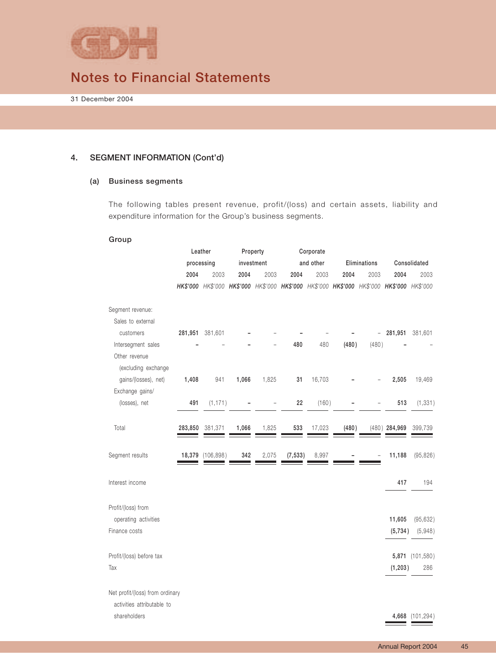

31 December 2004

## **4. SEGMENT INFORMATION (Cont'd)**

#### **(a) Business segments**

The following tables present revenue, profit/(loss) and certain assets, liability and expenditure information for the Group's business segments.

|                                            |         | Leather          | Property<br>investment |       | Corporate<br>and other                                                                    |        |              |       |                 |                 |
|--------------------------------------------|---------|------------------|------------------------|-------|-------------------------------------------------------------------------------------------|--------|--------------|-------|-----------------|-----------------|
|                                            |         | processing       |                        |       |                                                                                           |        | Eliminations |       | Consolidated    |                 |
|                                            | 2004    | 2003             | 2004                   | 2003  | 2004                                                                                      | 2003   | 2004         | 2003  | 2004            | 2003            |
|                                            |         |                  |                        |       | HK\$'000 HK\$'000 HK\$'000 HK\$'000 HK\$'000 HK\$'000 HK\$'000 HK\$'000 HK\$'000 HK\$'000 |        |              |       |                 |                 |
| Segment revenue:                           |         |                  |                        |       |                                                                                           |        |              |       |                 |                 |
| Sales to external                          |         |                  |                        |       |                                                                                           |        |              |       |                 |                 |
| customers                                  |         | 281,951 381,601  |                        |       |                                                                                           |        |              |       | 281,951         | 381,601         |
| Intersegment sales                         |         |                  |                        |       | 480                                                                                       | 480    | (480)        | (480) |                 |                 |
| Other revenue                              |         |                  |                        |       |                                                                                           |        |              |       |                 |                 |
| (excluding exchange                        |         |                  |                        |       |                                                                                           |        |              |       |                 |                 |
| gains/(losses), net)                       | 1,408   | 941              | 1,066                  | 1,825 | 31                                                                                        | 16,703 |              |       | 2,505           | 19,469          |
| Exchange gains/                            |         |                  |                        |       |                                                                                           |        |              |       |                 |                 |
| (losses), net                              | 491     | (1, 171)         |                        |       | 22                                                                                        | (160)  |              |       | 513             | (1, 331)        |
| Total                                      | 283,850 | 381,371          | 1,066                  | 1,825 | 533                                                                                       | 17,023 | (480)        |       | $(480)$ 284,969 | 399,739         |
| Segment results                            |         | 18,379 (106,898) | 342                    | 2,075 | (7, 533)                                                                                  | 8,997  |              |       | 11,188          | (95, 826)       |
| Interest income                            |         |                  |                        |       |                                                                                           |        |              |       | 417             | 194             |
| Profit/(loss) from                         |         |                  |                        |       |                                                                                           |        |              |       |                 |                 |
| operating activities                       |         |                  |                        |       |                                                                                           |        |              |       | 11,605          | (95, 632)       |
| Finance costs                              |         |                  |                        |       |                                                                                           |        |              |       | (5,734)         | (5,948)         |
| Profit/(loss) before tax                   |         |                  |                        |       |                                                                                           |        |              |       |                 | 5,871 (101,580) |
| Tax                                        |         |                  |                        |       |                                                                                           |        |              |       | (1, 203)        | 286             |
| Net profit/(loss) from ordinary            |         |                  |                        |       |                                                                                           |        |              |       |                 |                 |
| activities attributable to<br>shareholders |         |                  |                        |       |                                                                                           |        |              |       | 4,668           | (101, 294)      |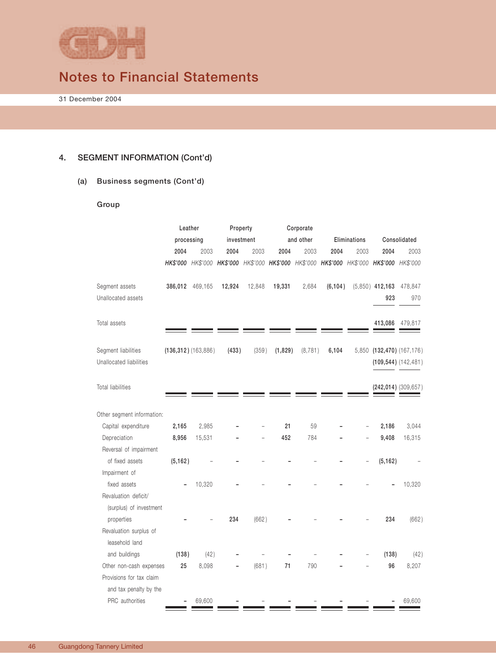

31 December 2004

## **4. SEGMENT INFORMATION (Cont'd)**

## **(a) Business segments (Cont'd)**

|                            | Leather    |                           | Property   |        | Corporate                                                                                 |          |              |      |                           |                           |
|----------------------------|------------|---------------------------|------------|--------|-------------------------------------------------------------------------------------------|----------|--------------|------|---------------------------|---------------------------|
|                            | processing |                           | investment |        | and other                                                                                 |          | Eliminations |      | Consolidated              |                           |
|                            | 2004       | 2003                      | 2004       | 2003   | 2004                                                                                      | 2003     | 2004         | 2003 | 2004                      | 2003                      |
|                            |            |                           |            |        | HK\$'000 HK\$'000 HK\$'000 HK\$'000 HK\$'000 HK\$'000 HK\$'000 HK\$'000 HK\$'000 HK\$'000 |          |              |      |                           |                           |
| Segment assets             |            | 386,012 469,165           | 12,924     | 12,848 | 19,331                                                                                    | 2,684    | (6, 104)     |      | $(5,850)$ 412,163         | 478,847                   |
| Unallocated assets         |            |                           |            |        |                                                                                           |          |              |      | 923                       | 970                       |
| Total assets               |            |                           |            |        |                                                                                           |          |              |      | 413,086                   | 479,817                   |
| Segment liabilities        |            | $(136, 312)$ $(163, 886)$ | (433)      | (359)  | (1,829)                                                                                   | (8, 781) | 6,104        |      | 5,850 (132,470) (167,176) |                           |
| Unallocated liabilities    |            |                           |            |        |                                                                                           |          |              |      |                           | $(109, 544)$ $(142, 481)$ |
| <b>Total liabilities</b>   |            |                           |            |        |                                                                                           |          |              |      |                           | $(242,014)$ (309,657)     |
| Other segment information: |            |                           |            |        |                                                                                           |          |              |      |                           |                           |
| Capital expenditure        | 2,165      | 2,985                     |            |        | 21                                                                                        | 59       |              |      | 2,186                     | 3,044                     |
| Depreciation               | 8,956      | 15,531                    |            |        | 452                                                                                       | 784      |              |      | 9,408                     | 16,315                    |
| Reversal of impairment     |            |                           |            |        |                                                                                           |          |              |      |                           |                           |
| of fixed assets            | (5, 162)   |                           |            |        |                                                                                           |          |              |      | (5, 162)                  |                           |
| Impairment of              |            |                           |            |        |                                                                                           |          |              |      |                           |                           |
| fixed assets               |            | 10,320                    |            |        |                                                                                           |          |              |      |                           | 10,320                    |
| Revaluation deficit/       |            |                           |            |        |                                                                                           |          |              |      |                           |                           |
| (surplus) of investment    |            |                           |            |        |                                                                                           |          |              |      |                           |                           |
| properties                 |            |                           | 234        | (662)  |                                                                                           |          |              |      | 234                       | (662)                     |
| Revaluation surplus of     |            |                           |            |        |                                                                                           |          |              |      |                           |                           |
| leasehold land             |            |                           |            |        |                                                                                           |          |              |      |                           |                           |
| and buildings              | (138)      | (42)                      |            |        |                                                                                           |          |              |      | (138)                     | (42)                      |
| Other non-cash expenses    | 25         | 8,098                     |            | (681)  | 71                                                                                        | 790      |              |      | 96                        | 8,207                     |
| Provisions for tax claim   |            |                           |            |        |                                                                                           |          |              |      |                           |                           |
| and tax penalty by the     |            |                           |            |        |                                                                                           |          |              |      |                           |                           |
| PRC authorities            |            | 69,600                    |            |        |                                                                                           |          |              |      |                           | 69,600                    |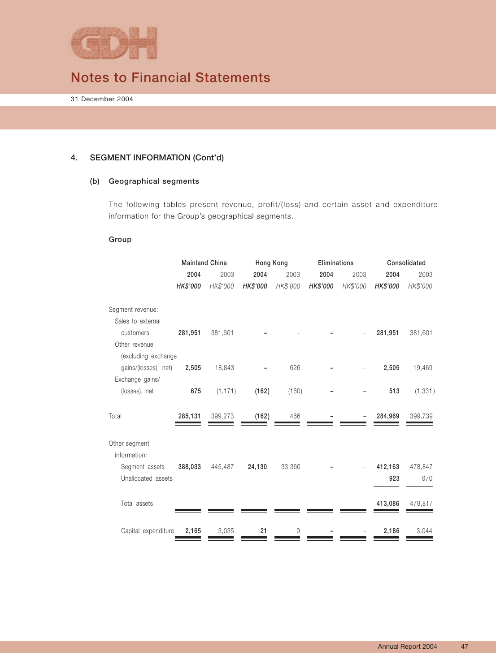

31 December 2004

## **4. SEGMENT INFORMATION (Cont'd)**

#### **(b) Geographical segments**

The following tables present revenue, profit/(loss) and certain asset and expenditure information for the Group's geographical segments.

|                      | <b>Mainland China</b> |          | Hong Kong |          | Eliminations |          | Consolidated    |          |
|----------------------|-----------------------|----------|-----------|----------|--------------|----------|-----------------|----------|
|                      | 2004                  | 2003     | 2004      | 2003     | 2004         | 2003     | 2004            | 2003     |
|                      | <b>HK\$'000</b>       | HK\$'000 | HK\$'000  | HK\$'000 | HK\$'000     | HK\$'000 | <b>HK\$'000</b> | HK\$'000 |
| Segment revenue:     |                       |          |           |          |              |          |                 |          |
| Sales to external    |                       |          |           |          |              |          |                 |          |
| customers            | 281,951               | 381,601  |           |          |              |          | 281,951         | 381,601  |
| Other revenue        |                       |          |           |          |              |          |                 |          |
| (excluding exchange  |                       |          |           |          |              |          |                 |          |
| gains/(losses), net) | 2,505                 | 18,843   |           | 626      |              |          | 2,505           | 19,469   |
| Exchange gains/      |                       |          |           |          |              |          |                 |          |
| (losses), net        | 675                   | (1, 171) | (162)     | (160)    |              |          | 513             | (1, 331) |
| Total                | 285,131               | 399,273  | (162)     | 466      |              |          | 284,969         | 399,739  |
| Other segment        |                       |          |           |          |              |          |                 |          |
| information:         |                       |          |           |          |              |          |                 |          |
| Segment assets       | 388,033               | 445,487  | 24,130    | 33,360   |              |          | 412,163         | 478,847  |
| Unallocated assets   |                       |          |           |          |              |          | 923             | 970      |
|                      |                       |          |           |          |              |          |                 |          |
| Total assets         |                       |          |           |          |              |          | 413,086         | 479,817  |
|                      |                       |          |           |          |              |          |                 |          |
| Capital expenditure  | 2,165                 | 3,035    | 21        | 9        |              |          | 2,186           | 3,044    |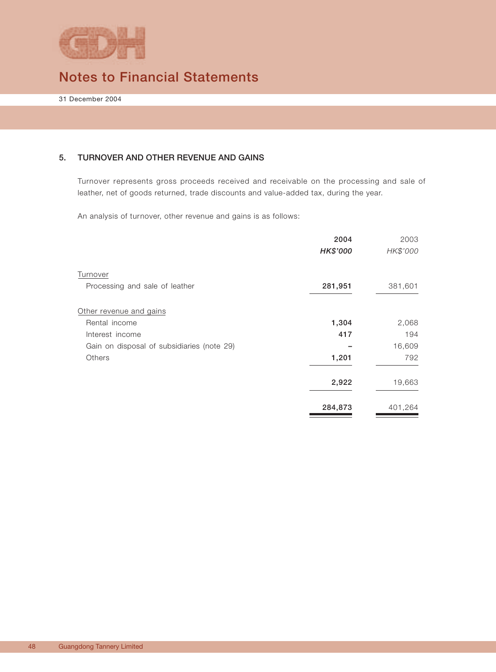

31 December 2004

## **5. TURNOVER AND OTHER REVENUE AND GAINS**

Turnover represents gross proceeds received and receivable on the processing and sale of leather, net of goods returned, trade discounts and value-added tax, during the year.

An analysis of turnover, other revenue and gains is as follows:

|                                            | 2004     | 2003     |
|--------------------------------------------|----------|----------|
|                                            | HK\$'000 | HK\$'000 |
| Turnover                                   |          |          |
| Processing and sale of leather             | 281,951  | 381,601  |
| Other revenue and gains                    |          |          |
| Rental income                              | 1,304    | 2,068    |
| Interest income                            | 417      | 194      |
| Gain on disposal of subsidiaries (note 29) |          | 16,609   |
| Others                                     | 1,201    | 792      |
|                                            | 2,922    | 19,663   |
|                                            | 284,873  | 401,264  |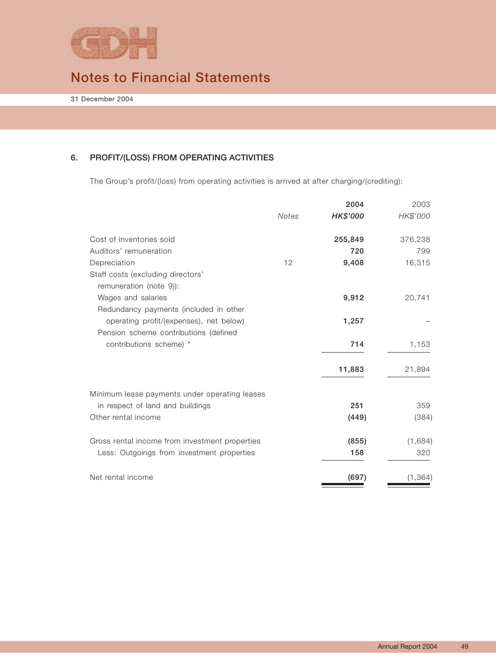

31 December 2004

## **6. PROFIT/(LOSS) FROM OPERATING ACTIVITIES**

The Group's profit/(loss) from operating activities is arrived at after charging/(crediting):

|                                                                                   |              | 2004            | 2003     |
|-----------------------------------------------------------------------------------|--------------|-----------------|----------|
|                                                                                   | <b>Notes</b> | <b>HK\$'000</b> | HK\$'000 |
| Cost of inventories sold                                                          |              | 255,849         | 376,238  |
| Auditors' remuneration                                                            |              | 720             | 799      |
| Depreciation                                                                      | 12           | 9,408           | 16,315   |
| Staff costs (excluding directors'<br>remuneration (note 9)):                      |              |                 |          |
| Wages and salaries                                                                |              | 9,912           | 20,741   |
| Redundancy payments (included in other<br>operating profit/(expenses), net below) |              | 1,257           |          |
| Pension scheme contributions (defined                                             |              |                 |          |
| contributions scheme) *                                                           |              | 714             | 1,153    |
|                                                                                   |              | 11,883          | 21,894   |
| Minimum lease payments under operating leases                                     |              |                 |          |
| in respect of land and buildings                                                  |              | 251             | 359      |
| Other rental income                                                               |              | (449)           | (384)    |
| Gross rental income from investment properties                                    |              | (855)           | (1,684)  |
| Less: Outgoings from investment properties                                        |              | 158             | 320      |
| Net rental income                                                                 |              | (697)           | (1, 364) |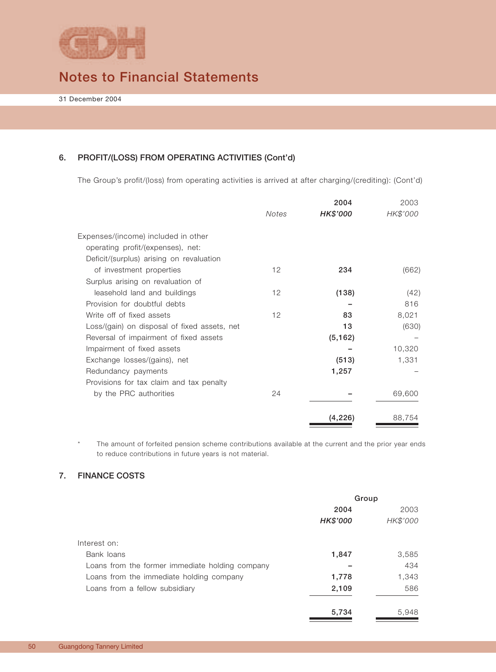

31 December 2004

## **6. PROFIT/(LOSS) FROM OPERATING ACTIVITIES (Cont'd)**

The Group's profit/(loss) from operating activities is arrived at after charging/(crediting): (Cont'd)

|                                              |              | 2004            | 2003     |
|----------------------------------------------|--------------|-----------------|----------|
|                                              | <b>Notes</b> | <b>HK\$'000</b> | HK\$'000 |
| Expenses/(income) included in other          |              |                 |          |
| operating profit/(expenses), net:            |              |                 |          |
| Deficit/(surplus) arising on revaluation     |              |                 |          |
| of investment properties                     | 12           | 234             | (662)    |
| Surplus arising on revaluation of            |              |                 |          |
| leasehold land and buildings                 | 12           | (138)           | (42)     |
| Provision for doubtful debts                 |              |                 | 816      |
| Write off of fixed assets                    | 12           | 83              | 8,021    |
| Loss/(gain) on disposal of fixed assets, net |              | 13              | (630)    |
| Reversal of impairment of fixed assets       |              | (5, 162)        |          |
| Impairment of fixed assets                   |              |                 | 10,320   |
| Exchange losses/(gains), net                 |              | (513)           | 1,331    |
| Redundancy payments                          |              | 1,257           |          |
| Provisions for tax claim and tax penalty     |              |                 |          |
| by the PRC authorities                       | 24           |                 | 69,600   |
|                                              |              | (4, 226)        | 88,754   |

\* The amount of forfeited pension scheme contributions available at the current and the prior year ends to reduce contributions in future years is not material.

## **7. FINANCE COSTS**

|                                                 | Group    |          |
|-------------------------------------------------|----------|----------|
|                                                 | 2004     | 2003     |
|                                                 | HK\$'000 | HK\$'000 |
| Interest on:                                    |          |          |
| Bank loans                                      | 1,847    | 3,585    |
| Loans from the former immediate holding company |          | 434      |
| Loans from the immediate holding company        | 1,778    | 1,343    |
| Loans from a fellow subsidiary                  | 2,109    | 586      |
|                                                 | 5,734    | 5.948    |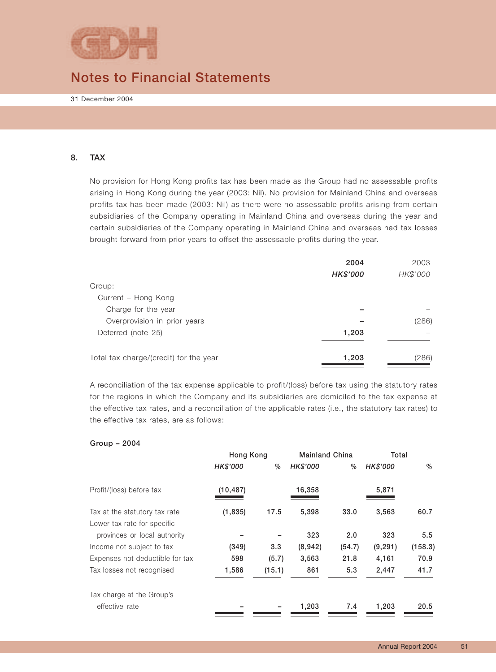

31 December 2004

#### **8. TAX**

No provision for Hong Kong profits tax has been made as the Group had no assessable profits arising in Hong Kong during the year (2003: Nil). No provision for Mainland China and overseas profits tax has been made (2003: Nil) as there were no assessable profits arising from certain subsidiaries of the Company operating in Mainland China and overseas during the year and certain subsidiaries of the Company operating in Mainland China and overseas had tax losses brought forward from prior years to offset the assessable profits during the year.

|                                        | 2004     | 2003     |
|----------------------------------------|----------|----------|
|                                        | HK\$'000 | HK\$'000 |
| Group:                                 |          |          |
| Current - Hong Kong                    |          |          |
| Charge for the year                    |          |          |
| Overprovision in prior years           |          | (286)    |
| Deferred (note 25)                     | 1,203    |          |
| Total tax charge/(credit) for the year | 1,203    | (286)    |

A reconciliation of the tax expense applicable to profit/(loss) before tax using the statutory rates for the regions in which the Company and its subsidiaries are domiciled to the tax expense at the effective tax rates, and a reconciliation of the applicable rates (i.e., the statutory tax rates) to the effective tax rates, are as follows:

#### **Group – 2004**

|                                 |           | Hong Kong |                 | <b>Mainland China</b> | Total           |         |
|---------------------------------|-----------|-----------|-----------------|-----------------------|-----------------|---------|
|                                 | HK\$'000  | $\%$      | <b>HK\$'000</b> | $\%$                  | <b>HK\$'000</b> | $\%$    |
| Profit/(loss) before tax        | (10, 487) |           | 16,358          |                       | 5,871           |         |
| Tax at the statutory tax rate   | (1,835)   | 17.5      | 5,398           | 33.0                  | 3,563           | 60.7    |
| Lower tax rate for specific     |           |           |                 |                       |                 |         |
| provinces or local authority    |           |           | 323             | 2.0                   | 323             | 5.5     |
| Income not subject to tax       | (349)     | 3.3       | (8,942)         | (54.7)                | (9, 291)        | (158.3) |
| Expenses not deductible for tax | 598       | (5.7)     | 3,563           | 21.8                  | 4,161           | 70.9    |
| Tax losses not recognised       | 1,586     | (15.1)    | 861             | 5.3                   | 2,447           | 41.7    |
| Tax charge at the Group's       |           |           |                 |                       |                 |         |
| effective rate                  |           |           | 1,203           | 7.4                   | 1.203           | 20.5    |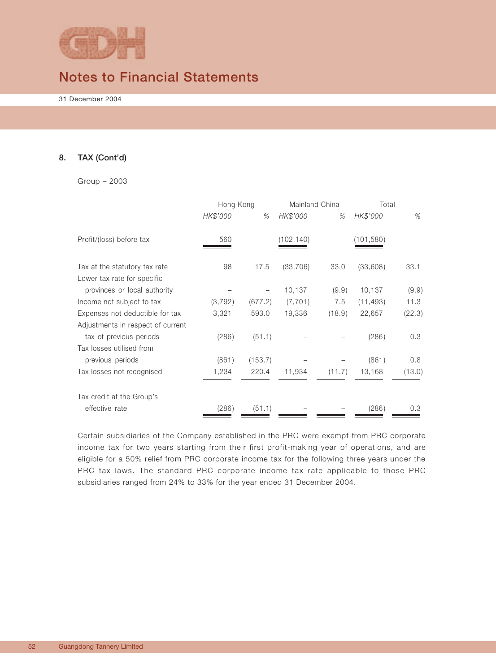

31 December 2004

## **8. TAX (Cont'd)**

Group – 2003

|                                   | Hong Kong |         | Mainland China |        | Total      |        |
|-----------------------------------|-----------|---------|----------------|--------|------------|--------|
|                                   | HK\$'000  | %       | HK\$'000       | %      | HK\$'000   | %      |
| Profit/(loss) before tax          | 560       |         | (102, 140)     |        | (101, 580) |        |
| Tax at the statutory tax rate     | 98        | 17.5    | (33, 706)      | 33.0   | (33,608)   | 33.1   |
| Lower tax rate for specific       |           |         |                |        |            |        |
| provinces or local authority      |           |         | 10,137         | (9.9)  | 10,137     | (9.9)  |
| Income not subject to tax         | (3,792)   | (677.2) | (7, 701)       | 7.5    | (11, 493)  | 11.3   |
| Expenses not deductible for tax   | 3,321     | 593.0   | 19,336         | (18.9) | 22,657     | (22.3) |
| Adjustments in respect of current |           |         |                |        |            |        |
| tax of previous periods           | (286)     | (51.1)  |                |        | (286)      | 0.3    |
| Tax losses utilised from          |           |         |                |        |            |        |
| previous periods                  | (861)     | (153.7) |                |        | (861)      | 0.8    |
| Tax losses not recognised         | 1,234     | 220.4   | 11,934         | (11.7) | 13,168     | (13.0) |
| Tax credit at the Group's         |           |         |                |        |            |        |
| effective rate                    | (286)     | (51.1)  |                |        | (286)      | 0.3    |

Certain subsidiaries of the Company established in the PRC were exempt from PRC corporate income tax for two years starting from their first profit-making year of operations, and are eligible for a 50% relief from PRC corporate income tax for the following three years under the PRC tax laws. The standard PRC corporate income tax rate applicable to those PRC subsidiaries ranged from 24% to 33% for the year ended 31 December 2004.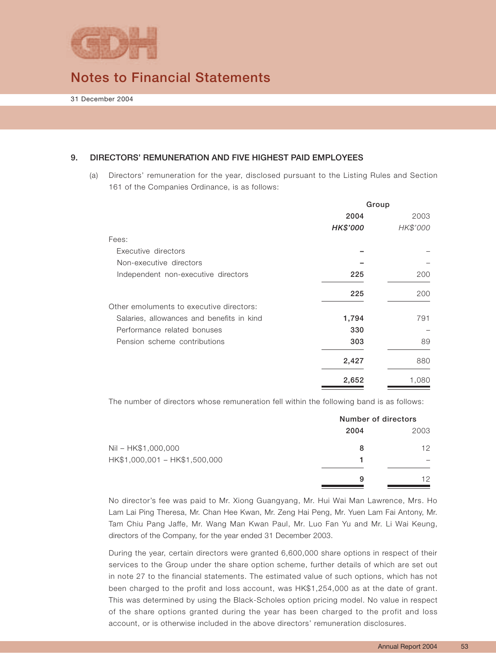

31 December 2004

#### **9. DIRECTORS' REMUNERATION AND FIVE HIGHEST PAID EMPLOYEES**

(a) Directors' remuneration for the year, disclosed pursuant to the Listing Rules and Section 161 of the Companies Ordinance, is as follows:

|                                           | Group    |          |  |
|-------------------------------------------|----------|----------|--|
|                                           | 2004     | 2003     |  |
|                                           | HK\$'000 | HK\$'000 |  |
| Fees:                                     |          |          |  |
| Executive directors                       |          |          |  |
| Non-executive directors                   |          |          |  |
| Independent non-executive directors       | 225      | 200      |  |
|                                           | 225      | 200      |  |
| Other emoluments to executive directors:  |          |          |  |
| Salaries, allowances and benefits in kind | 1,794    | 791      |  |
| Performance related bonuses               | 330      |          |  |
| Pension scheme contributions              | 303      | 89       |  |
|                                           | 2,427    | 880      |  |
|                                           | 2,652    | 1,080    |  |

The number of directors whose remuneration fell within the following band is as follows:

|                               | Number of directors |      |  |
|-------------------------------|---------------------|------|--|
|                               | 2004                | 2003 |  |
| Nil - HK\$1,000,000           | 8                   | 12   |  |
| HK\$1,000,001 - HK\$1,500,000 |                     |      |  |
|                               | 9                   | 12   |  |

No director's fee was paid to Mr. Xiong Guangyang, Mr. Hui Wai Man Lawrence, Mrs. Ho Lam Lai Ping Theresa, Mr. Chan Hee Kwan, Mr. Zeng Hai Peng, Mr. Yuen Lam Fai Antony, Mr. Tam Chiu Pang Jaffe, Mr. Wang Man Kwan Paul, Mr. Luo Fan Yu and Mr. Li Wai Keung, directors of the Company, for the year ended 31 December 2003.

During the year, certain directors were granted 6,600,000 share options in respect of their services to the Group under the share option scheme, further details of which are set out in note 27 to the financial statements. The estimated value of such options, which has not been charged to the profit and loss account, was HK\$1,254,000 as at the date of grant. This was determined by using the Black-Scholes option pricing model. No value in respect of the share options granted during the year has been charged to the profit and loss account, or is otherwise included in the above directors' remuneration disclosures.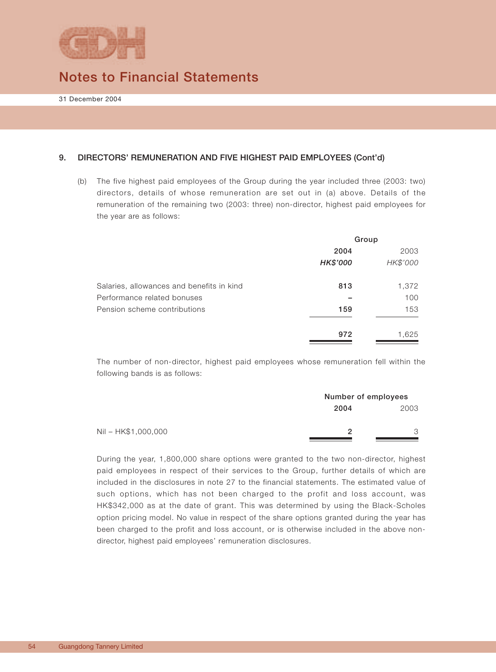

31 December 2004

#### **9. DIRECTORS' REMUNERATION AND FIVE HIGHEST PAID EMPLOYEES (Cont'd)**

(b) The five highest paid employees of the Group during the year included three (2003: two) directors, details of whose remuneration are set out in (a) above. Details of the remuneration of the remaining two (2003: three) non-director, highest paid employees for the year are as follows:

|                                           | Group    |          |  |
|-------------------------------------------|----------|----------|--|
|                                           | 2004     | 2003     |  |
|                                           | HK\$'000 | HK\$'000 |  |
| Salaries, allowances and benefits in kind | 813      | 1,372    |  |
| Performance related bonuses               |          | 100      |  |
| Pension scheme contributions              | 159      | 153      |  |
|                                           | 972      | 1,625    |  |

The number of non-director, highest paid employees whose remuneration fell within the following bands is as follows:

|                     | Number of employees |      |  |
|---------------------|---------------------|------|--|
|                     | 2004                | 2003 |  |
| Nil - HK\$1,000,000 |                     |      |  |

During the year, 1,800,000 share options were granted to the two non-director, highest paid employees in respect of their services to the Group, further details of which are included in the disclosures in note 27 to the financial statements. The estimated value of such options, which has not been charged to the profit and loss account, was HK\$342,000 as at the date of grant. This was determined by using the Black-Scholes option pricing model. No value in respect of the share options granted during the year has been charged to the profit and loss account, or is otherwise included in the above nondirector, highest paid employees' remuneration disclosures.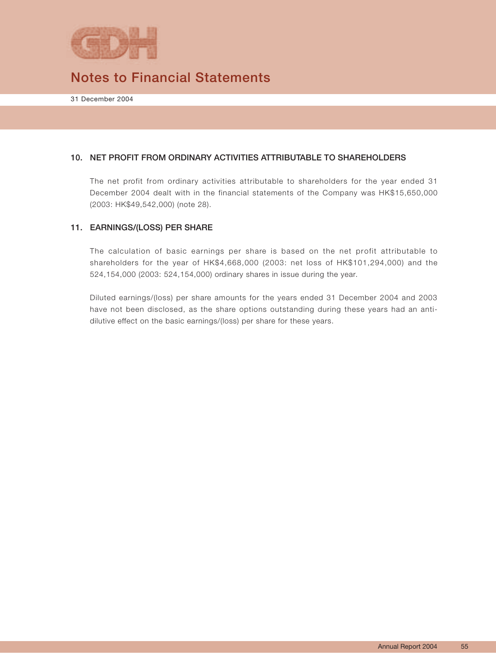

31 December 2004

## **10. NET PROFIT FROM ORDINARY ACTIVITIES ATTRIBUTABLE TO SHAREHOLDERS**

The net profit from ordinary activities attributable to shareholders for the year ended 31 December 2004 dealt with in the financial statements of the Company was HK\$15,650,000 (2003: HK\$49,542,000) (note 28).

## **11. EARNINGS/(LOSS) PER SHARE**

The calculation of basic earnings per share is based on the net profit attributable to shareholders for the year of HK\$4,668,000 (2003: net loss of HK\$101,294,000) and the 524,154,000 (2003: 524,154,000) ordinary shares in issue during the year.

Diluted earnings/(loss) per share amounts for the years ended 31 December 2004 and 2003 have not been disclosed, as the share options outstanding during these years had an antidilutive effect on the basic earnings/(loss) per share for these years.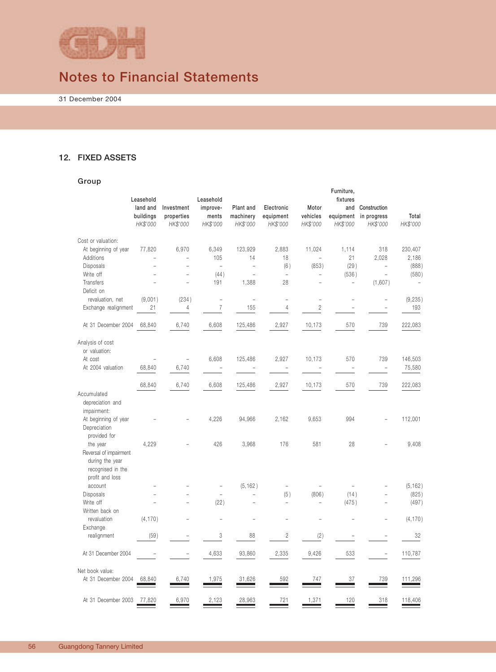

31 December 2004

## **12. FIXED ASSETS**

|                                                                                               | Leasehold<br>land and<br>buildings<br>HK\$'000 | Investment<br>properties<br>HK\$'000 | Leasehold<br>improve-<br>ments<br>HK\$'000 | Plant and<br>machinery<br>HK\$'000 | Electronic<br>equipment<br>HK\$'000 | Motor<br>vehicles<br>HK\$'000 | Furniture,<br>fixtures<br>and<br>equipment<br>HK\$'000 | Construction<br>in progress<br>HK\$'000 | Total<br>HK\$'000 |
|-----------------------------------------------------------------------------------------------|------------------------------------------------|--------------------------------------|--------------------------------------------|------------------------------------|-------------------------------------|-------------------------------|--------------------------------------------------------|-----------------------------------------|-------------------|
| Cost or valuation:<br>At beginning of year                                                    | 77,820                                         | 6,970                                | 6,349                                      | 123,929                            | 2,883                               | 11,024                        | 1,114                                                  | 318                                     | 230,407           |
| Additions                                                                                     |                                                | $\overline{a}$                       | 105                                        | 14                                 | 18                                  | $\overline{a}$                | 21                                                     | 2,028                                   | 2,186             |
| Disposals                                                                                     |                                                | $\equiv$                             | $\frac{1}{2}$                              | $\overline{a}$                     | (6)                                 | (853)                         | (29)                                                   | $\overline{a}$                          | (888)             |
| Write off                                                                                     |                                                |                                      | (44)                                       | $\overline{a}$                     | $\overline{\phantom{0}}$            |                               | (536)                                                  | $\overline{\phantom{0}}$                | (580)             |
| Transfers<br>Deficit on                                                                       |                                                | ÷                                    | 191                                        | 1,388                              | 28                                  |                               | $\overline{a}$                                         | (1,607)                                 |                   |
| revaluation, net                                                                              | (9,001)                                        | (234)                                | $\bar{ }$                                  | $\overline{a}$                     | $\frac{1}{2}$                       | L,                            | ÷                                                      | $\overline{a}$                          | (9, 235)          |
| Exchange realignment                                                                          | 21                                             | 4                                    | $\overline{7}$                             | 155                                | 4                                   | $\sqrt{2}$                    |                                                        |                                         | 193               |
| At 31 December 2004                                                                           | 68,840                                         | 6,740                                | 6,608                                      | 125,486                            | 2,927                               | 10,173                        | 570                                                    | 739                                     | 222,083           |
| Analysis of cost                                                                              |                                                |                                      |                                            |                                    |                                     |                               |                                                        |                                         |                   |
| or valuation:<br>At cost                                                                      |                                                | $\overline{a}$                       | 6,608                                      | 125,486                            | 2,927                               |                               | 570                                                    | 739                                     |                   |
| At 2004 valuation                                                                             | 68,840                                         | 6,740                                |                                            |                                    |                                     | 10,173                        |                                                        | $\overline{\phantom{m}}$                | 146,503<br>75,580 |
|                                                                                               | 68,840                                         | 6,740                                | 6,608                                      | 125,486                            | 2,927                               | 10,173                        | 570                                                    | 739                                     | 222,083           |
| Accumulated<br>depreciation and<br>impairment:                                                |                                                |                                      |                                            |                                    |                                     |                               |                                                        |                                         |                   |
| At beginning of year<br>Depreciation<br>provided for                                          |                                                |                                      | 4,226                                      | 94,966                             | 2,162                               | 9,653                         | 994                                                    |                                         | 112,001           |
| the year<br>Reversal of impairment<br>during the year<br>recognised in the<br>profit and loss | 4,229                                          |                                      | 426                                        | 3,968                              | 176                                 | 581                           | 28                                                     |                                         | 9,408             |
| account                                                                                       |                                                |                                      |                                            | (5, 162)                           | $\overline{a}$                      |                               |                                                        |                                         | (5, 162)          |
| Disposals                                                                                     |                                                |                                      | $\overline{a}$                             | $\overline{a}$                     | (5)                                 | (806)                         | (14)                                                   |                                         | (825)             |
| Write off<br>Written back on                                                                  |                                                |                                      | (22)                                       |                                    | $\overline{\phantom{0}}$            | $\overline{a}$                | (475)                                                  |                                         | (497)             |
| revaluation<br>Exchange                                                                       | (4, 170)                                       |                                      |                                            |                                    | $\overline{a}$                      | Ĭ.                            |                                                        |                                         | (4, 170)          |
| realignment                                                                                   | (59)                                           |                                      | 3                                          | 88                                 | $\mathbf{2}$                        | (2)                           |                                                        |                                         | 32                |
| At 31 December 2004                                                                           |                                                |                                      | 4,633                                      | 93,860                             | 2,335                               | 9,426                         | 533                                                    |                                         | 110,787           |
| Net book value:                                                                               |                                                |                                      |                                            |                                    |                                     |                               |                                                        |                                         |                   |
| At 31 December 2004                                                                           | 68,840                                         | 6,740                                | 1,975                                      | 31,626                             | 592                                 | 747                           | 37                                                     | 739                                     | 111,296           |
| At 31 December 2003                                                                           | 77,820                                         | 6,970                                | 2,123                                      | 28,963                             | 721                                 | 1,371                         | 120                                                    | 318                                     | 118,406           |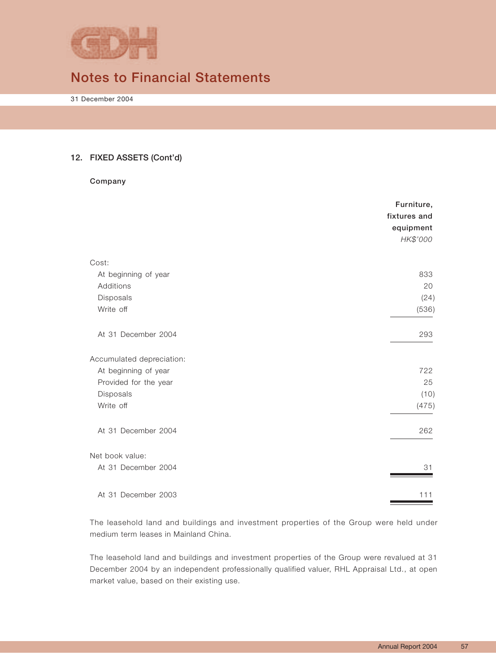

31 December 2004

## **12. FIXED ASSETS (Cont'd)**

**Company**

|                           | Furniture,<br>fixtures and<br>equipment<br>HK\$'000 |
|---------------------------|-----------------------------------------------------|
| Cost:                     |                                                     |
| At beginning of year      | 833                                                 |
| Additions                 | 20                                                  |
| Disposals                 | (24)                                                |
| Write off                 | (536)                                               |
| At 31 December 2004       | 293                                                 |
| Accumulated depreciation: |                                                     |
| At beginning of year      | 722                                                 |
| Provided for the year     | 25                                                  |
| Disposals                 | (10)                                                |
| Write off                 | (475)                                               |
| At 31 December 2004       | 262                                                 |
| Net book value:           |                                                     |
| At 31 December 2004       | 31                                                  |
| At 31 December 2003       | 111                                                 |

The leasehold land and buildings and investment properties of the Group were held under medium term leases in Mainland China.

The leasehold land and buildings and investment properties of the Group were revalued at 31 December 2004 by an independent professionally qualified valuer, RHL Appraisal Ltd., at open market value, based on their existing use.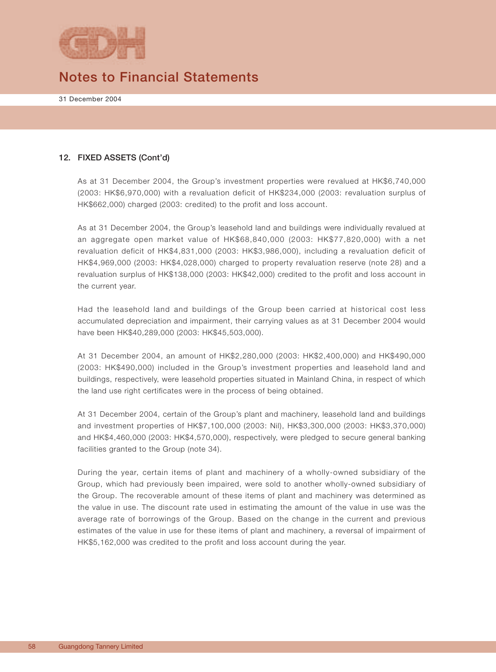

31 December 2004

#### **12. FIXED ASSETS (Cont'd)**

As at 31 December 2004, the Group's investment properties were revalued at HK\$6,740,000 (2003: HK\$6,970,000) with a revaluation deficit of HK\$234,000 (2003: revaluation surplus of HK\$662,000) charged (2003: credited) to the profit and loss account.

As at 31 December 2004, the Group's leasehold land and buildings were individually revalued at an aggregate open market value of HK\$68,840,000 (2003: HK\$77,820,000) with a net revaluation deficit of HK\$4,831,000 (2003: HK\$3,986,000), including a revaluation deficit of HK\$4,969,000 (2003: HK\$4,028,000) charged to property revaluation reserve (note 28) and a revaluation surplus of HK\$138,000 (2003: HK\$42,000) credited to the profit and loss account in the current year.

Had the leasehold land and buildings of the Group been carried at historical cost less accumulated depreciation and impairment, their carrying values as at 31 December 2004 would have been HK\$40,289,000 (2003: HK\$45,503,000).

At 31 December 2004, an amount of HK\$2,280,000 (2003: HK\$2,400,000) and HK\$490,000 (2003: HK\$490,000) included in the Group's investment properties and leasehold land and buildings, respectively, were leasehold properties situated in Mainland China, in respect of which the land use right certificates were in the process of being obtained.

At 31 December 2004, certain of the Group's plant and machinery, leasehold land and buildings and investment properties of HK\$7,100,000 (2003: Nil), HK\$3,300,000 (2003: HK\$3,370,000) and HK\$4,460,000 (2003: HK\$4,570,000), respectively, were pledged to secure general banking facilities granted to the Group (note 34).

During the year, certain items of plant and machinery of a wholly-owned subsidiary of the Group, which had previously been impaired, were sold to another wholly-owned subsidiary of the Group. The recoverable amount of these items of plant and machinery was determined as the value in use. The discount rate used in estimating the amount of the value in use was the average rate of borrowings of the Group. Based on the change in the current and previous estimates of the value in use for these items of plant and machinery, a reversal of impairment of HK\$5,162,000 was credited to the profit and loss account during the year.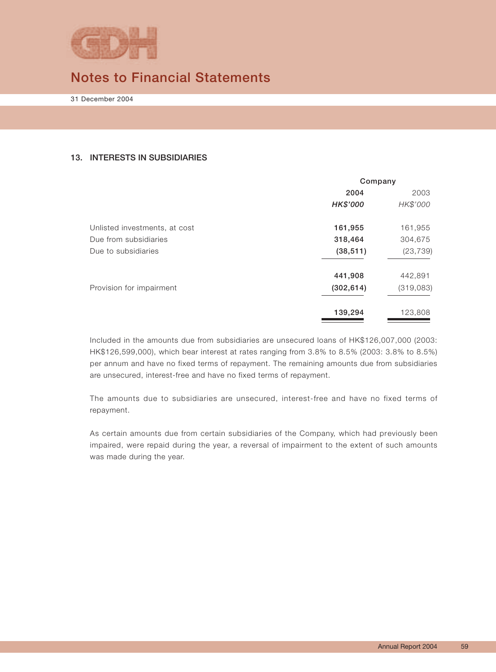

31 December 2004

## **13. INTERESTS IN SUBSIDIARIES**

|                               | Company    |           |  |
|-------------------------------|------------|-----------|--|
|                               | 2004       | 2003      |  |
|                               | HK\$'000   | HK\$'000  |  |
| Unlisted investments, at cost | 161,955    | 161,955   |  |
| Due from subsidiaries         | 318,464    | 304,675   |  |
| Due to subsidiaries           | (38, 511)  | (23, 739) |  |
|                               | 441,908    | 442,891   |  |
| Provision for impairment      | (302, 614) | (319,083) |  |
|                               | 139,294    | 123,808   |  |
|                               |            |           |  |

Included in the amounts due from subsidiaries are unsecured loans of HK\$126,007,000 (2003: HK\$126,599,000), which bear interest at rates ranging from 3.8% to 8.5% (2003: 3.8% to 8.5%) per annum and have no fixed terms of repayment. The remaining amounts due from subsidiaries are unsecured, interest-free and have no fixed terms of repayment.

The amounts due to subsidiaries are unsecured, interest-free and have no fixed terms of repayment.

As certain amounts due from certain subsidiaries of the Company, which had previously been impaired, were repaid during the year, a reversal of impairment to the extent of such amounts was made during the year.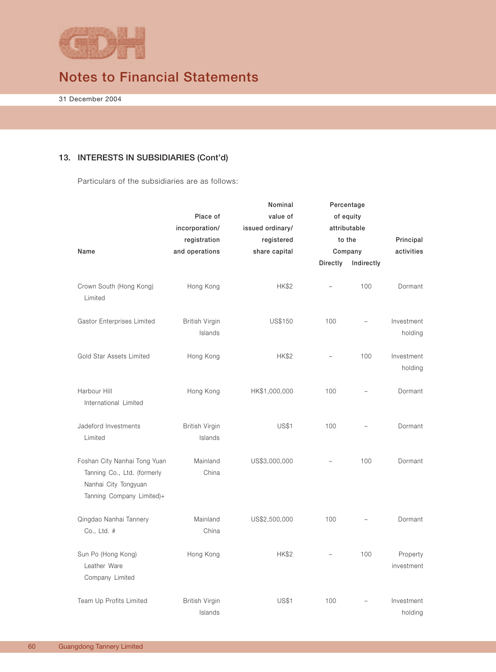

31 December 2004

## **13. INTERESTS IN SUBSIDIARIES (Cont'd)**

Particulars of the subsidiaries are as follows:

|                                                                                                                  |                                  | Nominal          |          | Percentage     |                        |
|------------------------------------------------------------------------------------------------------------------|----------------------------------|------------------|----------|----------------|------------------------|
|                                                                                                                  | Place of                         | value of         |          | of equity      |                        |
|                                                                                                                  | incorporation/                   | issued ordinary/ |          | attributable   |                        |
|                                                                                                                  | registration                     | registered       |          | to the         | Principal              |
| Name                                                                                                             | and operations                   | share capital    |          | Company        | activities             |
|                                                                                                                  |                                  |                  | Directly | Indirectly     |                        |
| Crown South (Hong Kong)<br>Limited                                                                               | Hong Kong                        | <b>HK\$2</b>     |          | 100            | Dormant                |
| Gastor Enterprises Limited                                                                                       | <b>British Virgin</b><br>Islands | US\$150          | 100      | $\overline{a}$ | Investment<br>holding  |
| Gold Star Assets Limited                                                                                         | Hong Kong                        | <b>HK\$2</b>     |          | 100            | Investment<br>holding  |
| Harbour Hill<br>International Limited                                                                            | Hong Kong                        | HK\$1,000,000    | 100      |                | Dormant                |
| Jadeford Investments<br>Limited                                                                                  | <b>British Virgin</b><br>Islands | <b>US\$1</b>     | 100      |                | Dormant                |
| Foshan City Nanhai Tong Yuan<br>Tanning Co., Ltd. (formerly<br>Nanhai City Tongyuan<br>Tanning Company Limited)+ | Mainland<br>China                | US\$3,000,000    |          | 100            | Dormant                |
| Qingdao Nanhai Tannery<br>Co., Ltd. #                                                                            | Mainland<br>China                | US\$2,500,000    | 100      |                | Dormant                |
| Sun Po (Hong Kong)<br>Leather Ware<br>Company Limited                                                            | Hong Kong                        | <b>HK\$2</b>     |          | 100            | Property<br>investment |
| Team Up Profits Limited                                                                                          | <b>British Virgin</b><br>Islands | <b>US\$1</b>     | 100      |                | Investment<br>holding  |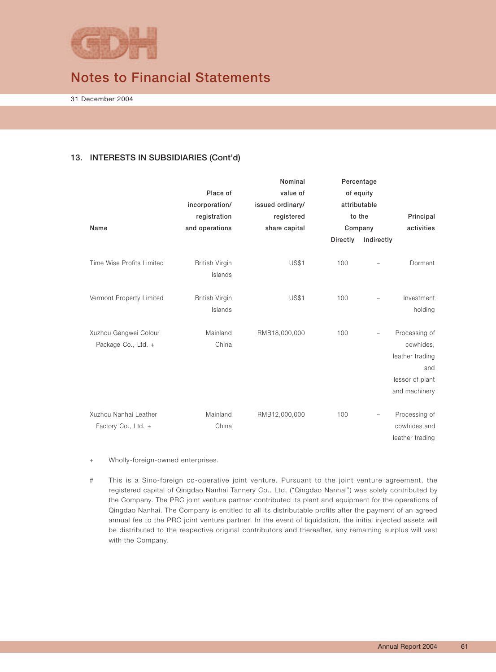

31 December 2004

## **13. INTERESTS IN SUBSIDIARIES (Cont'd)**

|                                              |                                  | Nominal          |          | Percentage   |                                                                                          |
|----------------------------------------------|----------------------------------|------------------|----------|--------------|------------------------------------------------------------------------------------------|
|                                              | Place of                         | value of         |          | of equity    |                                                                                          |
|                                              | incorporation/                   | issued ordinary/ |          | attributable |                                                                                          |
|                                              | registration                     | registered       |          | to the       | Principal                                                                                |
| Name                                         | and operations                   | share capital    | Company  |              | activities                                                                               |
|                                              |                                  |                  | Directly | Indirectly   |                                                                                          |
| Time Wise Profits Limited                    | <b>British Virgin</b><br>Islands | <b>US\$1</b>     | 100      |              | Dormant                                                                                  |
| Vermont Property Limited                     | <b>British Virgin</b><br>Islands | <b>US\$1</b>     | 100      |              | Investment<br>holding                                                                    |
| Xuzhou Gangwei Colour<br>Package Co., Ltd. + | Mainland<br>China                | RMB18,000,000    | 100      |              | Processing of<br>cowhides,<br>leather trading<br>and<br>lessor of plant<br>and machinery |
| Xuzhou Nanhai Leather<br>Factory Co., Ltd. + | Mainland<br>China                | RMB12,000,000    | 100      |              | Processing of<br>cowhides and<br>leather trading                                         |

- + Wholly-foreign-owned enterprises.
- # This is a Sino-foreign co-operative joint venture. Pursuant to the joint venture agreement, the registered capital of Qingdao Nanhai Tannery Co., Ltd. ("Qingdao Nanhai") was solely contributed by the Company. The PRC joint venture partner contributed its plant and equipment for the operations of Qingdao Nanhai. The Company is entitled to all its distributable profits after the payment of an agreed annual fee to the PRC joint venture partner. In the event of liquidation, the initial injected assets will be distributed to the respective original contributors and thereafter, any remaining surplus will vest with the Company.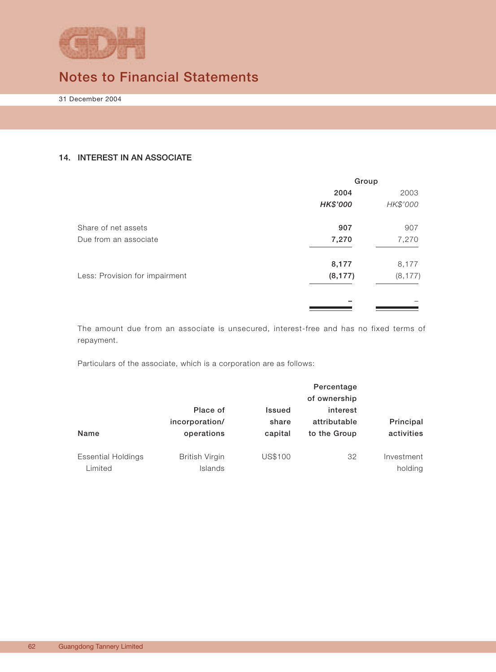

31 December 2004

## **14. INTEREST IN AN ASSOCIATE**

|                                | Group    |          |  |
|--------------------------------|----------|----------|--|
|                                | 2004     | 2003     |  |
|                                | HK\$'000 | HK\$'000 |  |
| Share of net assets            | 907      | 907      |  |
| Due from an associate          | 7,270    | 7,270    |  |
|                                | 8,177    | 8,177    |  |
| Less: Provision for impairment | (8, 177) | (8, 177) |  |
|                                |          |          |  |
|                                |          |          |  |

The amount due from an associate is unsecured, interest-free and has no fixed terms of repayment.

Particulars of the associate, which is a corporation are as follows:

| Name                                 | Place of<br>incorporation/<br>operations | Issued<br>share<br>capital | Percentage<br>of ownership<br>interest<br>attributable<br>to the Group | Principal<br>activities |
|--------------------------------------|------------------------------------------|----------------------------|------------------------------------------------------------------------|-------------------------|
| <b>Essential Holdings</b><br>Limited | British Virgin<br>Islands                | US\$100                    | 32                                                                     | Investment<br>holding   |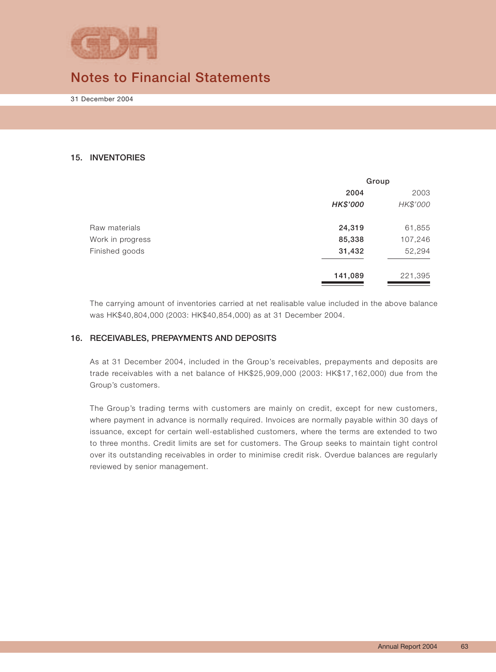

31 December 2004

#### **15. INVENTORIES**

|                  | Group    |          |  |
|------------------|----------|----------|--|
|                  | 2004     | 2003     |  |
|                  | HK\$'000 | HK\$'000 |  |
| Raw materials    | 24,319   | 61,855   |  |
| Work in progress | 85,338   | 107,246  |  |
| Finished goods   | 31,432   | 52,294   |  |
|                  | 141,089  | 221,395  |  |

The carrying amount of inventories carried at net realisable value included in the above balance was HK\$40,804,000 (2003: HK\$40,854,000) as at 31 December 2004.

#### **16. RECEIVABLES, PREPAYMENTS AND DEPOSITS**

As at 31 December 2004, included in the Group's receivables, prepayments and deposits are trade receivables with a net balance of HK\$25,909,000 (2003: HK\$17,162,000) due from the Group's customers.

The Group's trading terms with customers are mainly on credit, except for new customers, where payment in advance is normally required. Invoices are normally payable within 30 days of issuance, except for certain well-established customers, where the terms are extended to two to three months. Credit limits are set for customers. The Group seeks to maintain tight control over its outstanding receivables in order to minimise credit risk. Overdue balances are regularly reviewed by senior management.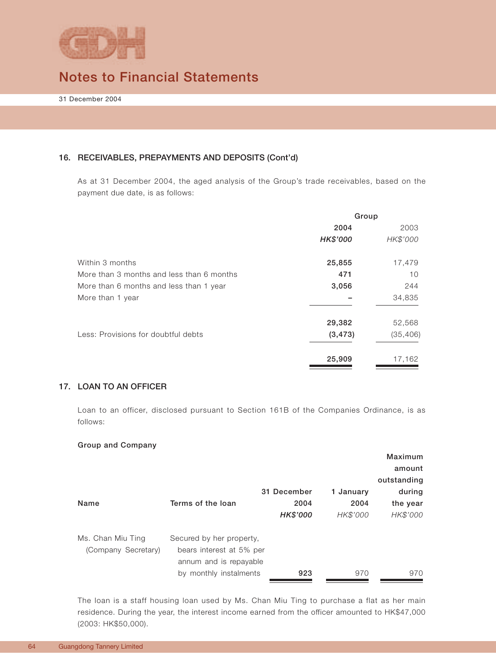

31 December 2004

## **16. RECEIVABLES, PREPAYMENTS AND DEPOSITS (Cont'd)**

As at 31 December 2004, the aged analysis of the Group's trade receivables, based on the payment due date, is as follows:

| Group    |           |  |
|----------|-----------|--|
| 2004     | 2003      |  |
| HK\$'000 | HK\$'000  |  |
| 25,855   | 17,479    |  |
| 471      | 10        |  |
| 3,056    | 244       |  |
|          | 34,835    |  |
| 29,382   | 52,568    |  |
| (3, 473) | (35, 406) |  |
| 25,909   | 17,162    |  |
|          |           |  |

## **17. LOAN TO AN OFFICER**

Loan to an officer, disclosed pursuant to Section 161B of the Companies Ordinance, is as follows:

#### **Group and Company**

|                                          |                                                      |             |           | Maximum     |
|------------------------------------------|------------------------------------------------------|-------------|-----------|-------------|
|                                          |                                                      |             |           | amount      |
|                                          |                                                      |             |           | outstanding |
|                                          |                                                      | 31 December | 1 January | during      |
| Name                                     | Terms of the loan                                    | 2004        | 2004      | the year    |
|                                          |                                                      | HK\$'000    | HK\$'000  | HK\$'000    |
| Ms. Chan Miu Ting<br>(Company Secretary) | Secured by her property,<br>bears interest at 5% per |             |           |             |
|                                          | annum and is repayable                               |             |           |             |
|                                          | by monthly instalments                               | 923         | 970       | 970         |

The loan is a staff housing loan used by Ms. Chan Miu Ting to purchase a flat as her main residence. During the year, the interest income earned from the officer amounted to HK\$47,000 (2003: HK\$50,000).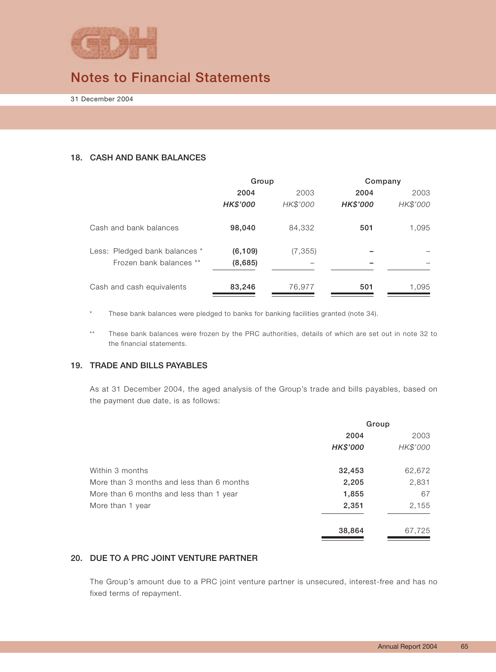

31 December 2004

#### **18. CASH AND BANK BALANCES**

|                               | Group    |          | Company  |          |
|-------------------------------|----------|----------|----------|----------|
|                               | 2004     | 2003     | 2004     | 2003     |
|                               | HK\$'000 | HK\$'000 | HK\$'000 | HK\$'000 |
| Cash and bank balances        | 98,040   | 84,332   | 501      | 1,095    |
| Less: Pledged bank balances * | (6, 109) | (7, 355) |          |          |
| Frozen bank balances **       | (8,685)  |          |          |          |
| Cash and cash equivalents     | 83,246   | 76,977   | 501      | 1,095    |

\* These bank balances were pledged to banks for banking facilities granted (note 34).

\*\* These bank balances were frozen by the PRC authorities, details of which are set out in note 32 to the financial statements.

### **19. TRADE AND BILLS PAYABLES**

As at 31 December 2004, the aged analysis of the Group's trade and bills payables, based on the payment due date, is as follows:

|                                           | Group    |          |
|-------------------------------------------|----------|----------|
|                                           | 2004     | 2003     |
|                                           | HK\$'000 | HK\$'000 |
| Within 3 months                           | 32,453   | 62,672   |
| More than 3 months and less than 6 months | 2,205    | 2,831    |
| More than 6 months and less than 1 year   | 1,855    | 67       |
| More than 1 year                          | 2,351    | 2,155    |
|                                           | 38,864   | 67,725   |

## **20. DUE TO A PRC JOINT VENTURE PARTNER**

The Group's amount due to a PRC joint venture partner is unsecured, interest-free and has no fixed terms of repayment.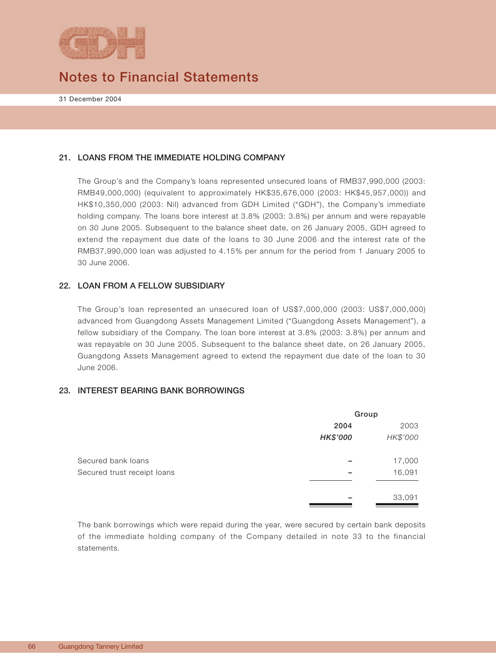

31 December 2004

## **21. LOANS FROM THE IMMEDIATE HOLDING COMPANY**

The Group's and the Company's loans represented unsecured loans of RMB37,990,000 (2003: RMB49,000,000) (equivalent to approximately HK\$35,676,000 (2003: HK\$45,957,000)) and HK\$10,350,000 (2003: Nil) advanced from GDH Limited ("GDH"), the Company's immediate holding company. The loans bore interest at 3.8% (2003: 3.8%) per annum and were repayable on 30 June 2005. Subsequent to the balance sheet date, on 26 January 2005, GDH agreed to extend the repayment due date of the loans to 30 June 2006 and the interest rate of the RMB37,990,000 loan was adjusted to 4.15% per annum for the period from 1 January 2005 to 30 June 2006.

### **22. LOAN FROM A FELLOW SUBSIDIARY**

The Group's loan represented an unsecured loan of US\$7,000,000 (2003: US\$7,000,000) advanced from Guangdong Assets Management Limited ("Guangdong Assets Management"), a fellow subsidiary of the Company. The loan bore interest at 3.8% (2003: 3.8%) per annum and was repayable on 30 June 2005. Subsequent to the balance sheet date, on 26 January 2005, Guangdong Assets Management agreed to extend the repayment due date of the loan to 30 June 2006.

#### **23. INTEREST BEARING BANK BORROWINGS**

|                             | Group    |          |  |
|-----------------------------|----------|----------|--|
|                             | 2004     | 2003     |  |
|                             | HK\$'000 | HK\$'000 |  |
| Secured bank loans          |          | 17,000   |  |
| Secured trust receipt loans |          | 16,091   |  |
|                             |          | 33,091   |  |

The bank borrowings which were repaid during the year, were secured by certain bank deposits of the immediate holding company of the Company detailed in note 33 to the financial statements.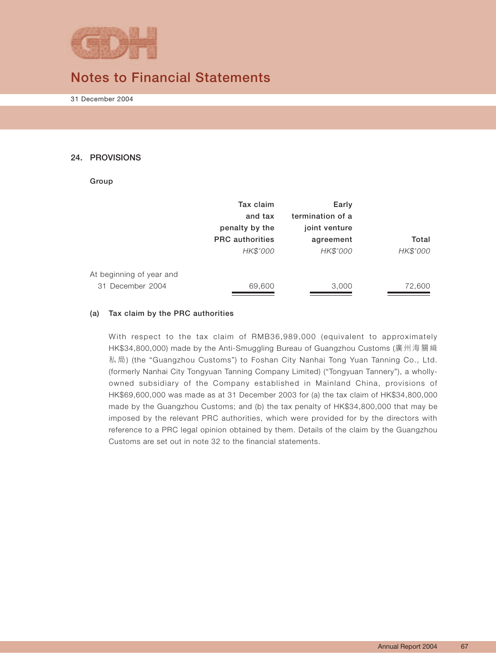

31 December 2004

#### **24. PROVISIONS**

#### **Group**

|                          | Tax claim              | Early            |          |
|--------------------------|------------------------|------------------|----------|
|                          | and tax                | termination of a |          |
|                          | penalty by the         | joint venture    |          |
|                          | <b>PRC</b> authorities | agreement        | Total    |
|                          | HK\$'000               | HK\$'000         | HK\$'000 |
| At beginning of year and |                        |                  |          |
| 31 December 2004         | 69,600                 | 3,000            | 72,600   |

#### **(a) Tax claim by the PRC authorities**

With respect to the tax claim of RMB36,989,000 (equivalent to approximately HK\$34,800,000) made by the Anti-Smuggling Bureau of Guangzhou Customs (廣州海關緝 私 局) (the "Guangzhou Customs") to Foshan City Nanhai Tong Yuan Tanning Co., Ltd. (formerly Nanhai City Tongyuan Tanning Company Limited) ("Tongyuan Tannery"), a whollyowned subsidiary of the Company established in Mainland China, provisions of HK\$69,600,000 was made as at 31 December 2003 for (a) the tax claim of HK\$34,800,000 made by the Guangzhou Customs; and (b) the tax penalty of HK\$34,800,000 that may be imposed by the relevant PRC authorities, which were provided for by the directors with reference to a PRC legal opinion obtained by them. Details of the claim by the Guangzhou Customs are set out in note 32 to the financial statements.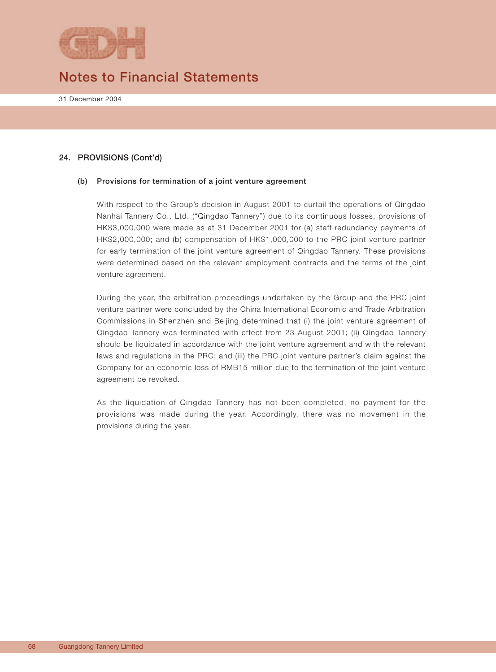

31 December 2004

#### **24. PROVISIONS (Cont'd)**

#### **(b) Provisions for termination of a joint venture agreement**

With respect to the Group's decision in August 2001 to curtail the operations of Qingdao Nanhai Tannery Co., Ltd. ("Qingdao Tannery") due to its continuous losses, provisions of HK\$3,000,000 were made as at 31 December 2001 for (a) staff redundancy payments of HK\$2,000,000; and (b) compensation of HK\$1,000,000 to the PRC joint venture partner for early termination of the joint venture agreement of Qingdao Tannery. These provisions were determined based on the relevant employment contracts and the terms of the joint venture agreement.

During the year, the arbitration proceedings undertaken by the Group and the PRC joint venture partner were concluded by the China International Economic and Trade Arbitration Commissions in Shenzhen and Beijing determined that (i) the joint venture agreement of Qingdao Tannery was terminated with effect from 23 August 2001; (ii) Qingdao Tannery should be liquidated in accordance with the joint venture agreement and with the relevant laws and regulations in the PRC; and (iii) the PRC joint venture partner's claim against the Company for an economic loss of RMB15 million due to the termination of the joint venture agreement be revoked.

As the liquidation of Qingdao Tannery has not been completed, no payment for the provisions was made during the year. Accordingly, there was no movement in the provisions during the year.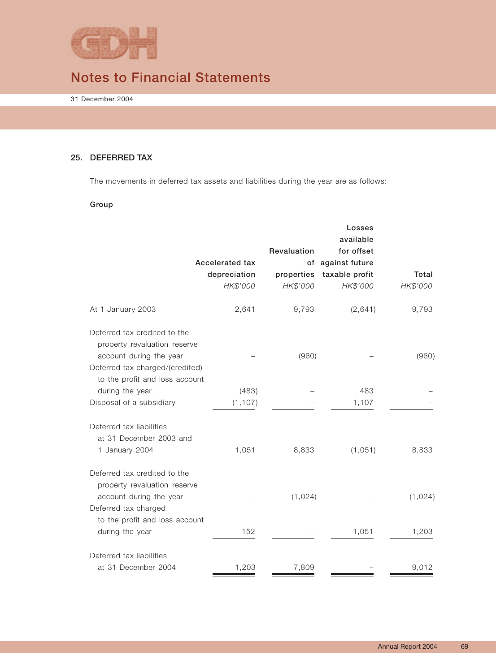

31 December 2004

## **25. DEFERRED TAX**

The movements in deferred tax assets and liabilities during the year are as follows:

|                                                                                              |                        | Revaluation | Losses<br>available<br>for offset |          |
|----------------------------------------------------------------------------------------------|------------------------|-------------|-----------------------------------|----------|
|                                                                                              | <b>Accelerated tax</b> |             | of against future                 |          |
|                                                                                              | depreciation           | properties  | taxable profit                    | Total    |
|                                                                                              | HK\$'000               | HK\$'000    | HK\$'000                          | HK\$'000 |
| At 1 January 2003                                                                            | 2,641                  | 9,793       | (2,641)                           | 9,793    |
| Deferred tax credited to the<br>property revaluation reserve                                 |                        |             |                                   |          |
| account during the year<br>Deferred tax charged/(credited)<br>to the profit and loss account |                        | (960)       |                                   | (960)    |
| during the year                                                                              | (483)                  |             | 483                               |          |
| Disposal of a subsidiary                                                                     | (1, 107)               |             | 1,107                             |          |
| Deferred tax liabilities<br>at 31 December 2003 and                                          |                        |             |                                   |          |
| 1 January 2004                                                                               | 1,051                  | 8,833       | (1,051)                           | 8,833    |
| Deferred tax credited to the<br>property revaluation reserve                                 |                        |             |                                   |          |
| account during the year<br>Deferred tax charged<br>to the profit and loss account            |                        | (1,024)     |                                   | (1,024)  |
| during the year                                                                              | 152                    |             | 1,051                             | 1,203    |
| Deferred tax liabilities                                                                     |                        |             |                                   |          |
| at 31 December 2004                                                                          | 1,203                  | 7,809       |                                   | 9,012    |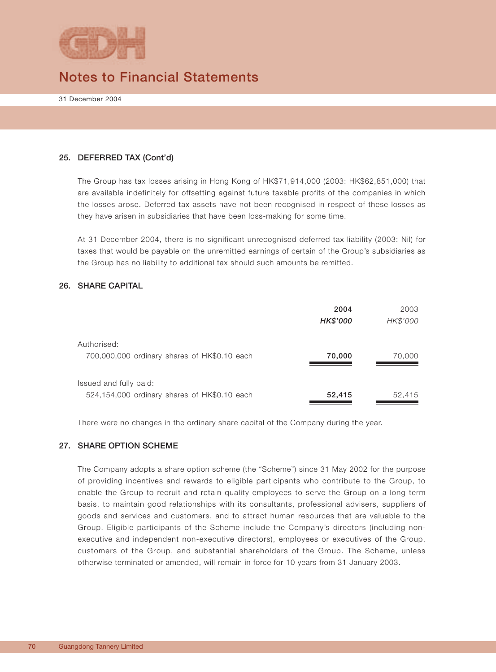

31 December 2004

### **25. DEFERRED TAX (Cont'd)**

The Group has tax losses arising in Hong Kong of HK\$71,914,000 (2003: HK\$62,851,000) that are available indefinitely for offsetting against future taxable profits of the companies in which the losses arose. Deferred tax assets have not been recognised in respect of these losses as they have arisen in subsidiaries that have been loss-making for some time.

At 31 December 2004, there is no significant unrecognised deferred tax liability (2003: Nil) for taxes that would be payable on the unremitted earnings of certain of the Group's subsidiaries as the Group has no liability to additional tax should such amounts be remitted.

#### **26. SHARE CAPITAL**

|                                                                        | 2004<br><b>HK\$'000</b> | 2003<br>HK\$'000 |
|------------------------------------------------------------------------|-------------------------|------------------|
| Authorised:<br>700,000,000 ordinary shares of HK\$0.10 each            | 70,000                  | 70,000           |
| Issued and fully paid:<br>524,154,000 ordinary shares of HK\$0.10 each | 52,415                  | 52,415           |

There were no changes in the ordinary share capital of the Company during the year.

## **27. SHARE OPTION SCHEME**

The Company adopts a share option scheme (the "Scheme") since 31 May 2002 for the purpose of providing incentives and rewards to eligible participants who contribute to the Group, to enable the Group to recruit and retain quality employees to serve the Group on a long term basis, to maintain good relationships with its consultants, professional advisers, suppliers of goods and services and customers, and to attract human resources that are valuable to the Group. Eligible participants of the Scheme include the Company's directors (including nonexecutive and independent non-executive directors), employees or executives of the Group, customers of the Group, and substantial shareholders of the Group. The Scheme, unless otherwise terminated or amended, will remain in force for 10 years from 31 January 2003.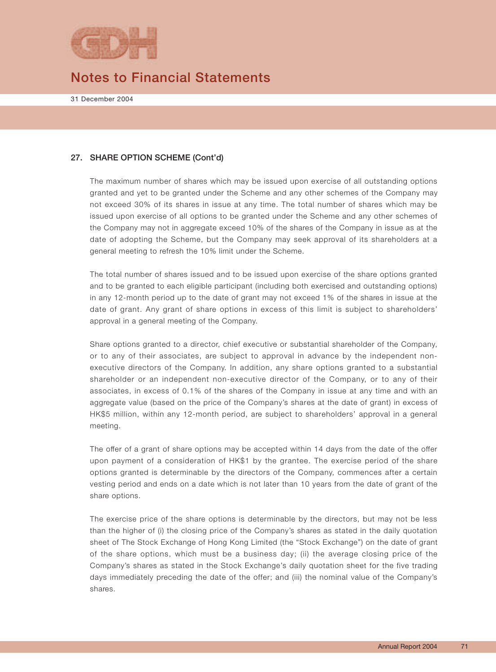

31 December 2004

## **27. SHARE OPTION SCHEME (Cont'd)**

The maximum number of shares which may be issued upon exercise of all outstanding options granted and yet to be granted under the Scheme and any other schemes of the Company may not exceed 30% of its shares in issue at any time. The total number of shares which may be issued upon exercise of all options to be granted under the Scheme and any other schemes of the Company may not in aggregate exceed 10% of the shares of the Company in issue as at the date of adopting the Scheme, but the Company may seek approval of its shareholders at a general meeting to refresh the 10% limit under the Scheme.

The total number of shares issued and to be issued upon exercise of the share options granted and to be granted to each eligible participant (including both exercised and outstanding options) in any 12-month period up to the date of grant may not exceed 1% of the shares in issue at the date of grant. Any grant of share options in excess of this limit is subject to shareholders' approval in a general meeting of the Company.

Share options granted to a director, chief executive or substantial shareholder of the Company, or to any of their associates, are subject to approval in advance by the independent nonexecutive directors of the Company. In addition, any share options granted to a substantial shareholder or an independent non-executive director of the Company, or to any of their associates, in excess of 0.1% of the shares of the Company in issue at any time and with an aggregate value (based on the price of the Company's shares at the date of grant) in excess of HK\$5 million, within any 12-month period, are subject to shareholders' approval in a general meeting.

The offer of a grant of share options may be accepted within 14 days from the date of the offer upon payment of a consideration of HK\$1 by the grantee. The exercise period of the share options granted is determinable by the directors of the Company, commences after a certain vesting period and ends on a date which is not later than 10 years from the date of grant of the share options.

The exercise price of the share options is determinable by the directors, but may not be less than the higher of (i) the closing price of the Company's shares as stated in the daily quotation sheet of The Stock Exchange of Hong Kong Limited (the "Stock Exchange") on the date of grant of the share options, which must be a business day; (ii) the average closing price of the Company's shares as stated in the Stock Exchange's daily quotation sheet for the five trading days immediately preceding the date of the offer; and (iii) the nominal value of the Company's shares.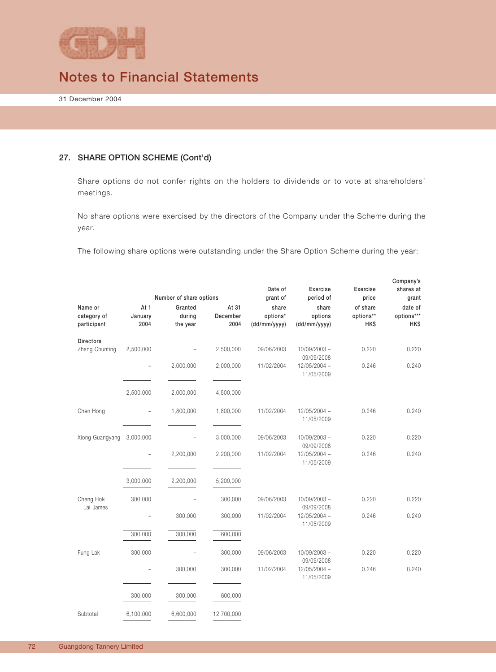

31 December 2004

### **27. SHARE OPTION SCHEME (Cont'd)**

Share options do not confer rights on the holders to dividends or to vote at shareholders' meetings.

No share options were exercised by the directors of the Company under the Scheme during the year.

The following share options were outstanding under the Share Option Scheme during the year:

|                                       |                         | Number of share options       |                           | Date of<br>grant of               | Exercise<br>period of            | Exercise<br>price             | Company's<br>shares at<br>grant |
|---------------------------------------|-------------------------|-------------------------------|---------------------------|-----------------------------------|----------------------------------|-------------------------------|---------------------------------|
| Name or<br>category of<br>participant | At 1<br>January<br>2004 | Granted<br>during<br>the year | At 31<br>December<br>2004 | share<br>options*<br>(dd/mm/yyyy) | share<br>options<br>(dd/mm/yyyy) | of share<br>options**<br>HK\$ | date of<br>options***<br>HK\$   |
| <b>Directors</b><br>Zhang Chunting    | 2,500,000               |                               | 2,500,000                 | 09/06/2003                        | 10/09/2003 -<br>09/09/2008       | 0.220                         | 0.220                           |
|                                       |                         | 2,000,000                     | 2,000,000                 | 11/02/2004                        | $12/05/2004 -$<br>11/05/2009     | 0.246                         | 0.240                           |
|                                       | 2,500,000               | 2,000,000                     | 4,500,000                 |                                   |                                  |                               |                                 |
| Chen Hong                             |                         | 1,800,000                     | 1,800,000                 | 11/02/2004                        | $12/05/2004 -$<br>11/05/2009     | 0.246                         | 0.240                           |
| Xiong Guangyang                       | 3,000,000               |                               | 3,000,000                 | 09/06/2003                        | $10/09/2003 -$<br>09/09/2008     | 0.220                         | 0.220                           |
|                                       |                         | 2,200,000                     | 2,200,000                 | 11/02/2004                        | $12/05/2004 -$<br>11/05/2009     | 0.246                         | 0.240                           |
|                                       | 3,000,000               | 2,200,000                     | 5,200,000                 |                                   |                                  |                               |                                 |
| Cheng Hok<br>Lai James                | 300,000                 |                               | 300,000                   | 09/06/2003                        | $10/09/2003 -$<br>09/09/2008     | 0.220                         | 0.220                           |
|                                       |                         | 300,000                       | 300,000                   | 11/02/2004                        | $12/05/2004 -$<br>11/05/2009     | 0.246                         | 0.240                           |
|                                       | 300,000                 | 300,000                       | 600,000                   |                                   |                                  |                               |                                 |
| Fung Lak                              | 300,000                 |                               | 300,000                   | 09/06/2003                        | 10/09/2003 -<br>09/09/2008       | 0.220                         | 0.220                           |
|                                       |                         | 300,000                       | 300,000                   | 11/02/2004                        | $12/05/2004 -$<br>11/05/2009     | 0.246                         | 0.240                           |
|                                       | 300,000                 | 300,000                       | 600,000                   |                                   |                                  |                               |                                 |
| Subtotal                              | 6,100,000               | 6,600,000                     | 12,700,000                |                                   |                                  |                               |                                 |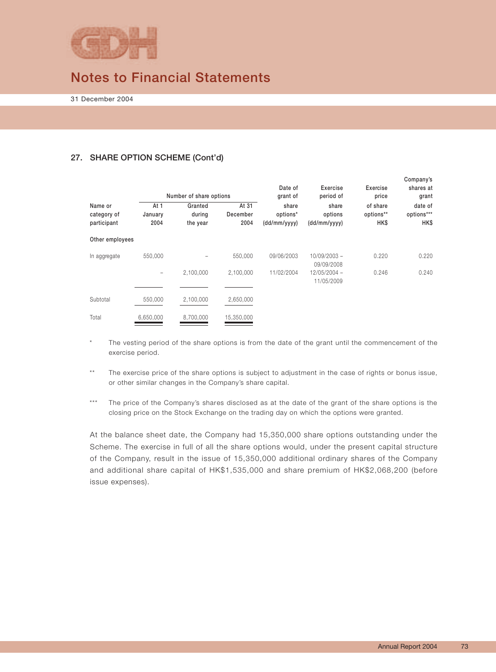

31 December 2004

### **27. SHARE OPTION SCHEME (Cont'd)**

|                                       |                         | Number of share options       |                           | Date of<br>grant of               | Exercise<br>period of            | Exercise<br>price             | Company's<br>shares at<br>grant |
|---------------------------------------|-------------------------|-------------------------------|---------------------------|-----------------------------------|----------------------------------|-------------------------------|---------------------------------|
| Name or<br>category of<br>participant | At 1<br>January<br>2004 | Granted<br>during<br>the year | At 31<br>December<br>2004 | share<br>options*<br>(dd/mm/yyyy) | share<br>options<br>(dd/mm/yyyy) | of share<br>options**<br>HK\$ | date of<br>options***<br>HK\$   |
| Other employees                       |                         |                               |                           |                                   |                                  |                               |                                 |
| In aggregate                          | 550,000                 |                               | 550,000                   | 09/06/2003                        | $10/09/2003 -$<br>09/09/2008     | 0.220                         | 0.220                           |
|                                       |                         | 2,100,000                     | 2,100,000                 | 11/02/2004                        | 12/05/2004 -<br>11/05/2009       | 0.246                         | 0.240                           |
| Subtotal                              | 550,000                 | 2,100,000                     | 2,650,000                 |                                   |                                  |                               |                                 |
| Total                                 | 6,650,000               | 8,700,000                     | 15,350,000                |                                   |                                  |                               |                                 |

- The vesting period of the share options is from the date of the grant until the commencement of the exercise period.
- The exercise price of the share options is subject to adjustment in the case of rights or bonus issue, or other similar changes in the Company's share capital.
- \*\*\* The price of the Company's shares disclosed as at the date of the grant of the share options is the closing price on the Stock Exchange on the trading day on which the options were granted.

At the balance sheet date, the Company had 15,350,000 share options outstanding under the Scheme. The exercise in full of all the share options would, under the present capital structure of the Company, result in the issue of 15,350,000 additional ordinary shares of the Company and additional share capital of HK\$1,535,000 and share premium of HK\$2,068,200 (before issue expenses).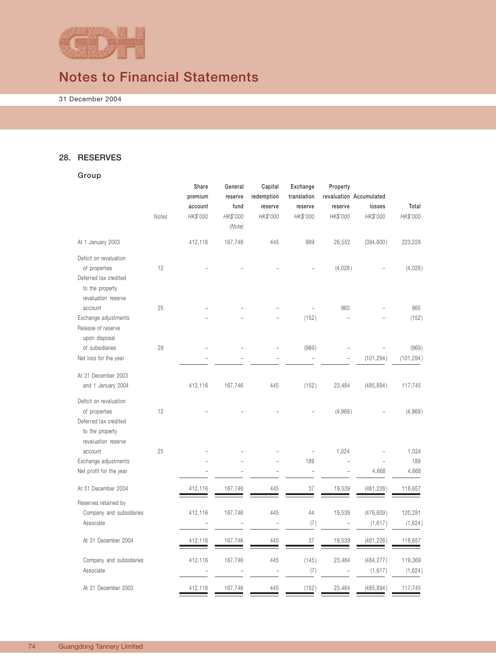

31 December 2004

### **28. RESERVES**

#### **Group**

|                                                                                     | Notes | Share<br>premium<br>account<br>HK\$'000 | General<br>reserve<br>fund<br>HK\$'000<br>(Note) | Capital<br>redemption<br>reserve<br>HK\$'000 | Exchange<br>translation<br>reserve<br>HK\$'000 | Property<br>reserve<br>HK\$'000 | revaluation Accumulated<br>losses<br>HK\$'000 | Total<br>HK\$'000     |
|-------------------------------------------------------------------------------------|-------|-----------------------------------------|--------------------------------------------------|----------------------------------------------|------------------------------------------------|---------------------------------|-----------------------------------------------|-----------------------|
| At 1 January 2003                                                                   |       | 412,116                                 | 167,746                                          | 445                                          | 969                                            | 26,552                          | (384, 600)                                    | 223,228               |
| Deficit on revaluation<br>of properties<br>Deferred tax credited<br>to the property | 12    |                                         |                                                  |                                              |                                                | (4,028)                         |                                               | (4,028)               |
| revaluation reserve<br>account<br>Exchange adjustments<br>Release of reserve        | 25    |                                         |                                                  |                                              | (152)                                          | 960                             |                                               | 960<br>(152)          |
| upon disposal<br>of subsidiaries<br>Net loss for the year                           | 29    |                                         |                                                  |                                              | (969)                                          |                                 | (101, 294)                                    | (969)<br>(101, 294)   |
| At 31 December 2003<br>and 1 January 2004                                           |       | 412,116                                 | 167,746                                          | 445                                          | (152)                                          | 23,484                          | (485, 894)                                    | 117,745               |
| Deficit on revaluation<br>of properties<br>Deferred tax credited<br>to the property | 12    |                                         |                                                  |                                              |                                                | (4,969)                         |                                               | (4,969)               |
| revaluation reserve<br>account<br>Exchange adjustments<br>Net profit for the year   | 25    |                                         |                                                  |                                              | 189<br>$\overline{a}$                          | 1,024                           | 4,668                                         | 1,024<br>189<br>4,668 |
| At 31 December 2004                                                                 |       | 412,116                                 | 167,746                                          | 445                                          | 37                                             | 19,539                          | (481, 226)                                    | 118,657               |
| Reserves retained by<br>Company and subsidiaries<br>Associate                       |       | 412,116                                 | 167,746                                          | 445                                          | 44<br>(7)                                      | 19,539<br>$\overline{a}$        | (479, 609)<br>(1,617)                         | 120,281<br>(1,624)    |
| At 31 December 2004                                                                 |       | 412,116                                 | 167,746                                          | 445                                          | 37                                             | 19,539                          | (481, 226)                                    | 118,657               |
| Company and subsidiaries<br>Associate                                               |       | 412,116                                 | 167,746                                          | 445                                          | (145)<br>(7)                                   | 23,484                          | (484, 277)<br>(1,617)                         | 119,369<br>(1,624)    |
| At 31 December 2003                                                                 |       | 412,116                                 | 167,746                                          | 445                                          | (152)                                          | 23,484                          | (485, 894)                                    | 117,745               |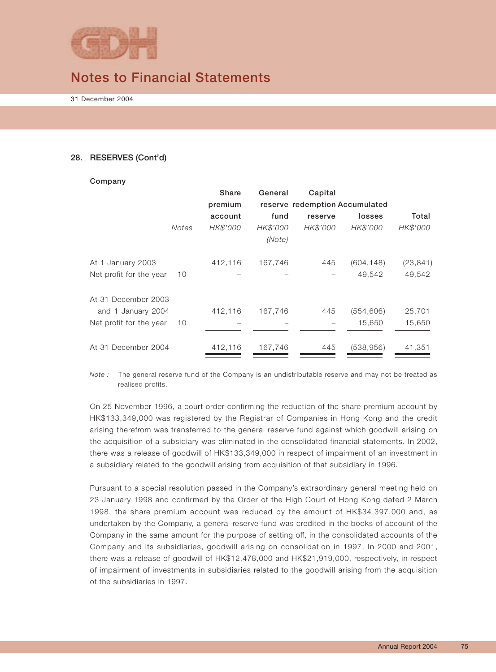

31 December 2004

#### **28. RESERVES (Cont'd)**

#### **Company**

|                         |              | Share    | General  | Capital  |                                |           |
|-------------------------|--------------|----------|----------|----------|--------------------------------|-----------|
|                         |              | premium  |          |          | reserve redemption Accumulated |           |
|                         |              | account  | fund     | reserve  | losses                         | Total     |
|                         | <b>Notes</b> | HK\$'000 | HK\$'000 | HK\$'000 | HK\$'000                       | HK\$'000  |
|                         |              |          | (Note)   |          |                                |           |
| At 1 January 2003       |              | 412,116  | 167,746  | 445      | (604, 148)                     | (23, 841) |
| Net profit for the year | 10           |          |          |          | 49,542                         | 49,542    |
| At 31 December 2003     |              |          |          |          |                                |           |
| and 1 January 2004      |              | 412,116  | 167,746  | 445      | (554, 606)                     | 25,701    |
| Net profit for the year | 10           |          |          |          | 15,650                         | 15,650    |
| At 31 December 2004     |              | 412,116  | 167.746  | 445      | (538, 956)                     | 41,351    |

*Note :* The general reserve fund of the Company is an undistributable reserve and may not be treated as realised profits.

On 25 November 1996, a court order confirming the reduction of the share premium account by HK\$133,349,000 was registered by the Registrar of Companies in Hong Kong and the credit arising therefrom was transferred to the general reserve fund against which goodwill arising on the acquisition of a subsidiary was eliminated in the consolidated financial statements. In 2002, there was a release of goodwill of HK\$133,349,000 in respect of impairment of an investment in a subsidiary related to the goodwill arising from acquisition of that subsidiary in 1996.

Pursuant to a special resolution passed in the Company's extraordinary general meeting held on 23 January 1998 and confirmed by the Order of the High Court of Hong Kong dated 2 March 1998, the share premium account was reduced by the amount of HK\$34,397,000 and, as undertaken by the Company, a general reserve fund was credited in the books of account of the Company in the same amount for the purpose of setting off, in the consolidated accounts of the Company and its subsidiaries, goodwill arising on consolidation in 1997. In 2000 and 2001, there was a release of goodwill of HK\$12,478,000 and HK\$21,919,000, respectively, in respect of impairment of investments in subsidiaries related to the goodwill arising from the acquisition of the subsidiaries in 1997.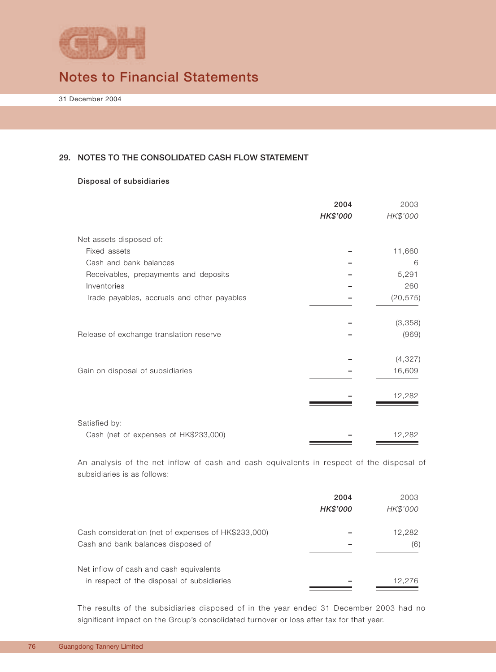

31 December 2004

#### **29. NOTES TO THE CONSOLIDATED CASH FLOW STATEMENT**

#### **Disposal of subsidiaries**

|                                             | 2004<br>HK\$'000 | 2003<br>HK\$'000 |
|---------------------------------------------|------------------|------------------|
| Net assets disposed of:                     |                  |                  |
| Fixed assets                                |                  | 11,660           |
| Cash and bank balances                      |                  | 6                |
| Receivables, prepayments and deposits       |                  | 5,291            |
| Inventories                                 |                  | 260              |
| Trade payables, accruals and other payables |                  | (20, 575)        |
|                                             |                  | (3,358)          |
| Release of exchange translation reserve     |                  | (969)            |
|                                             |                  | (4, 327)         |
| Gain on disposal of subsidiaries            |                  | 16,609           |
|                                             |                  | 12,282           |
| Satisfied by:                               |                  |                  |
| Cash (net of expenses of HK\$233,000)       |                  | 12,282           |

An analysis of the net inflow of cash and cash equivalents in respect of the disposal of subsidiaries is as follows:

|                                                                                           | 2004<br>HK\$'000 | 2003<br>HK\$'000 |
|-------------------------------------------------------------------------------------------|------------------|------------------|
| Cash consideration (net of expenses of HK\$233,000)<br>Cash and bank balances disposed of |                  | 12,282<br>(6)    |
| Net inflow of cash and cash equivalents<br>in respect of the disposal of subsidiaries     |                  | 12,276           |

The results of the subsidiaries disposed of in the year ended 31 December 2003 had no significant impact on the Group's consolidated turnover or loss after tax for that year.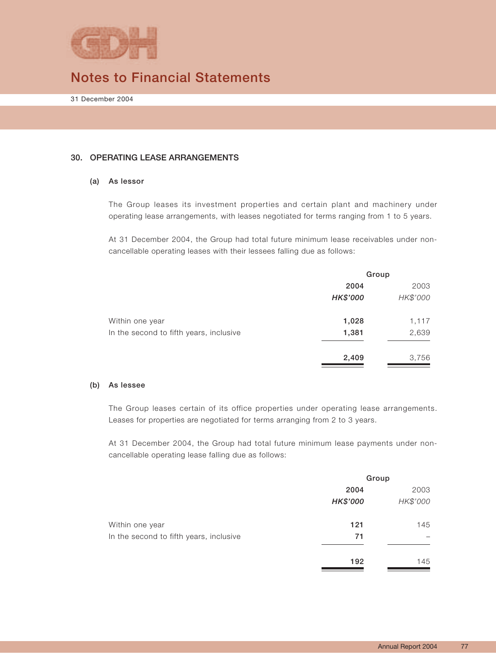

31 December 2004

#### **30. OPERATING LEASE ARRANGEMENTS**

#### **(a) As lessor**

The Group leases its investment properties and certain plant and machinery under operating lease arrangements, with leases negotiated for terms ranging from 1 to 5 years.

At 31 December 2004, the Group had total future minimum lease receivables under noncancellable operating leases with their lessees falling due as follows:

|                                         |          | Group    |  |  |
|-----------------------------------------|----------|----------|--|--|
|                                         | 2004     | 2003     |  |  |
|                                         | HK\$'000 | HK\$'000 |  |  |
| Within one year                         | 1,028    | 1,117    |  |  |
| In the second to fifth years, inclusive | 1,381    | 2,639    |  |  |
|                                         | 2,409    | 3,756    |  |  |

#### **(b) As lessee**

The Group leases certain of its office properties under operating lease arrangements. Leases for properties are negotiated for terms arranging from 2 to 3 years.

At 31 December 2004, the Group had total future minimum lease payments under noncancellable operating lease falling due as follows:

|                                         |          | Group    |  |  |
|-----------------------------------------|----------|----------|--|--|
|                                         | 2004     | 2003     |  |  |
|                                         | HK\$'000 | HK\$'000 |  |  |
| Within one year                         | 121      | 145      |  |  |
| In the second to fifth years, inclusive | 71       |          |  |  |
|                                         | 192      | 145      |  |  |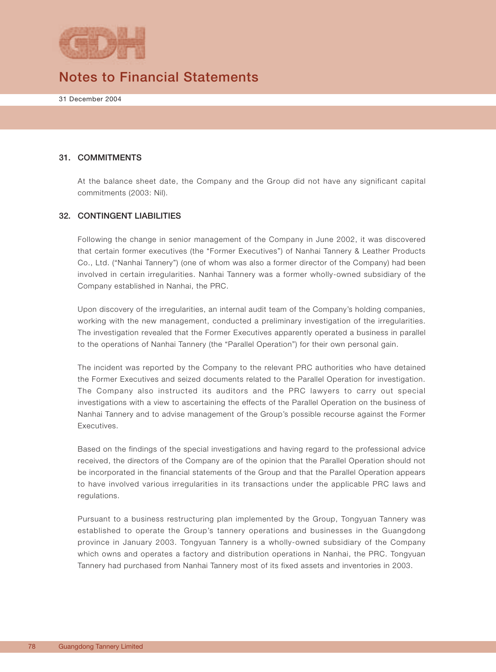

31 December 2004

#### **31. COMMITMENTS**

At the balance sheet date, the Company and the Group did not have any significant capital commitments (2003: Nil).

#### **32. CONTINGENT LIABILITIES**

Following the change in senior management of the Company in June 2002, it was discovered that certain former executives (the "Former Executives") of Nanhai Tannery & Leather Products Co., Ltd. ("Nanhai Tannery") (one of whom was also a former director of the Company) had been involved in certain irregularities. Nanhai Tannery was a former wholly-owned subsidiary of the Company established in Nanhai, the PRC.

Upon discovery of the irregularities, an internal audit team of the Company's holding companies, working with the new management, conducted a preliminary investigation of the irregularities. The investigation revealed that the Former Executives apparently operated a business in parallel to the operations of Nanhai Tannery (the "Parallel Operation") for their own personal gain.

The incident was reported by the Company to the relevant PRC authorities who have detained the Former Executives and seized documents related to the Parallel Operation for investigation. The Company also instructed its auditors and the PRC lawyers to carry out special investigations with a view to ascertaining the effects of the Parallel Operation on the business of Nanhai Tannery and to advise management of the Group's possible recourse against the Former Executives.

Based on the findings of the special investigations and having regard to the professional advice received, the directors of the Company are of the opinion that the Parallel Operation should not be incorporated in the financial statements of the Group and that the Parallel Operation appears to have involved various irregularities in its transactions under the applicable PRC laws and regulations.

Pursuant to a business restructuring plan implemented by the Group, Tongyuan Tannery was established to operate the Group's tannery operations and businesses in the Guangdong province in January 2003. Tongyuan Tannery is a wholly-owned subsidiary of the Company which owns and operates a factory and distribution operations in Nanhai, the PRC. Tongyuan Tannery had purchased from Nanhai Tannery most of its fixed assets and inventories in 2003.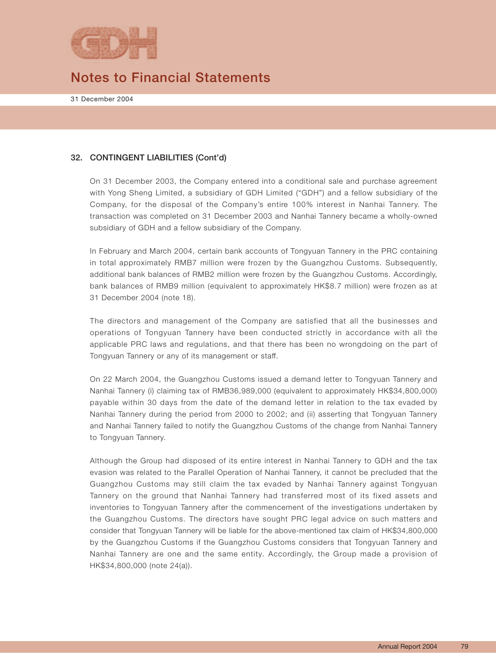

31 December 2004

#### **32. CONTINGENT LIABILITIES (Cont'd)**

On 31 December 2003, the Company entered into a conditional sale and purchase agreement with Yong Sheng Limited, a subsidiary of GDH Limited ("GDH") and a fellow subsidiary of the Company, for the disposal of the Company's entire 100% interest in Nanhai Tannery. The transaction was completed on 31 December 2003 and Nanhai Tannery became a wholly-owned subsidiary of GDH and a fellow subsidiary of the Company.

In February and March 2004, certain bank accounts of Tongyuan Tannery in the PRC containing in total approximately RMB7 million were frozen by the Guangzhou Customs. Subsequently, additional bank balances of RMB2 million were frozen by the Guangzhou Customs. Accordingly, bank balances of RMB9 million (equivalent to approximately HK\$8.7 million) were frozen as at 31 December 2004 (note 18).

The directors and management of the Company are satisfied that all the businesses and operations of Tongyuan Tannery have been conducted strictly in accordance with all the applicable PRC laws and regulations, and that there has been no wrongdoing on the part of Tongyuan Tannery or any of its management or staff.

On 22 March 2004, the Guangzhou Customs issued a demand letter to Tongyuan Tannery and Nanhai Tannery (i) claiming tax of RMB36,989,000 (equivalent to approximately HK\$34,800,000) payable within 30 days from the date of the demand letter in relation to the tax evaded by Nanhai Tannery during the period from 2000 to 2002; and (ii) asserting that Tongyuan Tannery and Nanhai Tannery failed to notify the Guangzhou Customs of the change from Nanhai Tannery to Tongyuan Tannery.

Although the Group had disposed of its entire interest in Nanhai Tannery to GDH and the tax evasion was related to the Parallel Operation of Nanhai Tannery, it cannot be precluded that the Guangzhou Customs may still claim the tax evaded by Nanhai Tannery against Tongyuan Tannery on the ground that Nanhai Tannery had transferred most of its fixed assets and inventories to Tongyuan Tannery after the commencement of the investigations undertaken by the Guangzhou Customs. The directors have sought PRC legal advice on such matters and consider that Tongyuan Tannery will be liable for the above-mentioned tax claim of HK\$34,800,000 by the Guangzhou Customs if the Guangzhou Customs considers that Tongyuan Tannery and Nanhai Tannery are one and the same entity. Accordingly, the Group made a provision of HK\$34,800,000 (note 24(a)).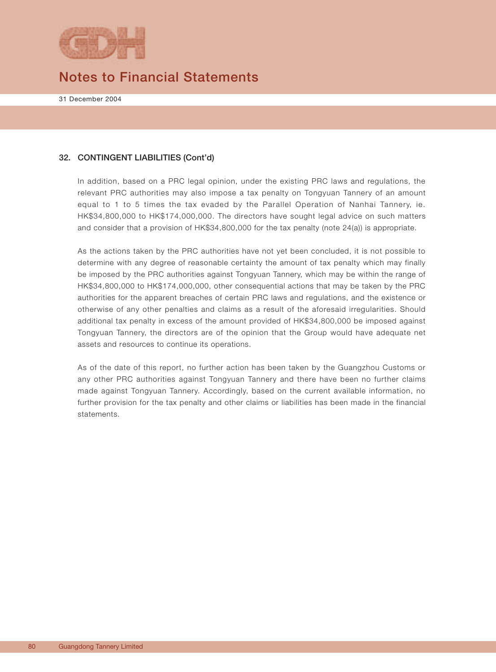

31 December 2004

#### **32. CONTINGENT LIABILITIES (Cont'd)**

In addition, based on a PRC legal opinion, under the existing PRC laws and regulations, the relevant PRC authorities may also impose a tax penalty on Tongyuan Tannery of an amount equal to 1 to 5 times the tax evaded by the Parallel Operation of Nanhai Tannery, ie. HK\$34,800,000 to HK\$174,000,000. The directors have sought legal advice on such matters and consider that a provision of HK\$34,800,000 for the tax penalty (note 24(a)) is appropriate.

As the actions taken by the PRC authorities have not yet been concluded, it is not possible to determine with any degree of reasonable certainty the amount of tax penalty which may finally be imposed by the PRC authorities against Tongyuan Tannery, which may be within the range of HK\$34,800,000 to HK\$174,000,000, other consequential actions that may be taken by the PRC authorities for the apparent breaches of certain PRC laws and regulations, and the existence or otherwise of any other penalties and claims as a result of the aforesaid irregularities. Should additional tax penalty in excess of the amount provided of HK\$34,800,000 be imposed against Tongyuan Tannery, the directors are of the opinion that the Group would have adequate net assets and resources to continue its operations.

As of the date of this report, no further action has been taken by the Guangzhou Customs or any other PRC authorities against Tongyuan Tannery and there have been no further claims made against Tongyuan Tannery. Accordingly, based on the current available information, no further provision for the tax penalty and other claims or liabilities has been made in the financial statements.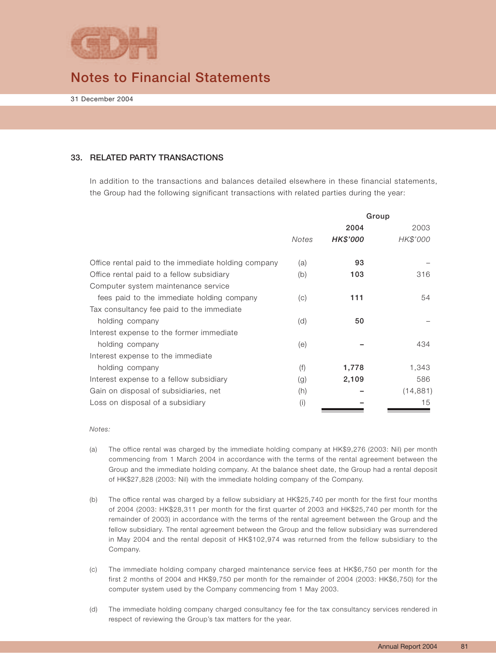

31 December 2004

### **33. RELATED PARTY TRANSACTIONS**

In addition to the transactions and balances detailed elsewhere in these financial statements, the Group had the following significant transactions with related parties during the year:

|                                                     |              | Group           |           |
|-----------------------------------------------------|--------------|-----------------|-----------|
|                                                     |              | 2004            | 2003      |
|                                                     | <b>Notes</b> | <b>HK\$'000</b> | HK\$'000  |
| Office rental paid to the immediate holding company | (a)          | 93              |           |
| Office rental paid to a fellow subsidiary           | (b)          | 103             | 316       |
| Computer system maintenance service                 |              |                 |           |
| fees paid to the immediate holding company          | (c)          | 111             | 54        |
| Tax consultancy fee paid to the immediate           |              |                 |           |
| holding company                                     | (d)          | 50              |           |
| Interest expense to the former immediate            |              |                 |           |
| holding company                                     | (e)          |                 | 434       |
| Interest expense to the immediate                   |              |                 |           |
| holding company                                     | (f)          | 1,778           | 1,343     |
| Interest expense to a fellow subsidiary             | (g)          | 2,109           | 586       |
| Gain on disposal of subsidiaries, net               | (h)          |                 | (14, 881) |
| Loss on disposal of a subsidiary                    | (i)          |                 | 15        |

#### *Notes:*

- (a) The office rental was charged by the immediate holding company at HK\$9,276 (2003: Nil) per month commencing from 1 March 2004 in accordance with the terms of the rental agreement between the Group and the immediate holding company. At the balance sheet date, the Group had a rental deposit of HK\$27,828 (2003: Nil) with the immediate holding company of the Company.
- (b) The office rental was charged by a fellow subsidiary at HK\$25,740 per month for the first four months of 2004 (2003: HK\$28,311 per month for the first quarter of 2003 and HK\$25,740 per month for the remainder of 2003) in accordance with the terms of the rental agreement between the Group and the fellow subsidiary. The rental agreement between the Group and the fellow subsidiary was surrendered in May 2004 and the rental deposit of HK\$102,974 was returned from the fellow subsidiary to the Company.
- (c) The immediate holding company charged maintenance service fees at HK\$6,750 per month for the first 2 months of 2004 and HK\$9,750 per month for the remainder of 2004 (2003: HK\$6,750) for the computer system used by the Company commencing from 1 May 2003.
- (d) The immediate holding company charged consultancy fee for the tax consultancy services rendered in respect of reviewing the Group's tax matters for the year.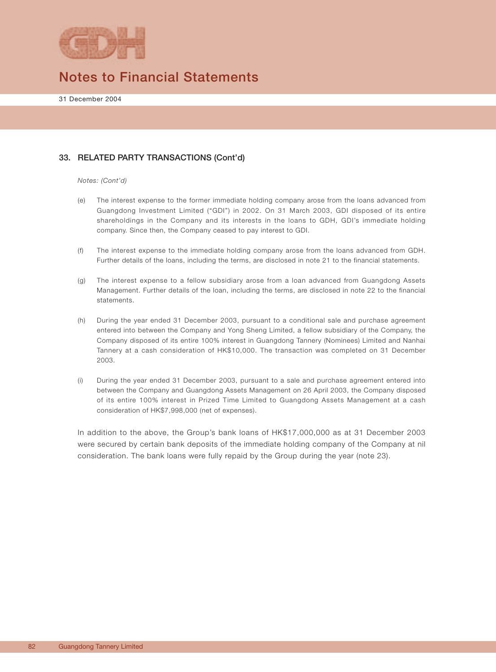

31 December 2004

### **33. RELATED PARTY TRANSACTIONS (Cont'd)**

#### *Notes: (Cont'd)*

- (e) The interest expense to the former immediate holding company arose from the loans advanced from Guangdong Investment Limited ("GDI") in 2002. On 31 March 2003, GDI disposed of its entire shareholdings in the Company and its interests in the loans to GDH, GDI's immediate holding company. Since then, the Company ceased to pay interest to GDI.
- (f) The interest expense to the immediate holding company arose from the loans advanced from GDH. Further details of the loans, including the terms, are disclosed in note 21 to the financial statements.
- (g) The interest expense to a fellow subsidiary arose from a loan advanced from Guangdong Assets Management. Further details of the loan, including the terms, are disclosed in note 22 to the financial statements.
- (h) During the year ended 31 December 2003, pursuant to a conditional sale and purchase agreement entered into between the Company and Yong Sheng Limited, a fellow subsidiary of the Company, the Company disposed of its entire 100% interest in Guangdong Tannery (Nominees) Limited and Nanhai Tannery at a cash consideration of HK\$10,000. The transaction was completed on 31 December 2003.
- (i) During the year ended 31 December 2003, pursuant to a sale and purchase agreement entered into between the Company and Guangdong Assets Management on 26 April 2003, the Company disposed of its entire 100% interest in Prized Time Limited to Guangdong Assets Management at a cash consideration of HK\$7,998,000 (net of expenses).

In addition to the above, the Group's bank loans of HK\$17,000,000 as at 31 December 2003 were secured by certain bank deposits of the immediate holding company of the Company at nil consideration. The bank loans were fully repaid by the Group during the year (note 23).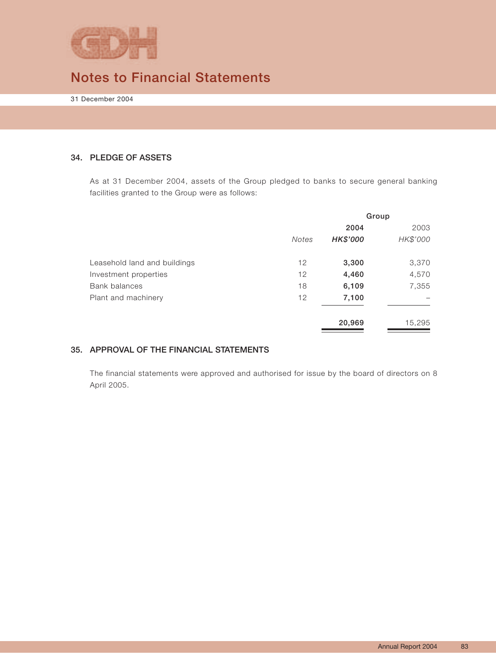

31 December 2004

### **34. PLEDGE OF ASSETS**

As at 31 December 2004, assets of the Group pledged to banks to secure general banking facilities granted to the Group were as follows:

|                              |              | Group    |          |  |
|------------------------------|--------------|----------|----------|--|
|                              |              | 2004     | 2003     |  |
|                              | <b>Notes</b> | HK\$'000 | HK\$'000 |  |
| Leasehold land and buildings | 12           | 3,300    | 3,370    |  |
| Investment properties        | 12           | 4,460    | 4,570    |  |
| Bank balances                | 18           | 6,109    | 7,355    |  |
| Plant and machinery          | 12           | 7,100    |          |  |
|                              |              | 20,969   | 15,295   |  |

### **35. APPROVAL OF THE FINANCIAL STATEMENTS**

The financial statements were approved and authorised for issue by the board of directors on 8 April 2005.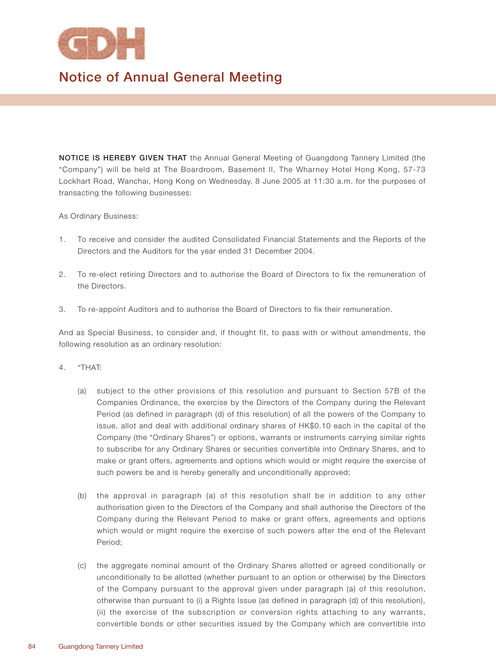

# **Notice of Annual General Meeting**

**NOTICE IS HEREBY GIVEN THAT** the Annual General Meeting of Guangdong Tannery Limited (the "Company") will be held at The Boardroom, Basement II, The Wharney Hotel Hong Kong, 57-73 Lockhart Road, Wanchai, Hong Kong on Wednesday, 8 June 2005 at 11:30 a.m. for the purposes of transacting the following businesses:

As Ordinary Business:

- 1. To receive and consider the audited Consolidated Financial Statements and the Reports of the Directors and the Auditors for the year ended 31 December 2004.
- 2. To re-elect retiring Directors and to authorise the Board of Directors to fix the remuneration of the Directors.
- 3. To re-appoint Auditors and to authorise the Board of Directors to fix their remuneration.

And as Special Business, to consider and, if thought fit, to pass with or without amendments, the following resolution as an ordinary resolution:

- 4. "THAT:
	- (a) subject to the other provisions of this resolution and pursuant to Section 57B of the Companies Ordinance, the exercise by the Directors of the Company during the Relevant Period (as defined in paragraph (d) of this resolution) of all the powers of the Company to issue, allot and deal with additional ordinary shares of HK\$0.10 each in the capital of the Company (the "Ordinary Shares") or options, warrants or instruments carrying similar rights to subscribe for any Ordinary Shares or securities convertible into Ordinary Shares, and to make or grant offers, agreements and options which would or might require the exercise of such powers be and is hereby generally and unconditionally approved;
	- (b) the approval in paragraph (a) of this resolution shall be in addition to any other authorisation given to the Directors of the Company and shall authorise the Directors of the Company during the Relevant Period to make or grant offers, agreements and options which would or might require the exercise of such powers after the end of the Relevant Period;
	- (c) the aggregate nominal amount of the Ordinary Shares allotted or agreed conditionally or unconditionally to be allotted (whether pursuant to an option or otherwise) by the Directors of the Company pursuant to the approval given under paragraph (a) of this resolution, otherwise than pursuant to (i) a Rights Issue (as defined in paragraph (d) of this resolution), (ii) the exercise of the subscription or conversion rights attaching to any warrants, convertible bonds or other securities issued by the Company which are convertible into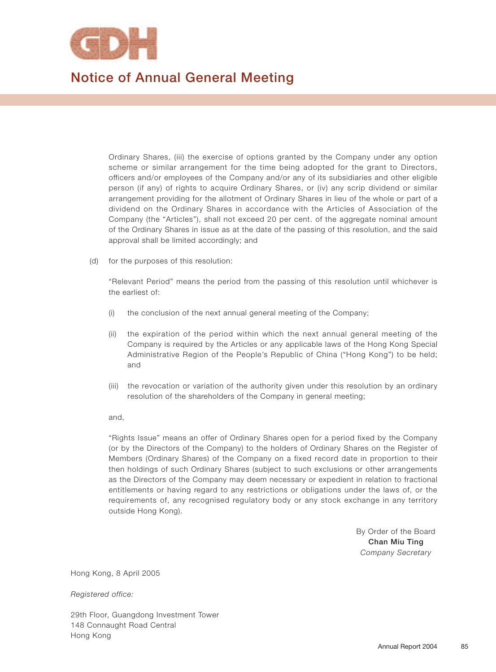

## **Notice of Annual General Meeting**

Ordinary Shares, (iii) the exercise of options granted by the Company under any option scheme or similar arrangement for the time being adopted for the grant to Directors, officers and/or employees of the Company and/or any of its subsidiaries and other eligible person (if any) of rights to acquire Ordinary Shares, or (iv) any scrip dividend or similar arrangement providing for the allotment of Ordinary Shares in lieu of the whole or part of a dividend on the Ordinary Shares in accordance with the Articles of Association of the Company (the "Articles"), shall not exceed 20 per cent. of the aggregate nominal amount of the Ordinary Shares in issue as at the date of the passing of this resolution, and the said approval shall be limited accordingly; and

(d) for the purposes of this resolution:

"Relevant Period" means the period from the passing of this resolution until whichever is the earliest of:

- (i) the conclusion of the next annual general meeting of the Company;
- (ii) the expiration of the period within which the next annual general meeting of the Company is required by the Articles or any applicable laws of the Hong Kong Special Administrative Region of the People's Republic of China ("Hong Kong") to be held; and
- (iii) the revocation or variation of the authority given under this resolution by an ordinary resolution of the shareholders of the Company in general meeting;

and,

"Rights Issue" means an offer of Ordinary Shares open for a period fixed by the Company (or by the Directors of the Company) to the holders of Ordinary Shares on the Register of Members (Ordinary Shares) of the Company on a fixed record date in proportion to their then holdings of such Ordinary Shares (subject to such exclusions or other arrangements as the Directors of the Company may deem necessary or expedient in relation to fractional entitlements or having regard to any restrictions or obligations under the laws of, or the requirements of, any recognised regulatory body or any stock exchange in any territory outside Hong Kong).

> By Order of the Board **Chan Miu Ting** *Company Secretary*

Hong Kong, 8 April 2005

*Registered office:*

29th Floor, Guangdong Investment Tower 148 Connaught Road Central Hong Kong